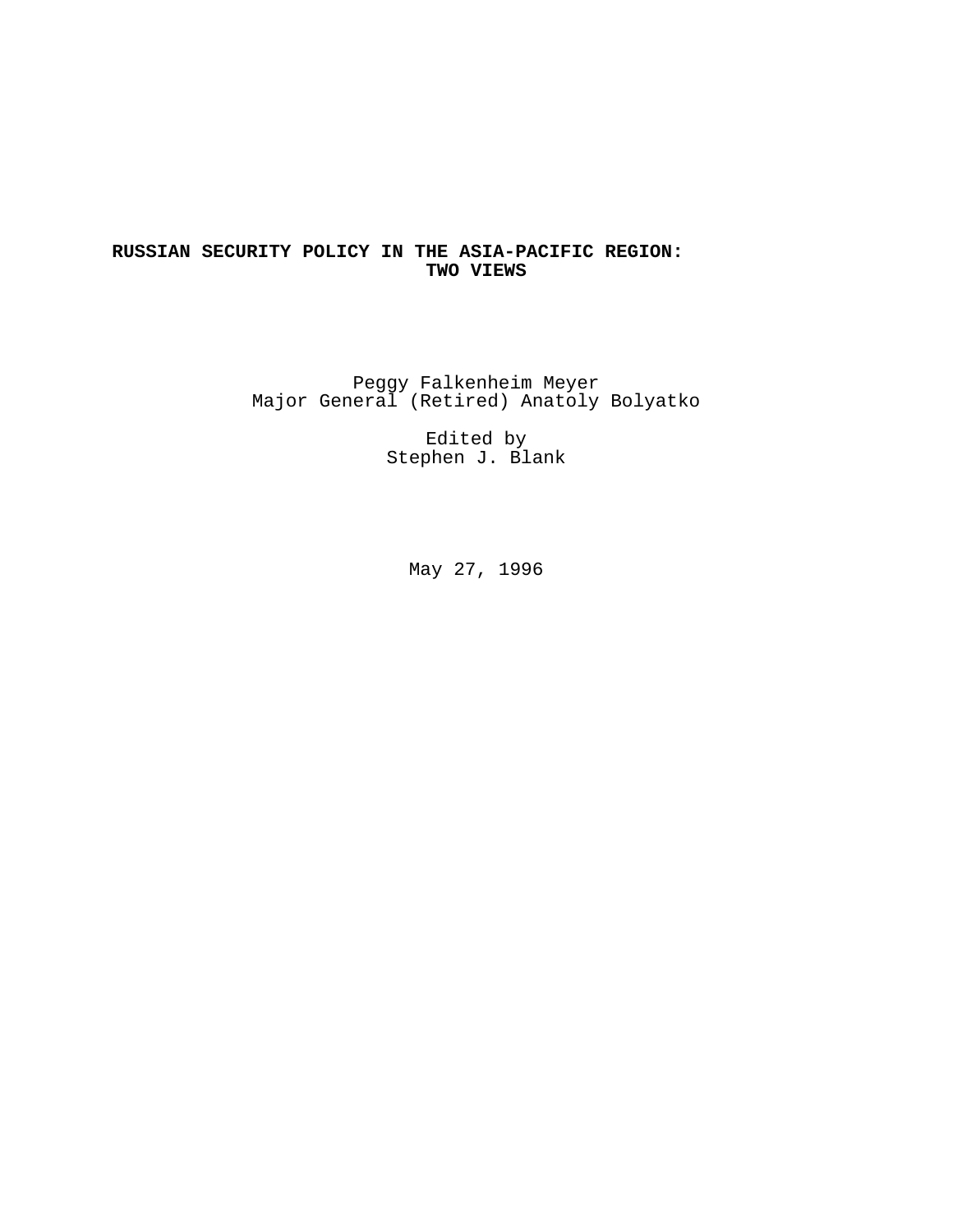# **RUSSIAN SECURITY POLICY IN THE ASIA-PACIFIC REGION: TWO VIEWS**

Peggy Falkenheim Meyer Major General (Retired) Anatoly Bolyatko

> Edited by Stephen J. Blank

> > May 27, 1996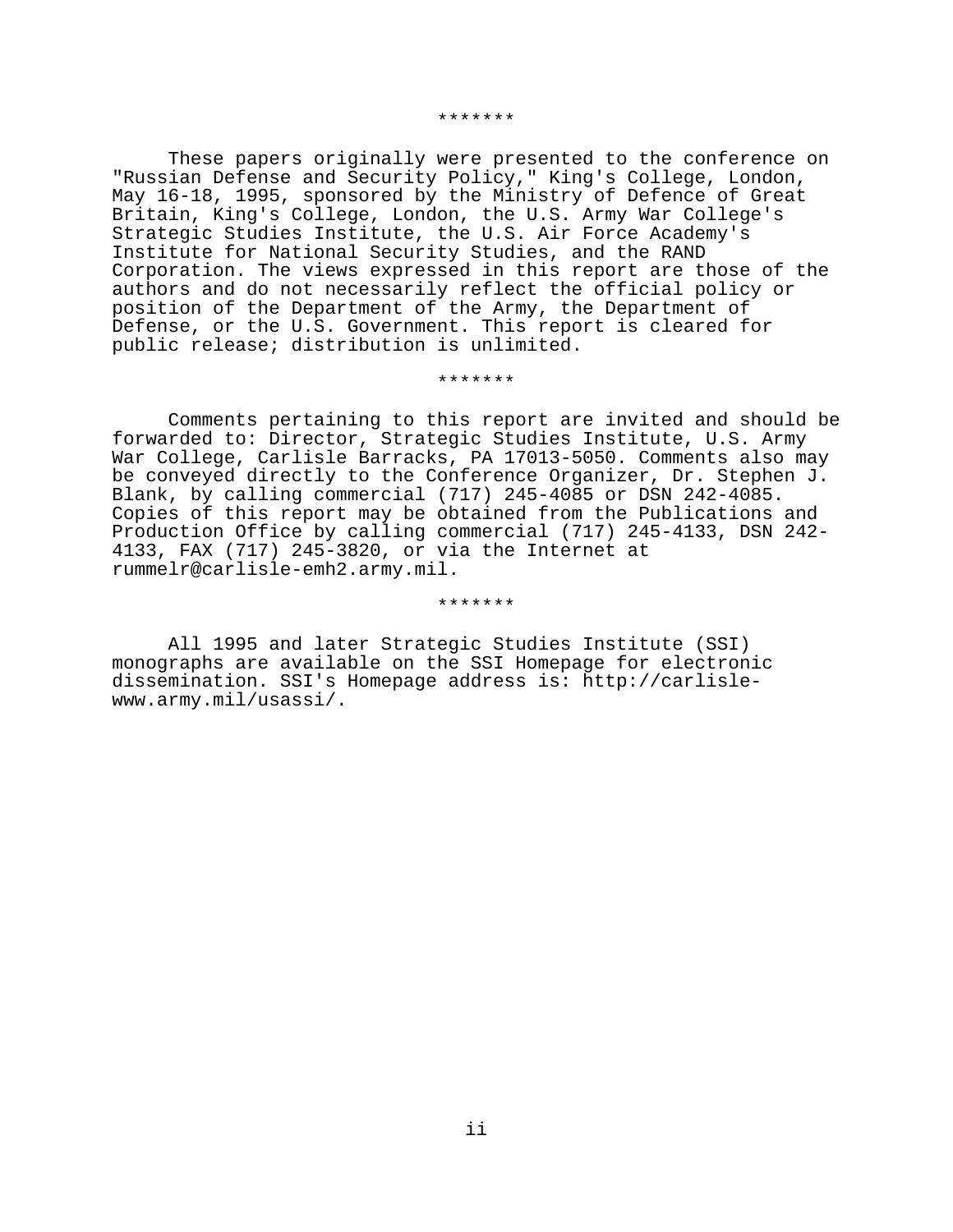#### \*\*\*\*\*\*\*

These papers originally were presented to the conference on "Russian Defense and Security Policy," King's College, London, May 16-18, 1995, sponsored by the Ministry of Defence of Great Britain, King's College, London, the U.S. Army War College's Strategic Studies Institute, the U.S. Air Force Academy's Institute for National Security Studies, and the RAND Corporation. The views expressed in this report are those of the authors and do not necessarily reflect the official policy or position of the Department of the Army, the Department of Defense, or the U.S. Government. This report is cleared for public release; distribution is unlimited.

\*\*\*\*\*\*\*

Comments pertaining to this report are invited and should be forwarded to: Director, Strategic Studies Institute, U.S. Army War College, Carlisle Barracks, PA 17013-5050. Comments also may be conveyed directly to the Conference Organizer, Dr. Stephen J. Blank, by calling commercial (717) 245-4085 or DSN 242-4085. Copies of this report may be obtained from the Publications and Production Office by calling commercial (717) 245-4133, DSN 242- 4133, FAX (717) 245-3820, or via the Internet at rummelr@carlisle-emh2.army.mil.

\*\*\*\*\*\*\*

All 1995 and later Strategic Studies Institute (SSI) monographs are available on the SSI Homepage for electronic dissemination. SSI's Homepage address is: http://carlislewww.army.mil/usassi/.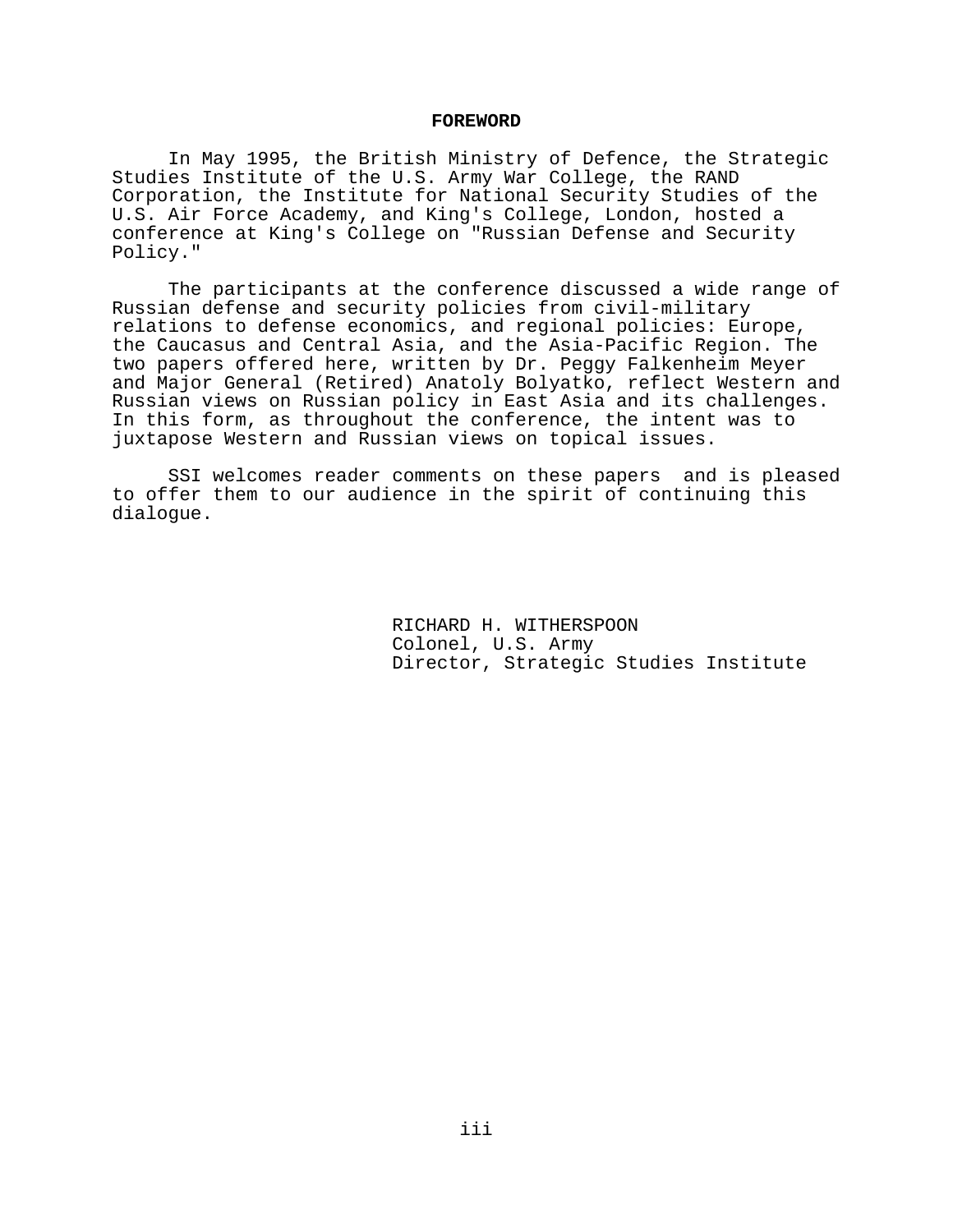### **FOREWORD**

In May 1995, the British Ministry of Defence, the Strategic Studies Institute of the U.S. Army War College, the RAND Corporation, the Institute for National Security Studies of the U.S. Air Force Academy, and King's College, London, hosted a conference at King's College on "Russian Defense and Security Policy."

The participants at the conference discussed a wide range of Russian defense and security policies from civil-military relations to defense economics, and regional policies: Europe, the Caucasus and Central Asia, and the Asia-Pacific Region. The two papers offered here, written by Dr. Peggy Falkenheim Meyer and Major General (Retired) Anatoly Bolyatko, reflect Western and Russian views on Russian policy in East Asia and its challenges. In this form, as throughout the conference, the intent was to juxtapose Western and Russian views on topical issues.

SSI welcomes reader comments on these papers and is pleased to offer them to our audience in the spirit of continuing this dialogue.

> RICHARD H. WITHERSPOON Colonel, U.S. Army Director, Strategic Studies Institute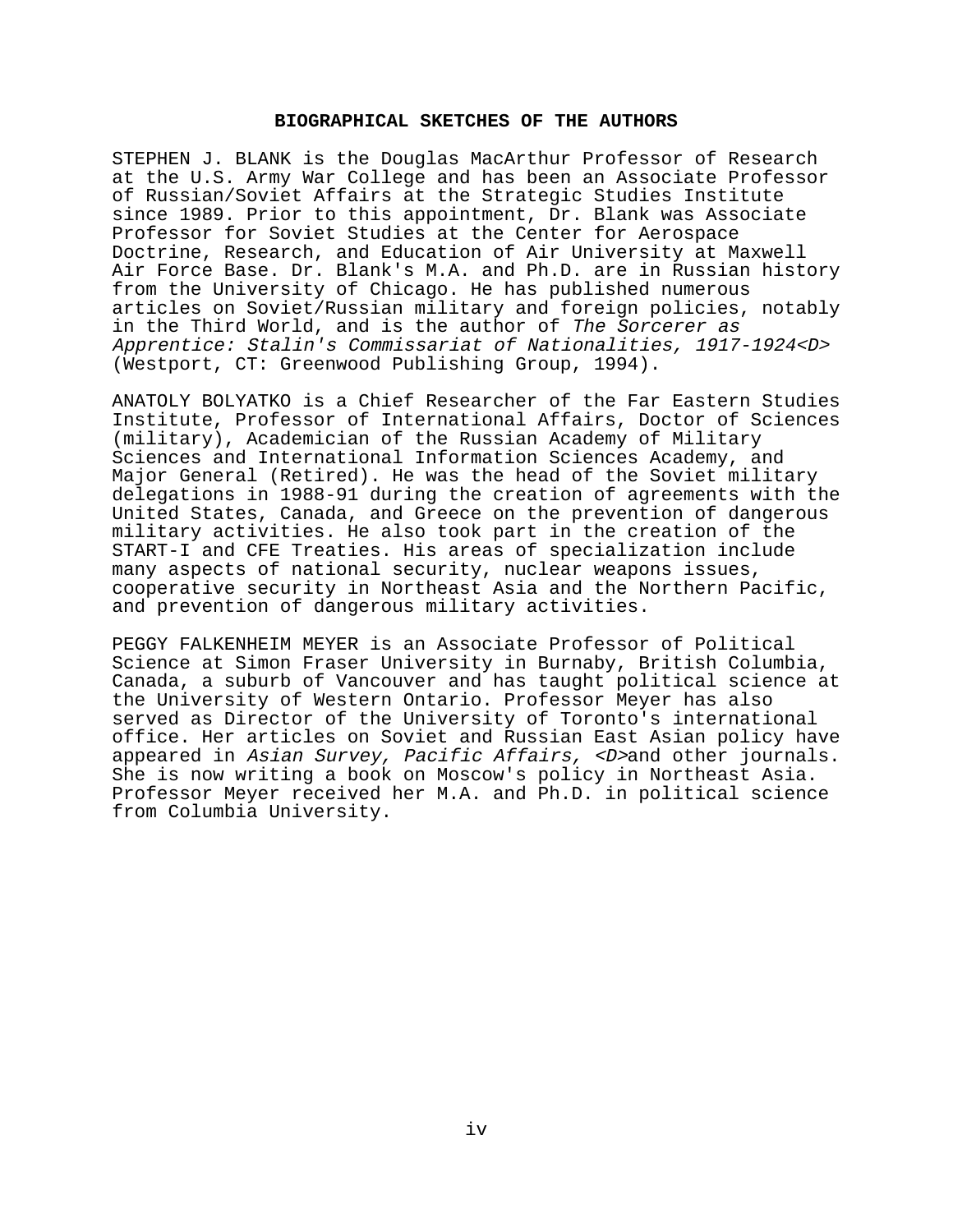## **BIOGRAPHICAL SKETCHES OF THE AUTHORS**

STEPHEN J. BLANK is the Douglas MacArthur Professor of Research at the U.S. Army War College and has been an Associate Professor of Russian/Soviet Affairs at the Strategic Studies Institute since 1989. Prior to this appointment, Dr. Blank was Associate Professor for Soviet Studies at the Center for Aerospace Doctrine, Research, and Education of Air University at Maxwell Air Force Base. Dr. Blank's M.A. and Ph.D. are in Russian history from the University of Chicago. He has published numerous articles on Soviet/Russian military and foreign policies, notably in the Third World, and is the author of The Sorcerer as Apprentice: Stalin's Commissariat of Nationalities, 1917-1924<D> (Westport, CT: Greenwood Publishing Group, 1994).

ANATOLY BOLYATKO is a Chief Researcher of the Far Eastern Studies Institute, Professor of International Affairs, Doctor of Sciences (military), Academician of the Russian Academy of Military Sciences and International Information Sciences Academy, and Major General (Retired). He was the head of the Soviet military delegations in 1988-91 during the creation of agreements with the United States, Canada, and Greece on the prevention of dangerous military activities. He also took part in the creation of the START-I and CFE Treaties. His areas of specialization include many aspects of national security, nuclear weapons issues, cooperative security in Northeast Asia and the Northern Pacific, and prevention of dangerous military activities.

PEGGY FALKENHEIM MEYER is an Associate Professor of Political Science at Simon Fraser University in Burnaby, British Columbia, Canada, a suburb of Vancouver and has taught political science at the University of Western Ontario. Professor Meyer has also served as Director of the University of Toronto's international office. Her articles on Soviet and Russian East Asian policy have appeared in Asian Survey, Pacific Affairs, <D>and other journals. She is now writing a book on Moscow's policy in Northeast Asia. Professor Meyer received her M.A. and Ph.D. in political science from Columbia University.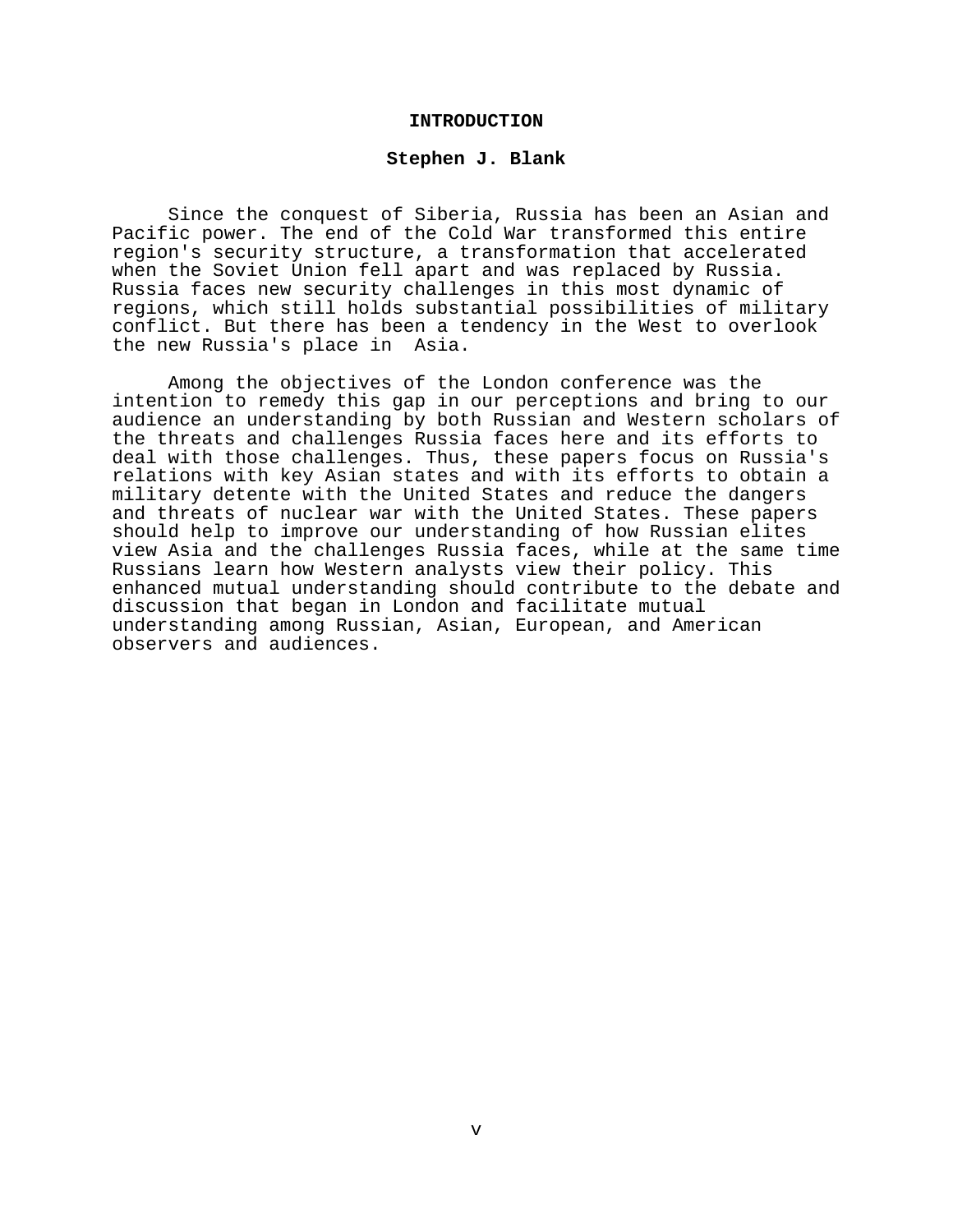#### **INTRODUCTION**

#### **Stephen J. Blank**

Since the conquest of Siberia, Russia has been an Asian and Pacific power. The end of the Cold War transformed this entire region's security structure, a transformation that accelerated when the Soviet Union fell apart and was replaced by Russia. Russia faces new security challenges in this most dynamic of regions, which still holds substantial possibilities of military conflict. But there has been a tendency in the West to overlook the new Russia's place in Asia.

Among the objectives of the London conference was the intention to remedy this gap in our perceptions and bring to our audience an understanding by both Russian and Western scholars of the threats and challenges Russia faces here and its efforts to deal with those challenges. Thus, these papers focus on Russia's relations with key Asian states and with its efforts to obtain a military detente with the United States and reduce the dangers and threats of nuclear war with the United States. These papers should help to improve our understanding of how Russian elites view Asia and the challenges Russia faces, while at the same time Russians learn how Western analysts view their policy. This enhanced mutual understanding should contribute to the debate and discussion that began in London and facilitate mutual understanding among Russian, Asian, European, and American observers and audiences.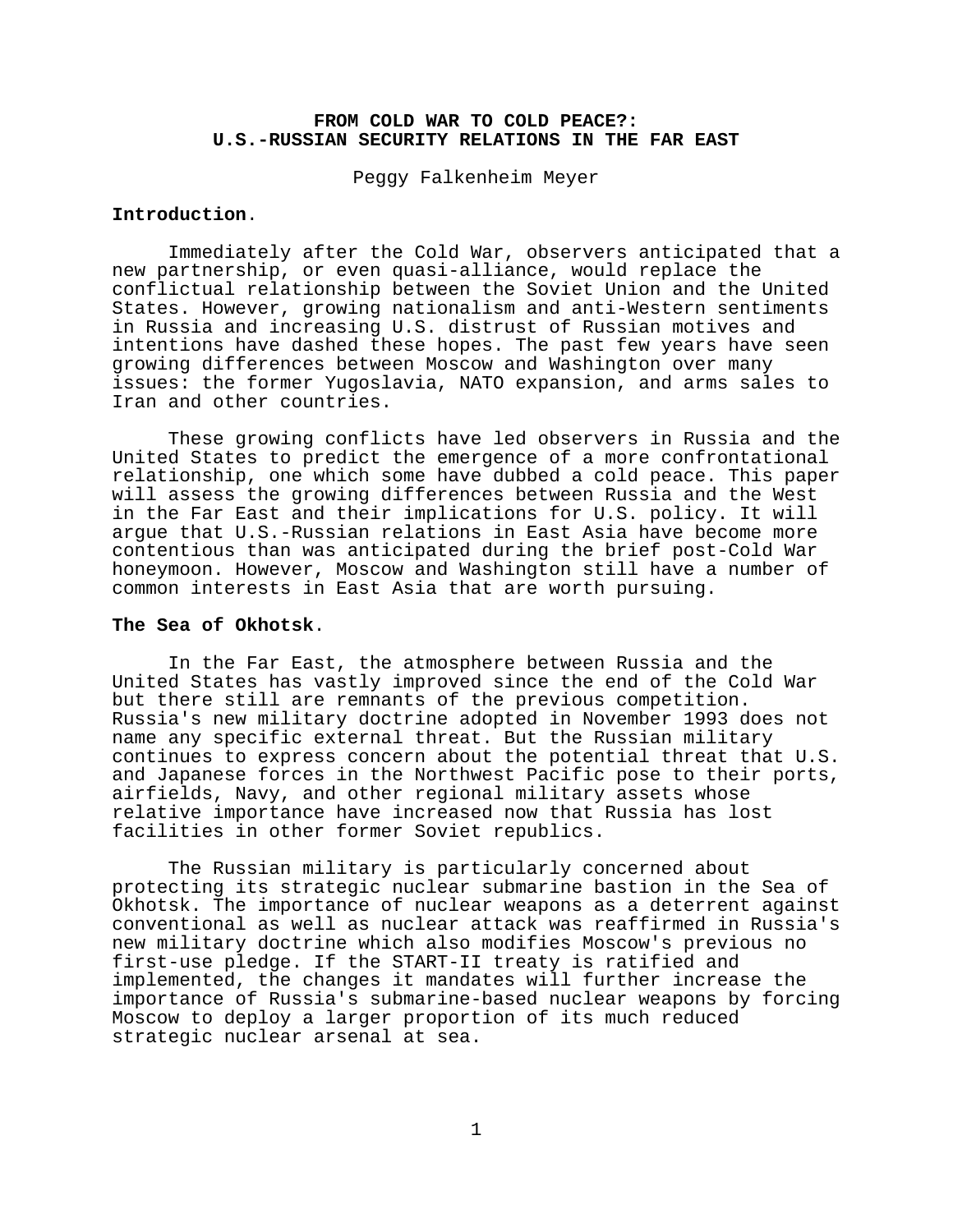## **FROM COLD WAR TO COLD PEACE?: U.S.-RUSSIAN SECURITY RELATIONS IN THE FAR EAST**

Peggy Falkenheim Meyer

### **Introduction**.

Immediately after the Cold War, observers anticipated that a new partnership, or even quasi-alliance, would replace the conflictual relationship between the Soviet Union and the United States. However, growing nationalism and anti-Western sentiments in Russia and increasing U.S. distrust of Russian motives and intentions have dashed these hopes. The past few years have seen growing differences between Moscow and Washington over many issues: the former Yugoslavia, NATO expansion, and arms sales to Iran and other countries.

These growing conflicts have led observers in Russia and the United States to predict the emergence of a more confrontational relationship, one which some have dubbed a cold peace. This paper will assess the growing differences between Russia and the West in the Far East and their implications for U.S. policy. It will argue that U.S.-Russian relations in East Asia have become more contentious than was anticipated during the brief post-Cold War honeymoon. However, Moscow and Washington still have a number of common interests in East Asia that are worth pursuing.

### **The Sea of Okhotsk**.

In the Far East, the atmosphere between Russia and the United States has vastly improved since the end of the Cold War but there still are remnants of the previous competition. Russia's new military doctrine adopted in November 1993 does not name any specific external threat. But the Russian military continues to express concern about the potential threat that U.S. and Japanese forces in the Northwest Pacific pose to their ports, airfields, Navy, and other regional military assets whose relative importance have increased now that Russia has lost facilities in other former Soviet republics.

The Russian military is particularly concerned about protecting its strategic nuclear submarine bastion in the Sea of Okhotsk. The importance of nuclear weapons as a deterrent against conventional as well as nuclear attack was reaffirmed in Russia's new military doctrine which also modifies Moscow's previous no first-use pledge. If the START-II treaty is ratified and implemented, the changes it mandates will further increase the importance of Russia's submarine-based nuclear weapons by forcing Moscow to deploy a larger proportion of its much reduced strategic nuclear arsenal at sea.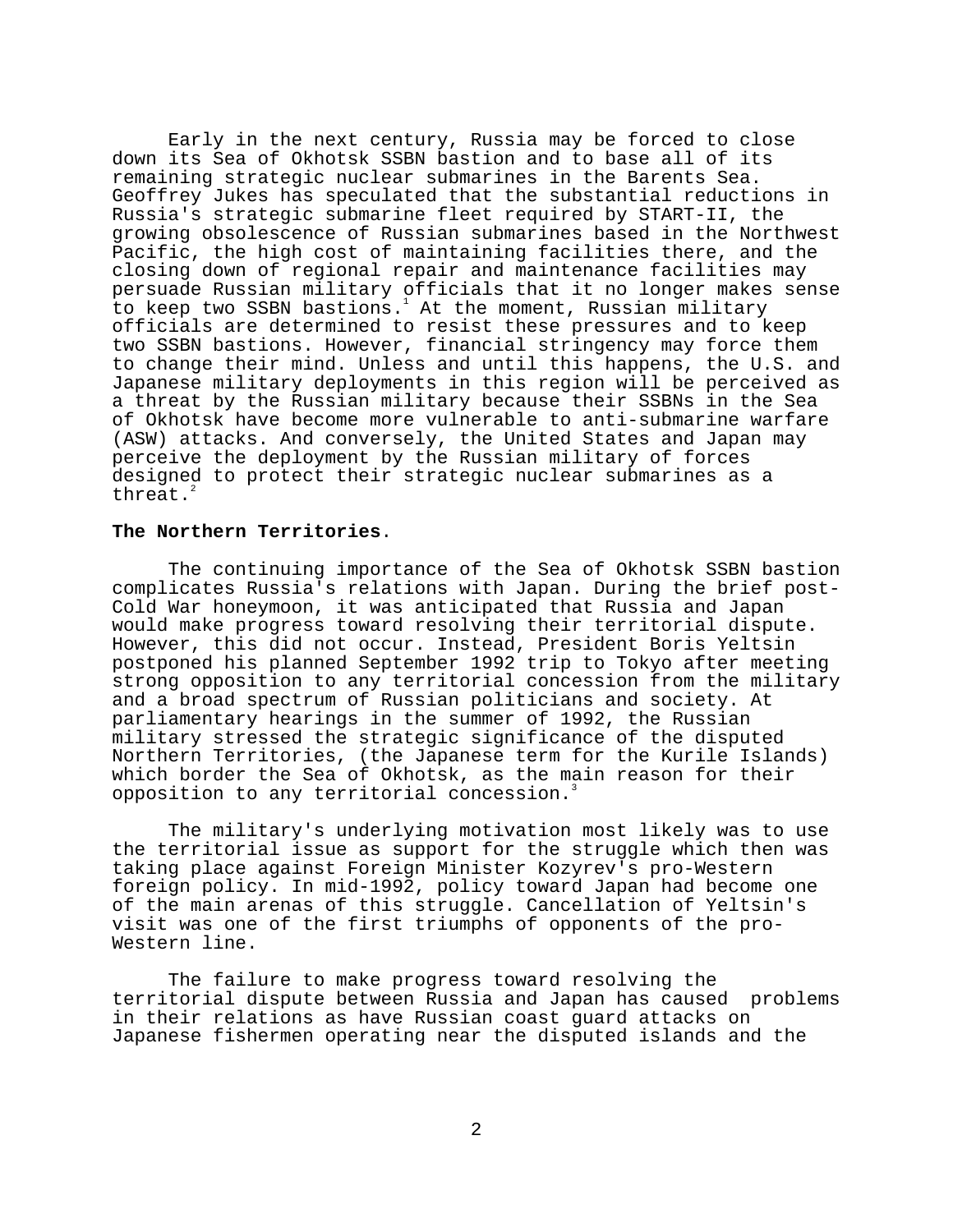Early in the next century, Russia may be forced to close down its Sea of Okhotsk SSBN bastion and to base all of its remaining strategic nuclear submarines in the Barents Sea. Geoffrey Jukes has speculated that the substantial reductions in Russia's strategic submarine fleet required by START-II, the growing obsolescence of Russian submarines based in the Northwest Pacific, the high cost of maintaining facilities there, and the closing down of regional repair and maintenance facilities may persuade Russian military officials that it no longer makes sense to keep two SSBN bastions.<sup>1</sup> At the moment, Russian military officials are determined to resist these pressures and to keep two SSBN bastions. However, financial stringency may force them to change their mind. Unless and until this happens, the U.S. and Japanese military deployments in this region will be perceived as a threat by the Russian military because their SSBNs in the Sea of Okhotsk have become more vulnerable to anti-submarine warfare (ASW) attacks. And conversely, the United States and Japan may perceive the deployment by the Russian military of forces designed to protect their strategic nuclear submarines as a threat.<sup>2</sup>

## **The Northern Territories**.

The continuing importance of the Sea of Okhotsk SSBN bastion complicates Russia's relations with Japan. During the brief post-Cold War honeymoon, it was anticipated that Russia and Japan would make progress toward resolving their territorial dispute. However, this did not occur. Instead, President Boris Yeltsin postponed his planned September 1992 trip to Tokyo after meeting strong opposition to any territorial concession from the military and a broad spectrum of Russian politicians and society. At parliamentary hearings in the summer of 1992, the Russian military stressed the strategic significance of the disputed Northern Territories, (the Japanese term for the Kurile Islands) which border the Sea of Okhotsk, as the main reason for their opposition to any territorial concession.<sup>3</sup>

The military's underlying motivation most likely was to use the territorial issue as support for the struggle which then was taking place against Foreign Minister Kozyrev's pro-Western foreign policy. In mid-1992, policy toward Japan had become one of the main arenas of this struggle. Cancellation of Yeltsin's visit was one of the first triumphs of opponents of the pro-Western line.

The failure to make progress toward resolving the territorial dispute between Russia and Japan has caused problems in their relations as have Russian coast guard attacks on Japanese fishermen operating near the disputed islands and the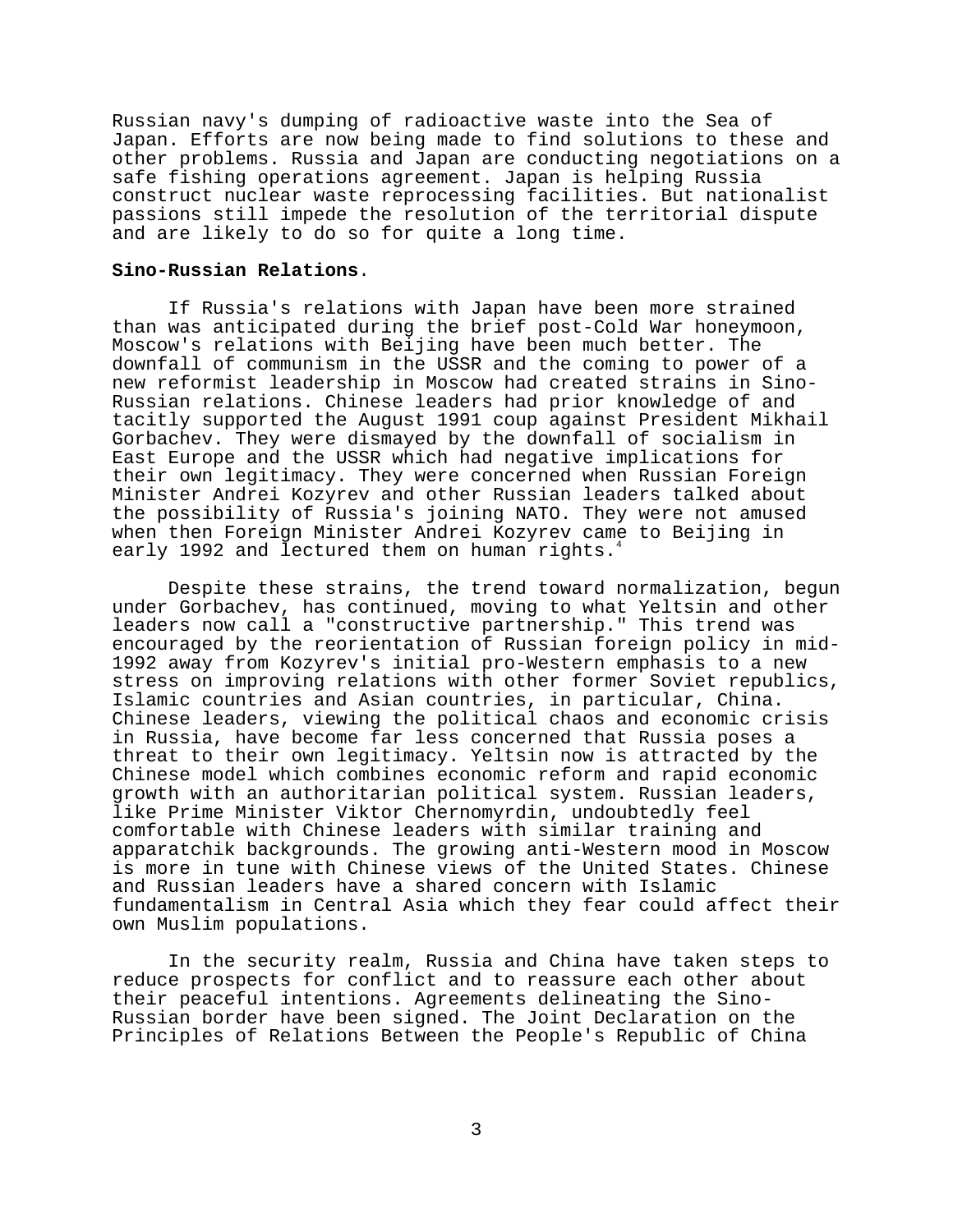Russian navy's dumping of radioactive waste into the Sea of Japan. Efforts are now being made to find solutions to these and other problems. Russia and Japan are conducting negotiations on a safe fishing operations agreement. Japan is helping Russia construct nuclear waste reprocessing facilities. But nationalist passions still impede the resolution of the territorial dispute and are likely to do so for quite a long time.

### **Sino-Russian Relations**.

If Russia's relations with Japan have been more strained than was anticipated during the brief post-Cold War honeymoon, Moscow's relations with Beijing have been much better. The downfall of communism in the USSR and the coming to power of a new reformist leadership in Moscow had created strains in Sino-Russian relations. Chinese leaders had prior knowledge of and tacitly supported the August 1991 coup against President Mikhail Gorbachev. They were dismayed by the downfall of socialism in East Europe and the USSR which had negative implications for their own legitimacy. They were concerned when Russian Foreign Minister Andrei Kozyrev and other Russian leaders talked about the possibility of Russia's joining NATO. They were not amused when then Foreign Minister Andrei Kozyrev came to Beijing in early 1992 and lectured them on human rights.<sup>4</sup>

Despite these strains, the trend toward normalization, begun under Gorbachev, has continued, moving to what Yeltsin and other leaders now call a "constructive partnership." This trend was encouraged by the reorientation of Russian foreign policy in mid-1992 away from Kozyrev's initial pro-Western emphasis to a new stress on improving relations with other former Soviet republics, Islamic countries and Asian countries, in particular, China. Chinese leaders, viewing the political chaos and economic crisis in Russia, have become far less concerned that Russia poses a threat to their own legitimacy. Yeltsin now is attracted by the Chinese model which combines economic reform and rapid economic growth with an authoritarian political system. Russian leaders, like Prime Minister Viktor Chernomyrdin, undoubtedly feel comfortable with Chinese leaders with similar training and apparatchik backgrounds. The growing anti-Western mood in Moscow is more in tune with Chinese views of the United States. Chinese and Russian leaders have a shared concern with Islamic fundamentalism in Central Asia which they fear could affect their own Muslim populations.

In the security realm, Russia and China have taken steps to reduce prospects for conflict and to reassure each other about their peaceful intentions. Agreements delineating the Sino-Russian border have been signed. The Joint Declaration on the Principles of Relations Between the People's Republic of China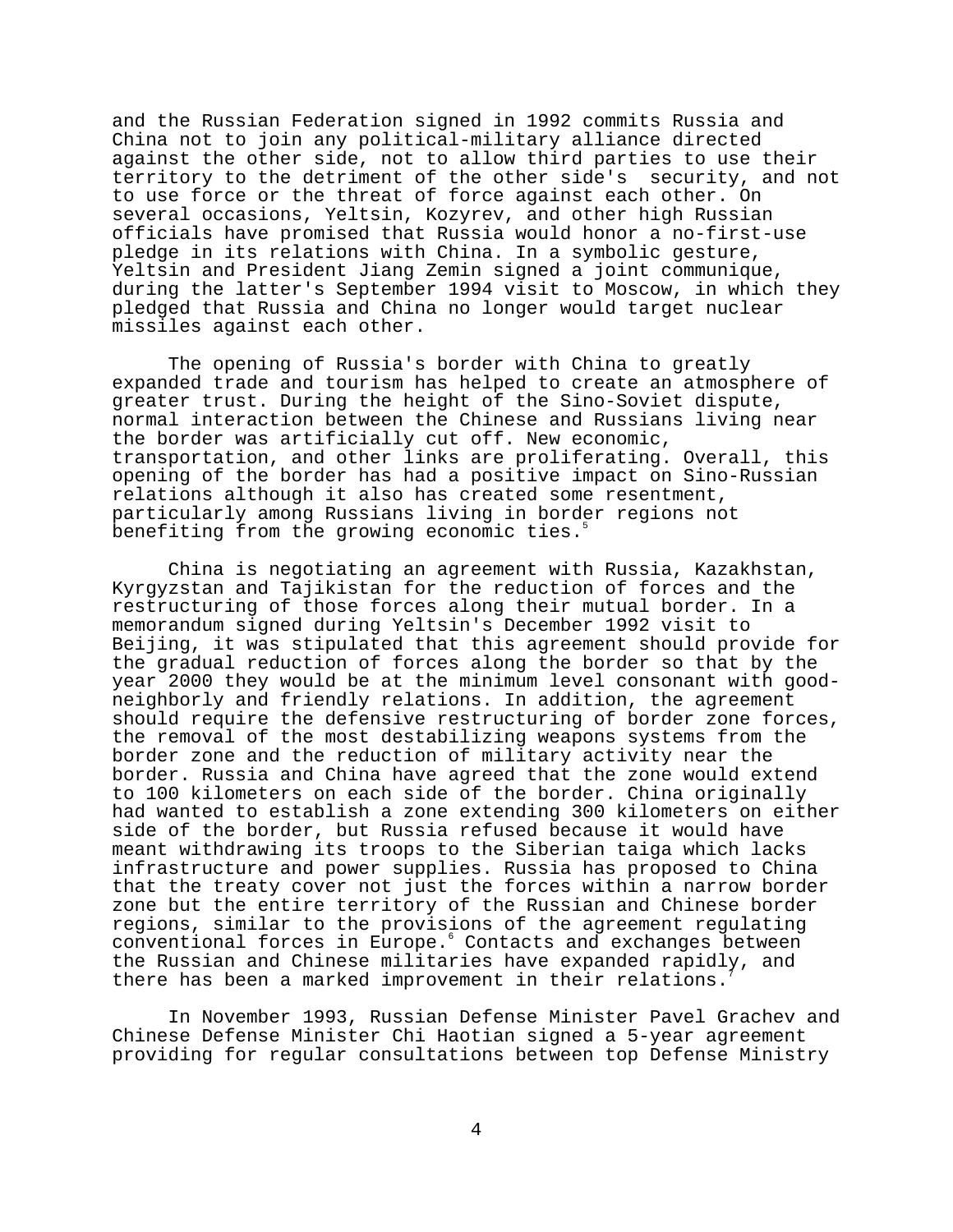and the Russian Federation signed in 1992 commits Russia and China not to join any political-military alliance directed against the other side, not to allow third parties to use their territory to the detriment of the other side's security, and not to use force or the threat of force against each other. On several occasions, Yeltsin, Kozyrev, and other high Russian officials have promised that Russia would honor a no-first-use pledge in its relations with China. In a symbolic gesture, Yeltsin and President Jiang Zemin signed a joint communique, during the latter's September 1994 visit to Moscow, in which they pledged that Russia and China no longer would target nuclear missiles against each other.

The opening of Russia's border with China to greatly expanded trade and tourism has helped to create an atmosphere of greater trust. During the height of the Sino-Soviet dispute, normal interaction between the Chinese and Russians living near the border was artificially cut off. New economic, transportation, and other links are proliferating. Overall, this opening of the border has had a positive impact on Sino-Russian relations although it also has created some resentment, particularly among Russians living in border regions not benefiting from the growing economic ties.

China is negotiating an agreement with Russia, Kazakhstan, Kyrgyzstan and Tajikistan for the reduction of forces and the restructuring of those forces along their mutual border. In a memorandum signed during Yeltsin's December 1992 visit to Beijing, it was stipulated that this agreement should provide for the gradual reduction of forces along the border so that by the year 2000 they would be at the minimum level consonant with goodneighborly and friendly relations. In addition, the agreement should require the defensive restructuring of border zone forces, the removal of the most destabilizing weapons systems from the border zone and the reduction of military activity near the border. Russia and China have agreed that the zone would extend to 100 kilometers on each side of the border. China originally had wanted to establish a zone extending 300 kilometers on either side of the border, but Russia refused because it would have meant withdrawing its troops to the Siberian taiga which lacks infrastructure and power supplies. Russia has proposed to China that the treaty cover not just the forces within a narrow border zone but the entire territory of the Russian and Chinese border regions, similar to the provisions of the agreement regulating conventional forces in Europe.<sup>6</sup> Contacts and exchanges between the Russian and Chinese militaries have expanded rapidly, and there has been a marked improvement in their relations.

In November 1993, Russian Defense Minister Pavel Grachev and Chinese Defense Minister Chi Haotian signed a 5-year agreement providing for regular consultations between top Defense Ministry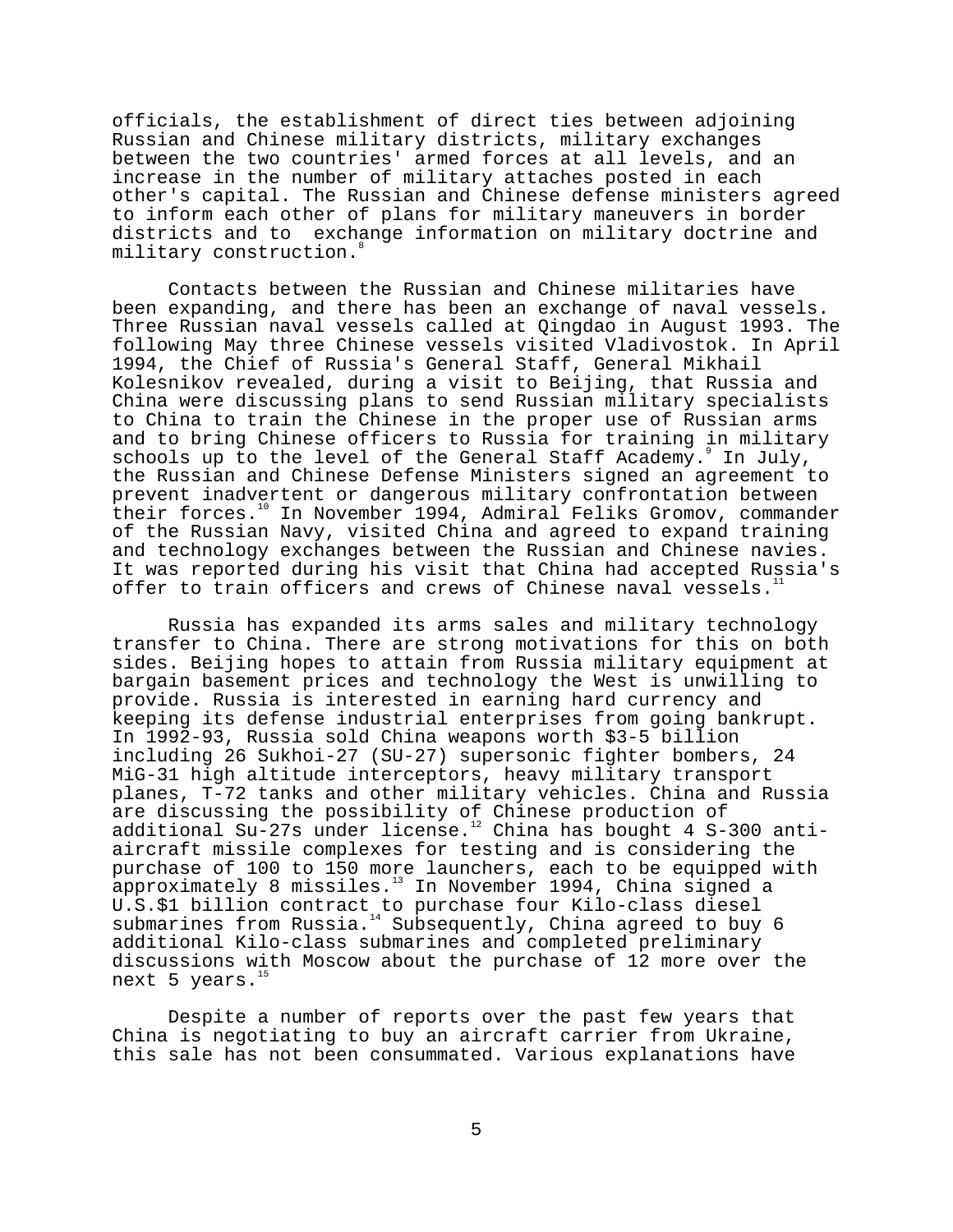officials, the establishment of direct ties between adjoining Russian and Chinese military districts, military exchanges between the two countries' armed forces at all levels, and an increase in the number of military attaches posted in each other's capital. The Russian and Chinese defense ministers agreed to inform each other of plans for military maneuvers in border districts and to exchange information on military doctrine and military construction.<sup>8</sup>

Contacts between the Russian and Chinese militaries have been expanding, and there has been an exchange of naval vessels. Three Russian naval vessels called at Qingdao in August 1993. The following May three Chinese vessels visited Vladivostok. In April 1994, the Chief of Russia's General Staff, General Mikhail Kolesnikov revealed, during a visit to Beijing, that Russia and China were discussing plans to send Russian military specialists to China to train the Chinese in the proper use of Russian arms and to bring Chinese officers to Russia for training in military schools up to the level of the General Staff Academy. In July, the Russian and Chinese Defense Ministers signed an agreement to prevent inadvertent or dangerous military confrontation between their forces.<sup>10</sup> In November 1994, Admiral Feliks Gromov, commander of the Russian Navy, visited China and agreed to expand training and technology exchanges between the Russian and Chinese navies. It was reported during his visit that China had accepted Russia's offer to train officers and crews of Chinese naval vessels.<sup>1</sup>

Russia has expanded its arms sales and military technology transfer to China. There are strong motivations for this on both sides. Beijing hopes to attain from Russia military equipment at bargain basement prices and technology the West is unwilling to provide. Russia is interested in earning hard currency and keeping its defense industrial enterprises from going bankrupt. In 1992-93, Russia sold China weapons worth \$3-5 billion including 26 Sukhoi-27 (SU-27) supersonic fighter bombers, 24 MiG-31 high altitude interceptors, heavy military transport planes, T-72 tanks and other military vehicles. China and Russia are discussing the possibility of Chinese production of additional Su-27s under license.<sup>12</sup> China has bought 4 S-300 antiaircraft missile complexes for testing and is considering the purchase of 100 to 150 more launchers, each to be equipped with approximately 8 missiles.<sup>13</sup> In November 1994, China signed a U.S.\$1 billion contract to purchase four Kilo-class diesel submarines from Russia.<sup>14</sup> Subsequently, China agreed to buy 6 additional Kilo-class submarines and completed preliminary discussions with Moscow about the purchase of 12 more over the next 5 years. $<sup>1</sup>$ </sup>

Despite a number of reports over the past few years that China is negotiating to buy an aircraft carrier from Ukraine, this sale has not been consummated. Various explanations have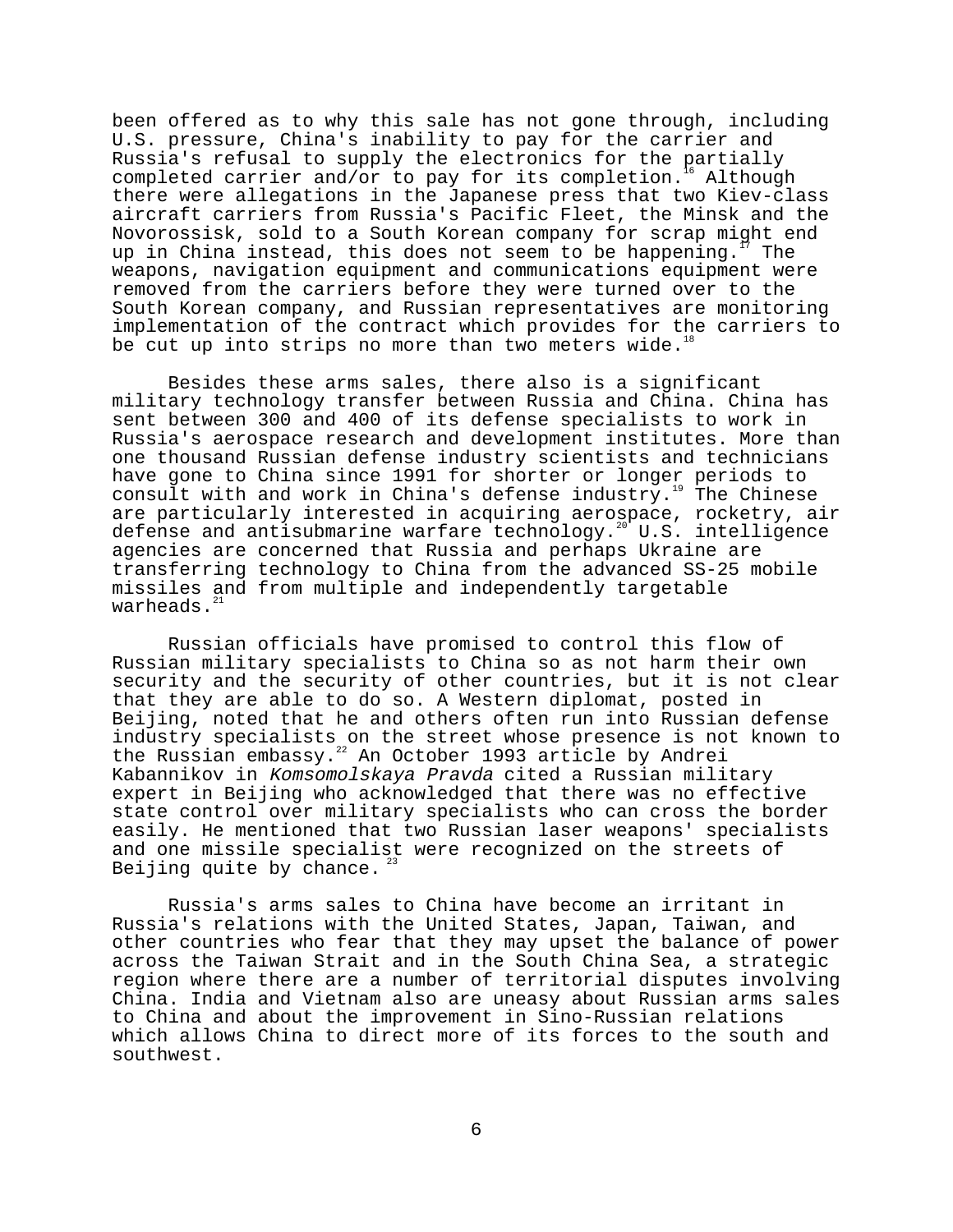been offered as to why this sale has not gone through, including U.S. pressure, China's inability to pay for the carrier and Russia's refusal to supply the electronics for the partially completed carrier and/or to pay for its completion.<sup>16</sup> Although completed carrier and/or to pay for its completion.<sup>16</sup> there were allegations in the Japanese press that two Kiev-class aircraft carriers from Russia's Pacific Fleet, the Minsk and the Novorossisk, sold to a South Korean company for scrap might end up in China instead, this does not seem to be happening.<sup>17</sup> The weapons, navigation equipment and communications equipment were removed from the carriers before they were turned over to the South Korean company, and Russian representatives are monitoring implementation of the contract which provides for the carriers to be cut up into strips no more than two meters wide.<sup>16</sup>

Besides these arms sales, there also is a significant military technology transfer between Russia and China. China has sent between 300 and 400 of its defense specialists to work in Russia's aerospace research and development institutes. More than one thousand Russian defense industry scientists and technicians have gone to China since 1991 for shorter or longer periods to consult with and work in China's defense industry.<sup>19</sup> The Chinese are particularly interested in acquiring aerospace, rocketry, air defense and antisubmarine warfare technology.<sup>20</sup> U.S. intelligence agencies are concerned that Russia and perhaps Ukraine are transferring technology to China from the advanced SS-25 mobile missiles and from multiple and independently targetable warheads.<sup>2</sup>

Russian officials have promised to control this flow of Russian military specialists to China so as not harm their own security and the security of other countries, but it is not clear that they are able to do so. A Western diplomat, posted in Beijing, noted that he and others often run into Russian defense industry specialists on the street whose presence is not known to the Russian embassy.<sup>22</sup> An October 1993 article by Andrei Kabannikov in Komsomolskaya Pravda cited a Russian military expert in Beijing who acknowledged that there was no effective state control over military specialists who can cross the border easily. He mentioned that two Russian laser weapons' specialists and one missile specialist were recognized on the streets of Beijing quite by chance.

Russia's arms sales to China have become an irritant in Russia's relations with the United States, Japan, Taiwan, and other countries who fear that they may upset the balance of power across the Taiwan Strait and in the South China Sea, a strategic region where there are a number of territorial disputes involving China. India and Vietnam also are uneasy about Russian arms sales to China and about the improvement in Sino-Russian relations which allows China to direct more of its forces to the south and southwest.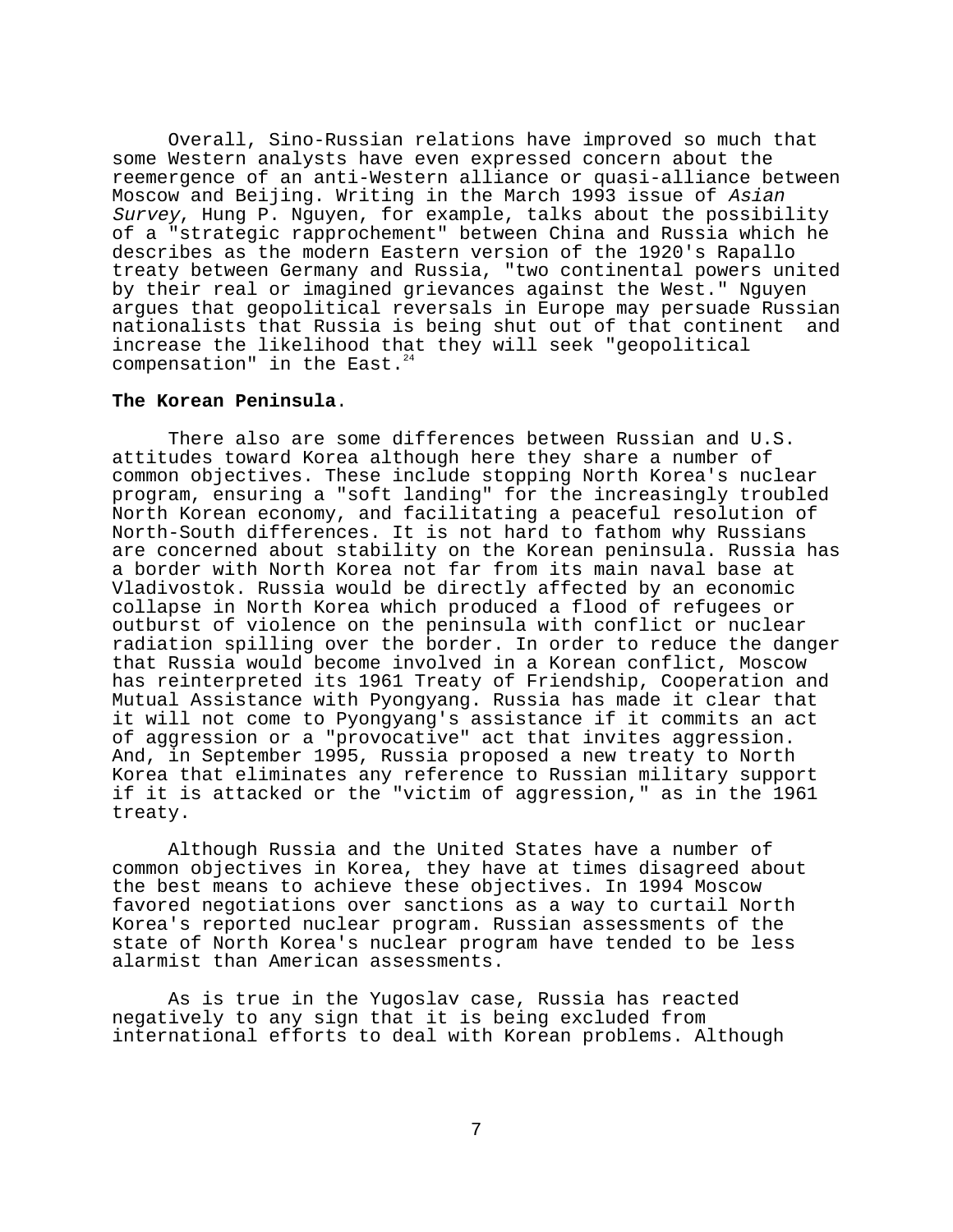Overall, Sino-Russian relations have improved so much that some Western analysts have even expressed concern about the reemergence of an anti-Western alliance or quasi-alliance between Moscow and Beijing. Writing in the March 1993 issue of Asian Survey, Hung P. Nguyen, for example, talks about the possibility of a "strategic rapprochement" between China and Russia which he describes as the modern Eastern version of the 1920's Rapallo treaty between Germany and Russia, "two continental powers united by their real or imagined grievances against the West." Nguyen argues that geopolitical reversals in Europe may persuade Russian nationalists that Russia is being shut out of that continent and increase the likelihood that they will seek "geopolitical compensation" in the East. $^{2}$ 

### **The Korean Peninsula**.

There also are some differences between Russian and U.S. attitudes toward Korea although here they share a number of common objectives. These include stopping North Korea's nuclear program, ensuring a "soft landing" for the increasingly troubled North Korean economy, and facilitating a peaceful resolution of North-South differences. It is not hard to fathom why Russians are concerned about stability on the Korean peninsula. Russia has a border with North Korea not far from its main naval base at Vladivostok. Russia would be directly affected by an economic collapse in North Korea which produced a flood of refugees or outburst of violence on the peninsula with conflict or nuclear radiation spilling over the border. In order to reduce the danger that Russia would become involved in a Korean conflict, Moscow has reinterpreted its 1961 Treaty of Friendship, Cooperation and Mutual Assistance with Pyongyang. Russia has made it clear that it will not come to Pyongyang's assistance if it commits an act of aggression or a "provocative" act that invites aggression. And, in September 1995, Russia proposed a new treaty to North Korea that eliminates any reference to Russian military support if it is attacked or the "victim of aggression," as in the 1961 treaty.

Although Russia and the United States have a number of common objectives in Korea, they have at times disagreed about the best means to achieve these objectives. In 1994 Moscow favored negotiations over sanctions as a way to curtail North Korea's reported nuclear program. Russian assessments of the state of North Korea's nuclear program have tended to be less alarmist than American assessments.

As is true in the Yugoslav case, Russia has reacted negatively to any sign that it is being excluded from international efforts to deal with Korean problems. Although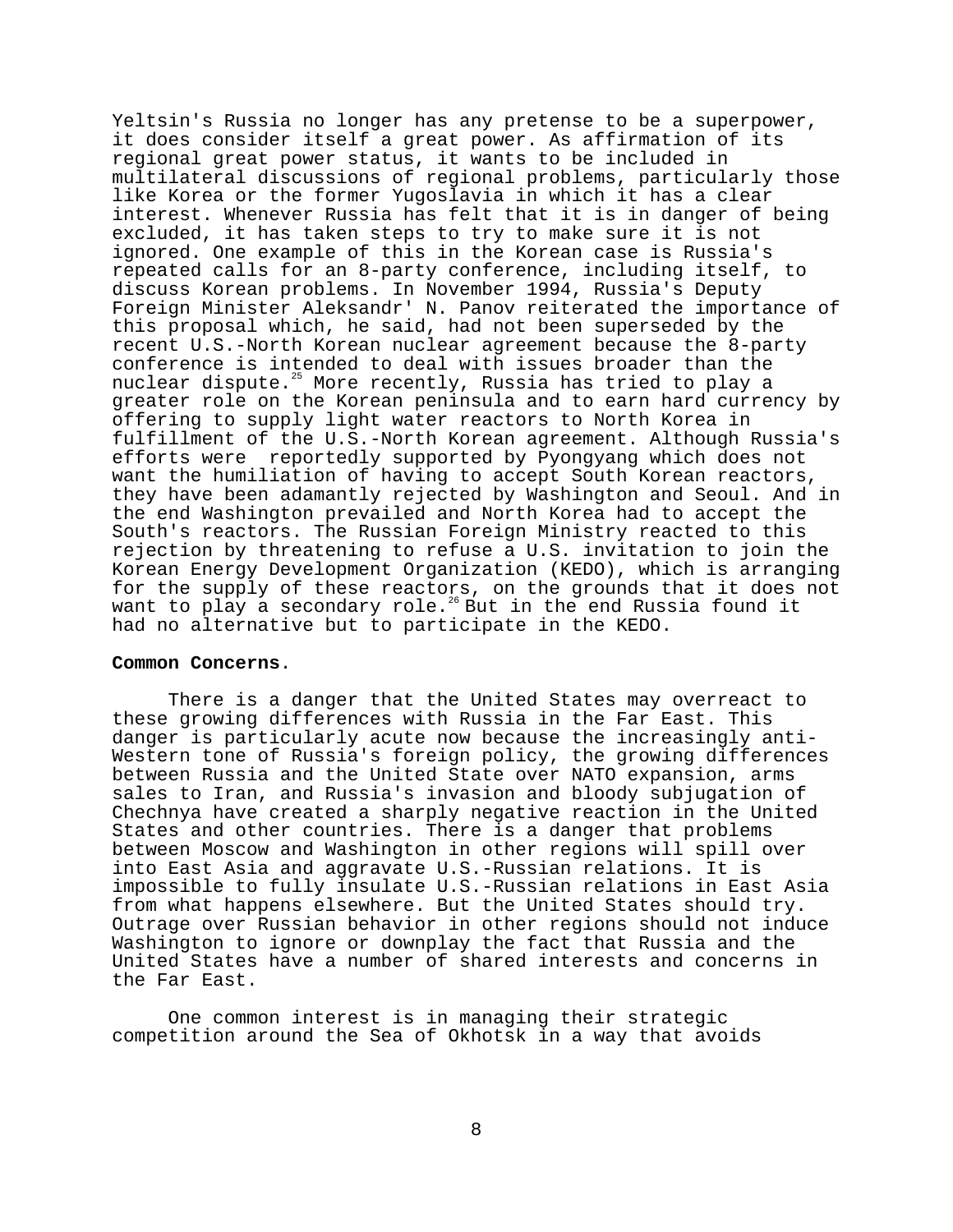Yeltsin's Russia no longer has any pretense to be a superpower, it does consider itself a great power. As affirmation of its regional great power status, it wants to be included in multilateral discussions of regional problems, particularly those like Korea or the former Yugoslavia in which it has a clear interest. Whenever Russia has felt that it is in danger of being excluded, it has taken steps to try to make sure it is not ignored. One example of this in the Korean case is Russia's repeated calls for an 8-party conference, including itself, to discuss Korean problems. In November 1994, Russia's Deputy Foreign Minister Aleksandr' N. Panov reiterated the importance of this proposal which, he said, had not been superseded by the recent U.S.-North Korean nuclear agreement because the 8-party conference is intended to deal with issues broader than the nuclear dispute.<sup>25</sup> More recently, Russia has tried to play a greater role on the Korean peninsula and to earn hard currency by offering to supply light water reactors to North Korea in fulfillment of the U.S.-North Korean agreement. Although Russia's efforts were reportedly supported by Pyongyang which does not want the humiliation of having to accept South Korean reactors, they have been adamantly rejected by Washington and Seoul. And in the end Washington prevailed and North Korea had to accept the South's reactors. The Russian Foreign Ministry reacted to this rejection by threatening to refuse a U.S. invitation to join the Korean Energy Development Organization (KEDO), which is arranging for the supply of these reactors, on the grounds that it does not want to play a secondary role.<sup>26</sup> But in the end Russia found it had no alternative but to participate in the KEDO.

### **Common Concerns**.

There is a danger that the United States may overreact to these growing differences with Russia in the Far East. This danger is particularly acute now because the increasingly anti-Western tone of Russia's foreign policy, the growing differences between Russia and the United State over NATO expansion, arms sales to Iran, and Russia's invasion and bloody subjugation of Chechnya have created a sharply negative reaction in the United States and other countries. There is a danger that problems between Moscow and Washington in other regions will spill over into East Asia and aggravate U.S.-Russian relations. It is impossible to fully insulate U.S.-Russian relations in East Asia from what happens elsewhere. But the United States should try. Outrage over Russian behavior in other regions should not induce Washington to ignore or downplay the fact that Russia and the United States have a number of shared interests and concerns in the Far East.

One common interest is in managing their strategic competition around the Sea of Okhotsk in a way that avoids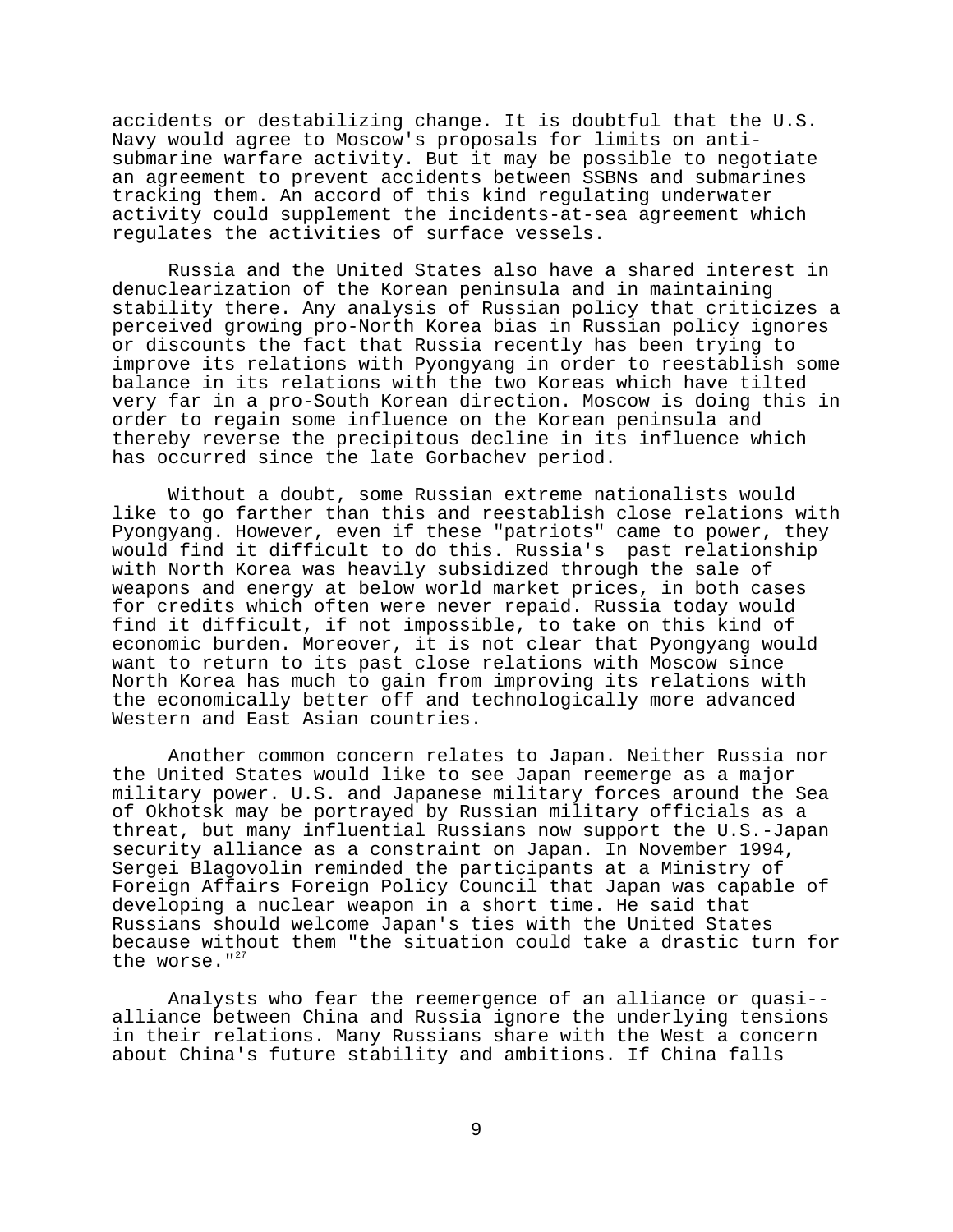accidents or destabilizing change. It is doubtful that the U.S. Navy would agree to Moscow's proposals for limits on antisubmarine warfare activity. But it may be possible to negotiate an agreement to prevent accidents between SSBNs and submarines tracking them. An accord of this kind regulating underwater activity could supplement the incidents-at-sea agreement which regulates the activities of surface vessels.

Russia and the United States also have a shared interest in denuclearization of the Korean peninsula and in maintaining stability there. Any analysis of Russian policy that criticizes a perceived growing pro-North Korea bias in Russian policy ignores or discounts the fact that Russia recently has been trying to improve its relations with Pyongyang in order to reestablish some balance in its relations with the two Koreas which have tilted very far in a pro-South Korean direction. Moscow is doing this in order to regain some influence on the Korean peninsula and thereby reverse the precipitous decline in its influence which has occurred since the late Gorbachev period.

Without a doubt, some Russian extreme nationalists would like to go farther than this and reestablish close relations with Pyongyang. However, even if these "patriots" came to power, they would find it difficult to do this. Russia's past relationship with North Korea was heavily subsidized through the sale of weapons and energy at below world market prices, in both cases for credits which often were never repaid. Russia today would find it difficult, if not impossible, to take on this kind of economic burden. Moreover, it is not clear that Pyongyang would want to return to its past close relations with Moscow since North Korea has much to gain from improving its relations with the economically better off and technologically more advanced Western and East Asian countries.

Another common concern relates to Japan. Neither Russia nor the United States would like to see Japan reemerge as a major military power. U.S. and Japanese military forces around the Sea of Okhotsk may be portrayed by Russian military officials as a threat, but many influential Russians now support the U.S.-Japan security alliance as a constraint on Japan. In November 1994, Sergei Blagovolin reminded the participants at a Ministry of Foreign Affairs Foreign Policy Council that Japan was capable of developing a nuclear weapon in a short time. He said that Russians should welcome Japan's ties with the United States because without them "the situation could take a drastic turn for the worse."<sup>27</sup>

Analysts who fear the reemergence of an alliance or quasi- alliance between China and Russia ignore the underlying tensions in their relations. Many Russians share with the West a concern about China's future stability and ambitions. If China falls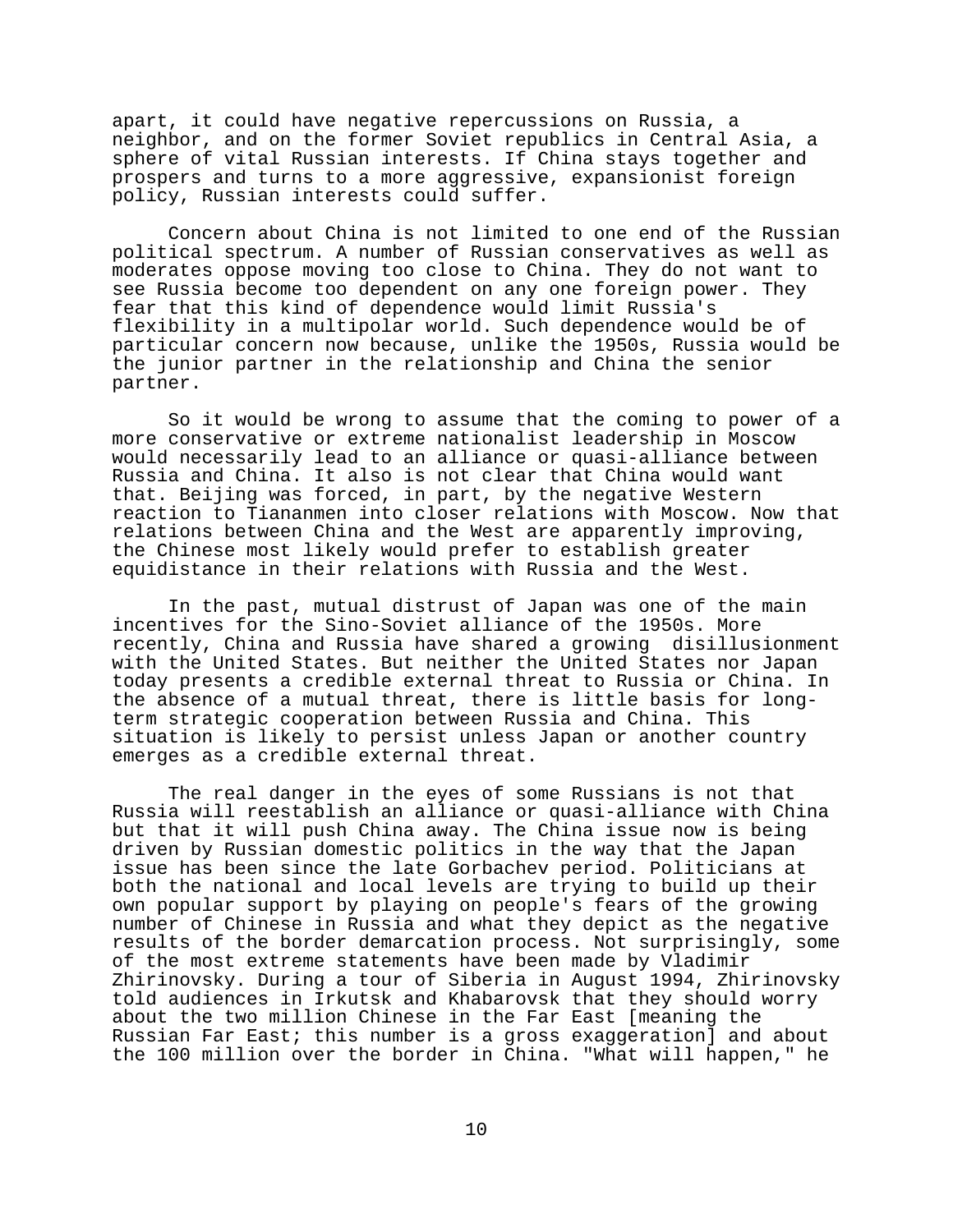apart, it could have negative repercussions on Russia, a neighbor, and on the former Soviet republics in Central Asia, a sphere of vital Russian interests. If China stays together and prospers and turns to a more aggressive, expansionist foreign policy, Russian interests could suffer.

Concern about China is not limited to one end of the Russian political spectrum. A number of Russian conservatives as well as moderates oppose moving too close to China. They do not want to see Russia become too dependent on any one foreign power. They fear that this kind of dependence would limit Russia's flexibility in a multipolar world. Such dependence would be of particular concern now because, unlike the 1950s, Russia would be the junior partner in the relationship and China the senior partner.

So it would be wrong to assume that the coming to power of a more conservative or extreme nationalist leadership in Moscow would necessarily lead to an alliance or quasi-alliance between Russia and China. It also is not clear that China would want that. Beijing was forced, in part, by the negative Western reaction to Tiananmen into closer relations with Moscow. Now that relations between China and the West are apparently improving, the Chinese most likely would prefer to establish greater equidistance in their relations with Russia and the West.

In the past, mutual distrust of Japan was one of the main incentives for the Sino-Soviet alliance of the 1950s. More recently, China and Russia have shared a growing disillusionment with the United States. But neither the United States nor Japan today presents a credible external threat to Russia or China. In the absence of a mutual threat, there is little basis for longterm strategic cooperation between Russia and China. This situation is likely to persist unless Japan or another country emerges as a credible external threat.

The real danger in the eyes of some Russians is not that Russia will reestablish an alliance or quasi-alliance with China but that it will push China away. The China issue now is being driven by Russian domestic politics in the way that the Japan issue has been since the late Gorbachev period. Politicians at both the national and local levels are trying to build up their own popular support by playing on people's fears of the growing number of Chinese in Russia and what they depict as the negative results of the border demarcation process. Not surprisingly, some of the most extreme statements have been made by Vladimir Zhirinovsky. During a tour of Siberia in August 1994, Zhirinovsky told audiences in Irkutsk and Khabarovsk that they should worry about the two million Chinese in the Far East [meaning the Russian Far East; this number is a gross exaggeration] and about the 100 million over the border in China. "What will happen," he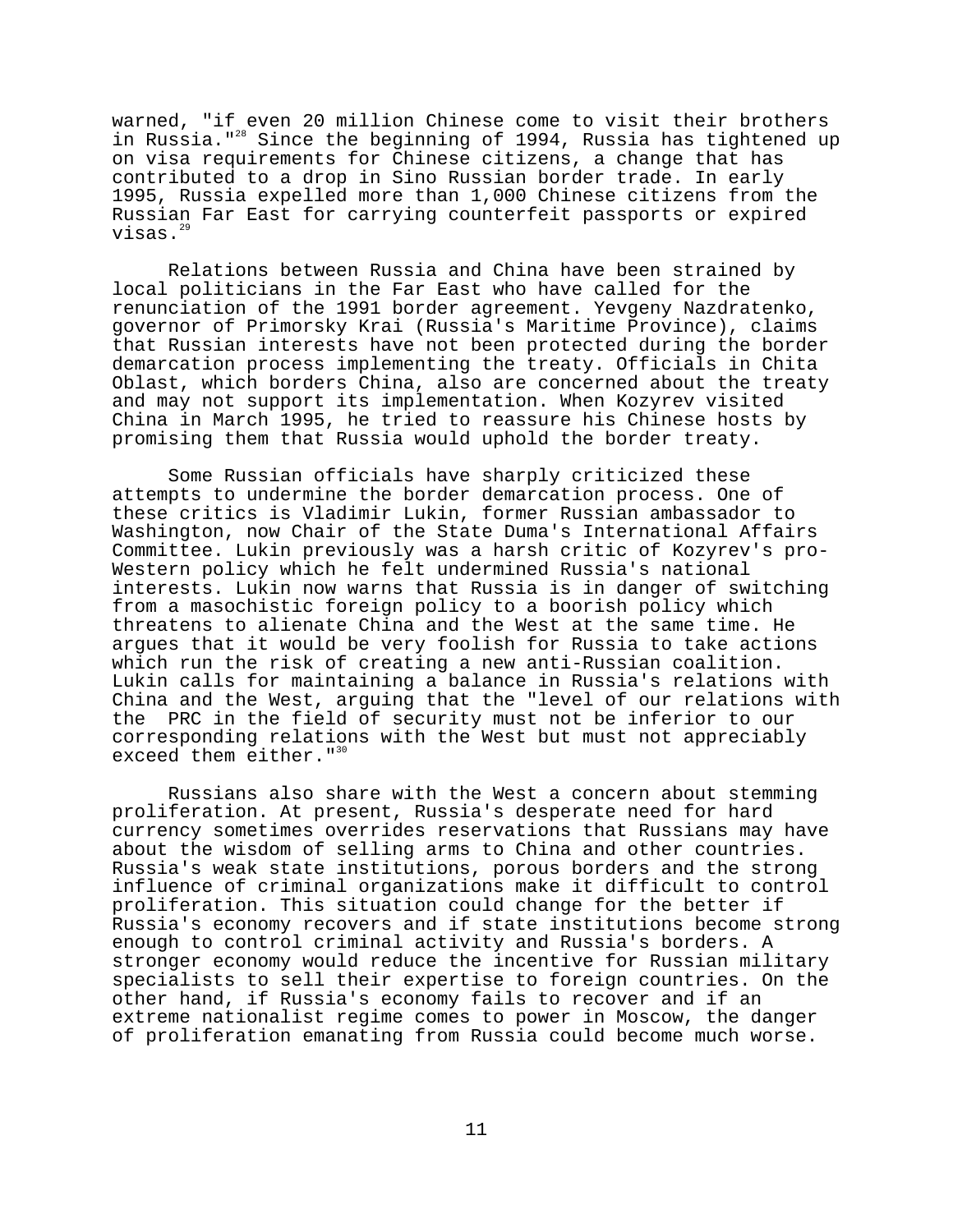warned, "if even 20 million Chinese come to visit their brothers in Russia."28 Since the beginning of 1994, Russia has tightened up on visa requirements for Chinese citizens, a change that has contributed to a drop in Sino Russian border trade. In early 1995, Russia expelled more than 1,000 Chinese citizens from the Russian Far East for carrying counterfeit passports or expired visas. $^{2}$ 

Relations between Russia and China have been strained by local politicians in the Far East who have called for the renunciation of the 1991 border agreement. Yevgeny Nazdratenko, governor of Primorsky Krai (Russia's Maritime Province), claims that Russian interests have not been protected during the border demarcation process implementing the treaty. Officials in Chita Oblast, which borders China, also are concerned about the treaty and may not support its implementation. When Kozyrev visited China in March 1995, he tried to reassure his Chinese hosts by promising them that Russia would uphold the border treaty.

Some Russian officials have sharply criticized these attempts to undermine the border demarcation process. One of these critics is Vladimir Lukin, former Russian ambassador to Washington, now Chair of the State Duma's International Affairs Committee. Lukin previously was a harsh critic of Kozyrev's pro-Western policy which he felt undermined Russia's national interests. Lukin now warns that Russia is in danger of switching from a masochistic foreign policy to a boorish policy which threatens to alienate China and the West at the same time. He argues that it would be very foolish for Russia to take actions which run the risk of creating a new anti-Russian coalition. Lukin calls for maintaining a balance in Russia's relations with China and the West, arguing that the "level of our relations with the PRC in the field of security must not be inferior to our corresponding relations with the West but must not appreciably exceed them either."<sup>30</sup>

Russians also share with the West a concern about stemming proliferation. At present, Russia's desperate need for hard currency sometimes overrides reservations that Russians may have about the wisdom of selling arms to China and other countries. Russia's weak state institutions, porous borders and the strong influence of criminal organizations make it difficult to control proliferation. This situation could change for the better if Russia's economy recovers and if state institutions become strong enough to control criminal activity and Russia's borders. A stronger economy would reduce the incentive for Russian military specialists to sell their expertise to foreign countries. On the other hand, if Russia's economy fails to recover and if an extreme nationalist regime comes to power in Moscow, the danger of proliferation emanating from Russia could become much worse.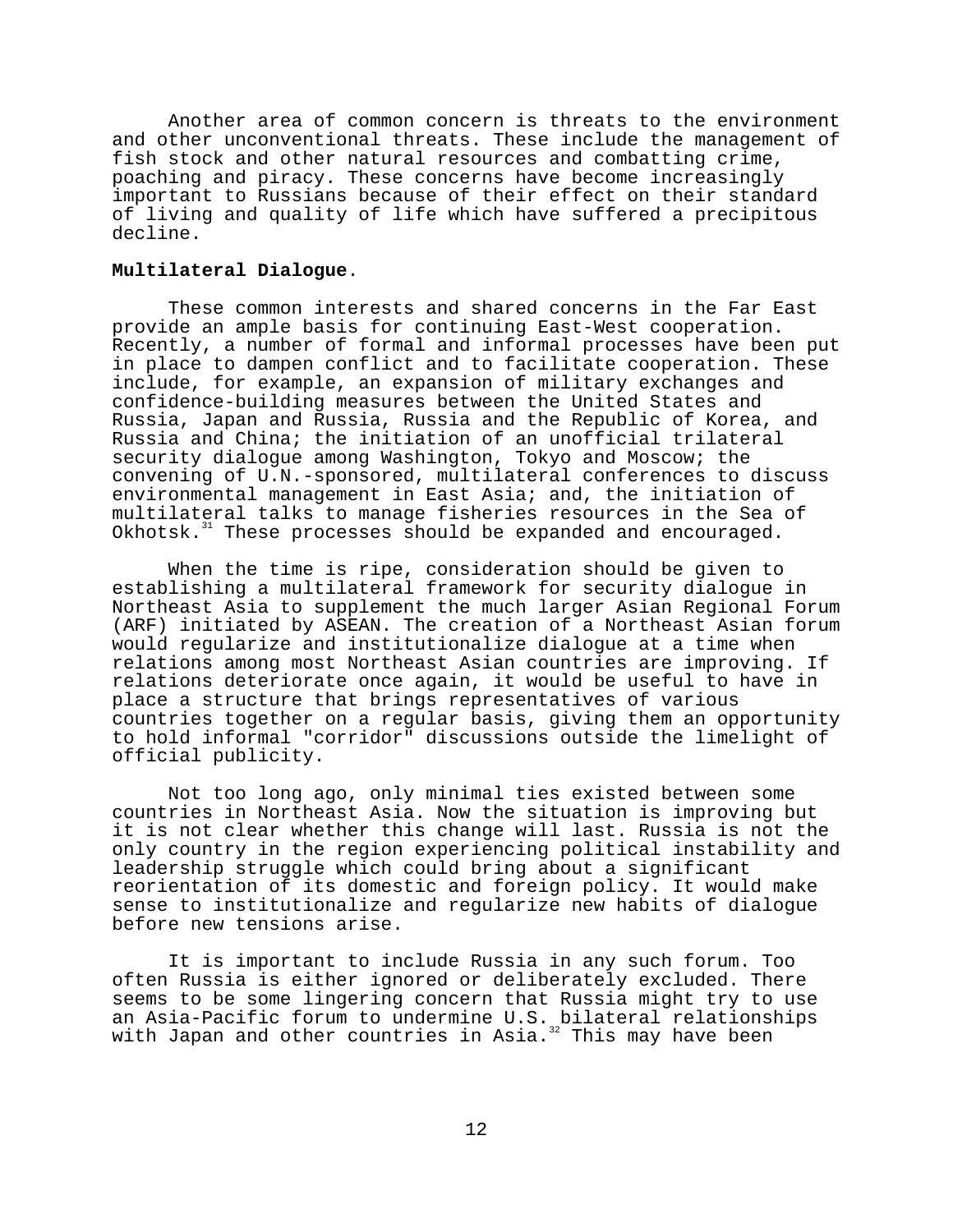Another area of common concern is threats to the environment and other unconventional threats. These include the management of fish stock and other natural resources and combatting crime, poaching and piracy. These concerns have become increasingly important to Russians because of their effect on their standard of living and quality of life which have suffered a precipitous decline.

#### **Multilateral Dialogue**.

These common interests and shared concerns in the Far East provide an ample basis for continuing East-West cooperation. Recently, a number of formal and informal processes have been put in place to dampen conflict and to facilitate cooperation. These include, for example, an expansion of military exchanges and confidence-building measures between the United States and Russia, Japan and Russia, Russia and the Republic of Korea, and Russia and China; the initiation of an unofficial trilateral security dialogue among Washington, Tokyo and Moscow; the convening of U.N.-sponsored, multilateral conferences to discuss environmental management in East Asia; and, the initiation of multilateral talks to manage fisheries resources in the Sea of Okhotsk.<sup>31</sup> These processes should be expanded and encouraged.

When the time is ripe, consideration should be given to establishing a multilateral framework for security dialogue in Northeast Asia to supplement the much larger Asian Regional Forum (ARF) initiated by ASEAN. The creation of a Northeast Asian forum would regularize and institutionalize dialogue at a time when relations among most Northeast Asian countries are improving. If relations deteriorate once again, it would be useful to have in place a structure that brings representatives of various countries together on a regular basis, giving them an opportunity to hold informal "corridor" discussions outside the limelight of official publicity.

Not too long ago, only minimal ties existed between some countries in Northeast Asia. Now the situation is improving but it is not clear whether this change will last. Russia is not the only country in the region experiencing political instability and leadership struggle which could bring about a significant reorientation of its domestic and foreign policy. It would make sense to institutionalize and regularize new habits of dialogue before new tensions arise.

It is important to include Russia in any such forum. Too often Russia is either ignored or deliberately excluded. There seems to be some lingering concern that Russia might try to use an Asia-Pacific forum to undermine U.S. bilateral relationships with Japan and other countries in Asia. $^{32}$  This may have been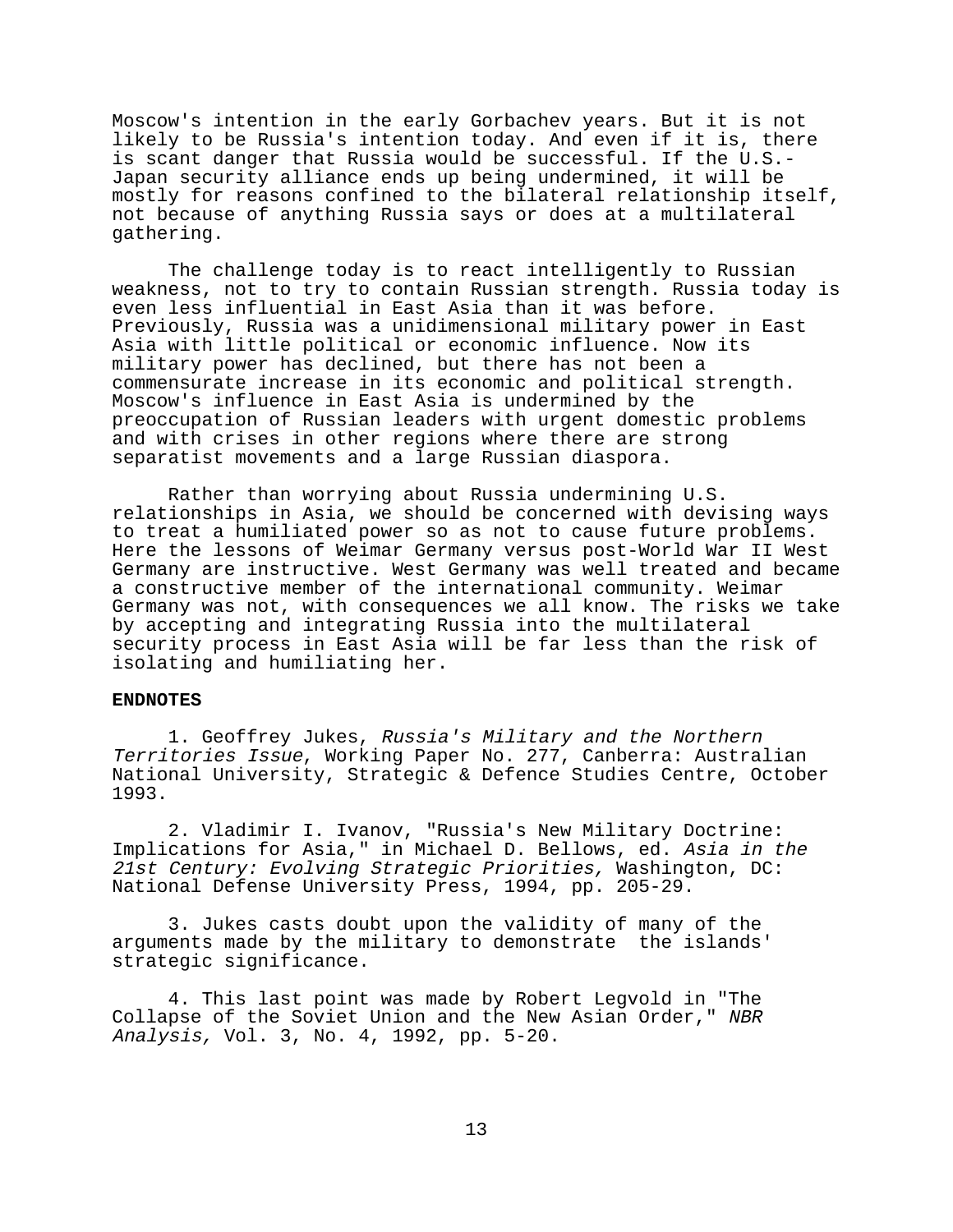Moscow's intention in the early Gorbachev years. But it is not likely to be Russia's intention today. And even if it is, there is scant danger that Russia would be successful. If the U.S.- Japan security alliance ends up being undermined, it will be mostly for reasons confined to the bilateral relationship itself, not because of anything Russia says or does at a multilateral gathering.

The challenge today is to react intelligently to Russian weakness, not to try to contain Russian strength. Russia today is even less influential in East Asia than it was before. Previously, Russia was a unidimensional military power in East Asia with little political or economic influence. Now its military power has declined, but there has not been a commensurate increase in its economic and political strength. Moscow's influence in East Asia is undermined by the preoccupation of Russian leaders with urgent domestic problems and with crises in other regions where there are strong separatist movements and a large Russian diaspora.

Rather than worrying about Russia undermining U.S. relationships in Asia, we should be concerned with devising ways to treat a humiliated power so as not to cause future problems. Here the lessons of Weimar Germany versus post-World War II West Germany are instructive. West Germany was well treated and became a constructive member of the international community. Weimar Germany was not, with consequences we all know. The risks we take by accepting and integrating Russia into the multilateral security process in East Asia will be far less than the risk of isolating and humiliating her.

### **ENDNOTES**

1. Geoffrey Jukes, Russia's Military and the Northern Territories Issue, Working Paper No. 277, Canberra: Australian National University, Strategic & Defence Studies Centre, October 1993.

2. Vladimir I. Ivanov, "Russia's New Military Doctrine: Implications for Asia," in Michael D. Bellows, ed. Asia in the 21st Century: Evolving Strategic Priorities, Washington, DC: National Defense University Press, 1994, pp. 205-29.

3. Jukes casts doubt upon the validity of many of the arguments made by the military to demonstrate the islands' strategic significance.

4. This last point was made by Robert Legvold in "The Collapse of the Soviet Union and the New Asian Order," NBR Analysis, Vol. 3, No. 4, 1992, pp. 5-20.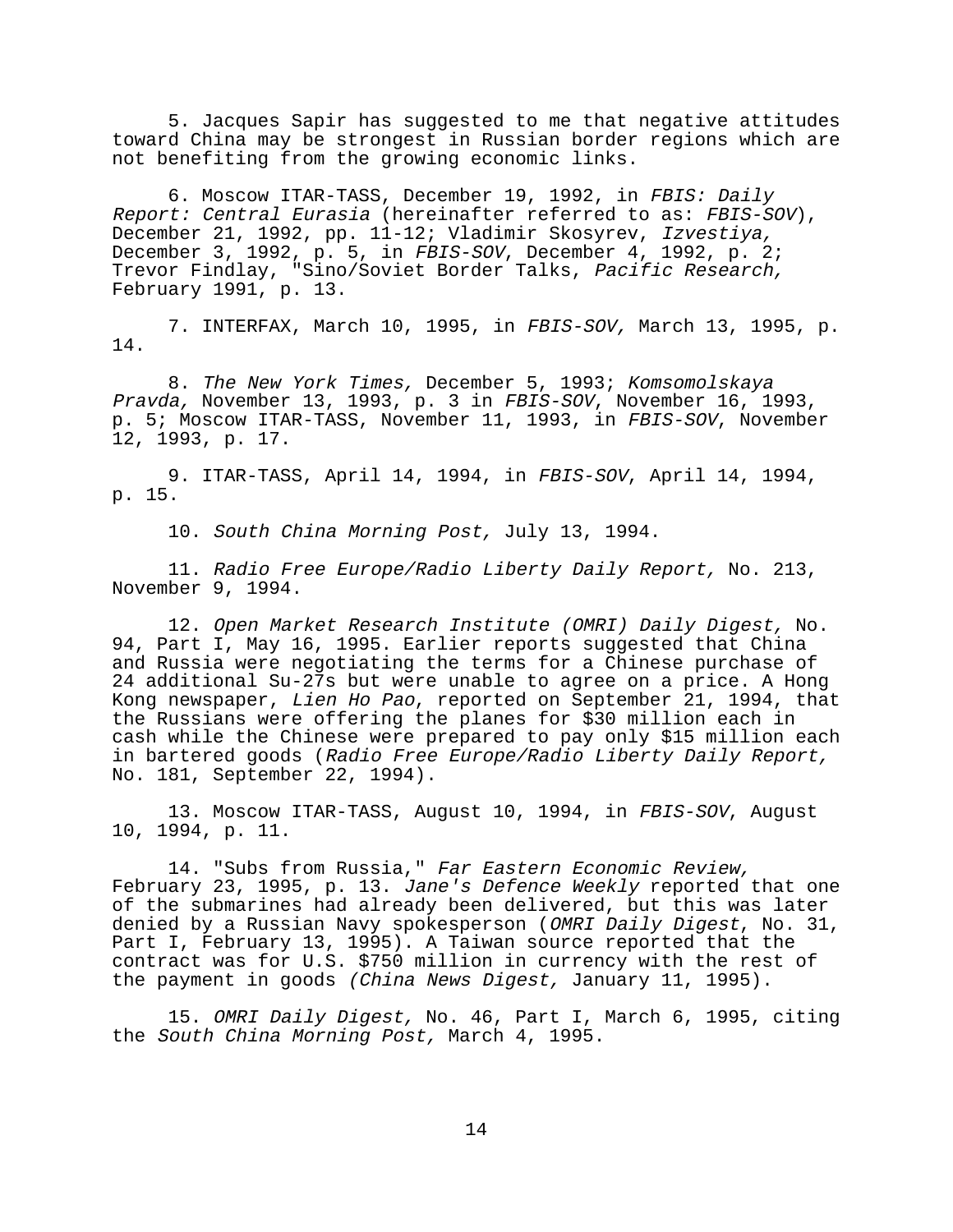5. Jacques Sapir has suggested to me that negative attitudes toward China may be strongest in Russian border regions which are not benefiting from the growing economic links.

6. Moscow ITAR-TASS, December 19, 1992, in FBIS: Daily Report: Central Eurasia (hereinafter referred to as: FBIS-SOV), December 21, 1992, pp. 11-12; Vladimir Skosyrev, Izvestiya, December 3, 1992, p. 5, in FBIS-SOV, December 4, 1992, p. 2; Trevor Findlay, "Sino/Soviet Border Talks, Pacific Research, February 1991, p. 13.

7. INTERFAX, March 10, 1995, in FBIS-SOV, March 13, 1995, p. 14.

8. The New York Times, December 5, 1993; Komsomolskaya Pravda, November 13, 1993, p. 3 in FBIS-SOV, November 16, 1993, p. 5; Moscow ITAR-TASS, November 11, 1993, in FBIS-SOV, November 12, 1993, p. 17.

9. ITAR-TASS, April 14, 1994, in FBIS-SOV, April 14, 1994, p. 15.

10. South China Morning Post, July 13, 1994.

11. Radio Free Europe/Radio Liberty Daily Report, No. 213, November 9, 1994.

12. Open Market Research Institute (OMRI) Daily Digest, No. 94, Part I, May 16, 1995. Earlier reports suggested that China and Russia were negotiating the terms for a Chinese purchase of 24 additional Su-27s but were unable to agree on a price. A Hong Kong newspaper, Lien Ho Pao, reported on September 21, 1994, that the Russians were offering the planes for \$30 million each in cash while the Chinese were prepared to pay only \$15 million each in bartered goods (Radio Free Europe/Radio Liberty Daily Report, No. 181, September 22, 1994).

13. Moscow ITAR-TASS, August 10, 1994, in FBIS-SOV, August 10, 1994, p. 11.

14. "Subs from Russia," Far Eastern Economic Review, February 23, 1995, p. 13. Jane's Defence Weekly reported that one of the submarines had already been delivered, but this was later denied by a Russian Navy spokesperson (OMRI Daily Digest, No. 31, Part I, February 13, 1995). A Taiwan source reported that the contract was for U.S. \$750 million in currency with the rest of the payment in goods (China News Digest, January 11, 1995).

15. OMRI Daily Digest, No. 46, Part I, March 6, 1995, citing the South China Morning Post, March 4, 1995.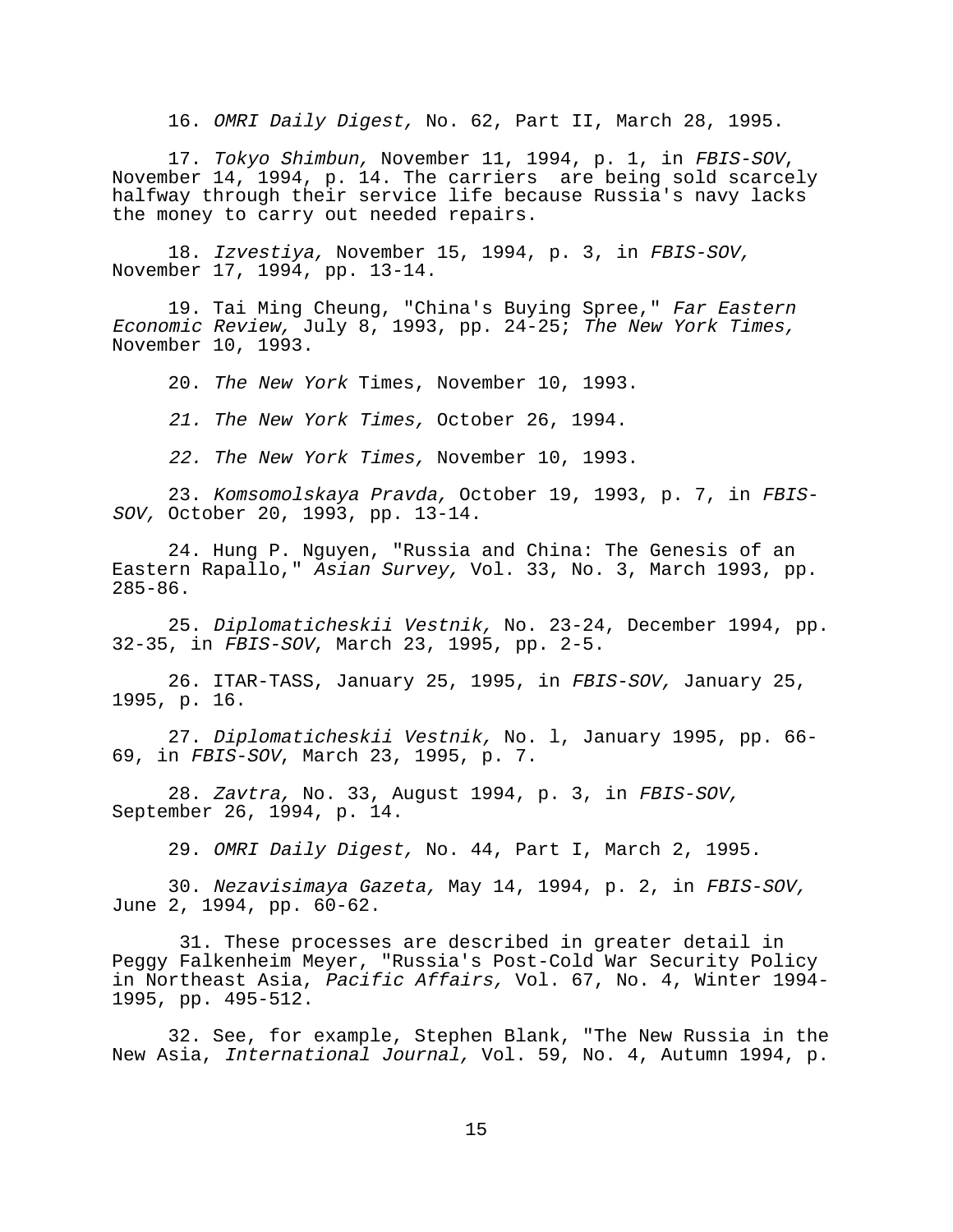16. OMRI Daily Digest, No. 62, Part II, March 28, 1995.

17. Tokyo Shimbun, November 11, 1994, p. 1, in FBIS-SOV, November 14, 1994, p. 14. The carriers are being sold scarcely halfway through their service life because Russia's navy lacks the money to carry out needed repairs.

18. Izvestiya, November 15, 1994, p. 3, in FBIS-SOV, November 17, 1994, pp. 13-14.

19. Tai Ming Cheung, "China's Buying Spree," Far Eastern Economic Review, July 8, 1993, pp. 24-25; The New York Times, November 10, 1993.

20. The New York Times, November 10, 1993.

21. The New York Times, October 26, 1994.

22. The New York Times, November 10, 1993.

23. Komsomolskaya Pravda, October 19, 1993, p. 7, in FBIS-SOV, October 20, 1993, pp. 13-14.

24. Hung P. Nguyen, "Russia and China: The Genesis of an Eastern Rapallo," Asian Survey, Vol. 33, No. 3, March 1993, pp. 285-86.

25. Diplomaticheskii Vestnik, No. 23-24, December 1994, pp. 32-35, in FBIS-SOV, March 23, 1995, pp. 2-5.

26. ITAR-TASS, January 25, 1995, in FBIS-SOV, January 25, 1995, p. 16.

27. Diplomaticheskii Vestnik, No. l, January 1995, pp. 66- 69, in FBIS-SOV, March 23, 1995, p. 7.

28. Zavtra, No. 33, August 1994, p. 3, in FBIS-SOV, September 26, 1994, p. 14.

29. OMRI Daily Digest, No. 44, Part I, March 2, 1995.

30. Nezavisimaya Gazeta, May 14, 1994, p. 2, in FBIS-SOV, June 2, 1994, pp. 60-62.

 31. These processes are described in greater detail in Peggy Falkenheim Meyer, "Russia's Post-Cold War Security Policy in Northeast Asia, Pacific Affairs, Vol. 67, No. 4, Winter 1994- 1995, pp. 495-512.

32. See, for example, Stephen Blank, "The New Russia in the New Asia, International Journal, Vol. 59, No. 4, Autumn 1994, p.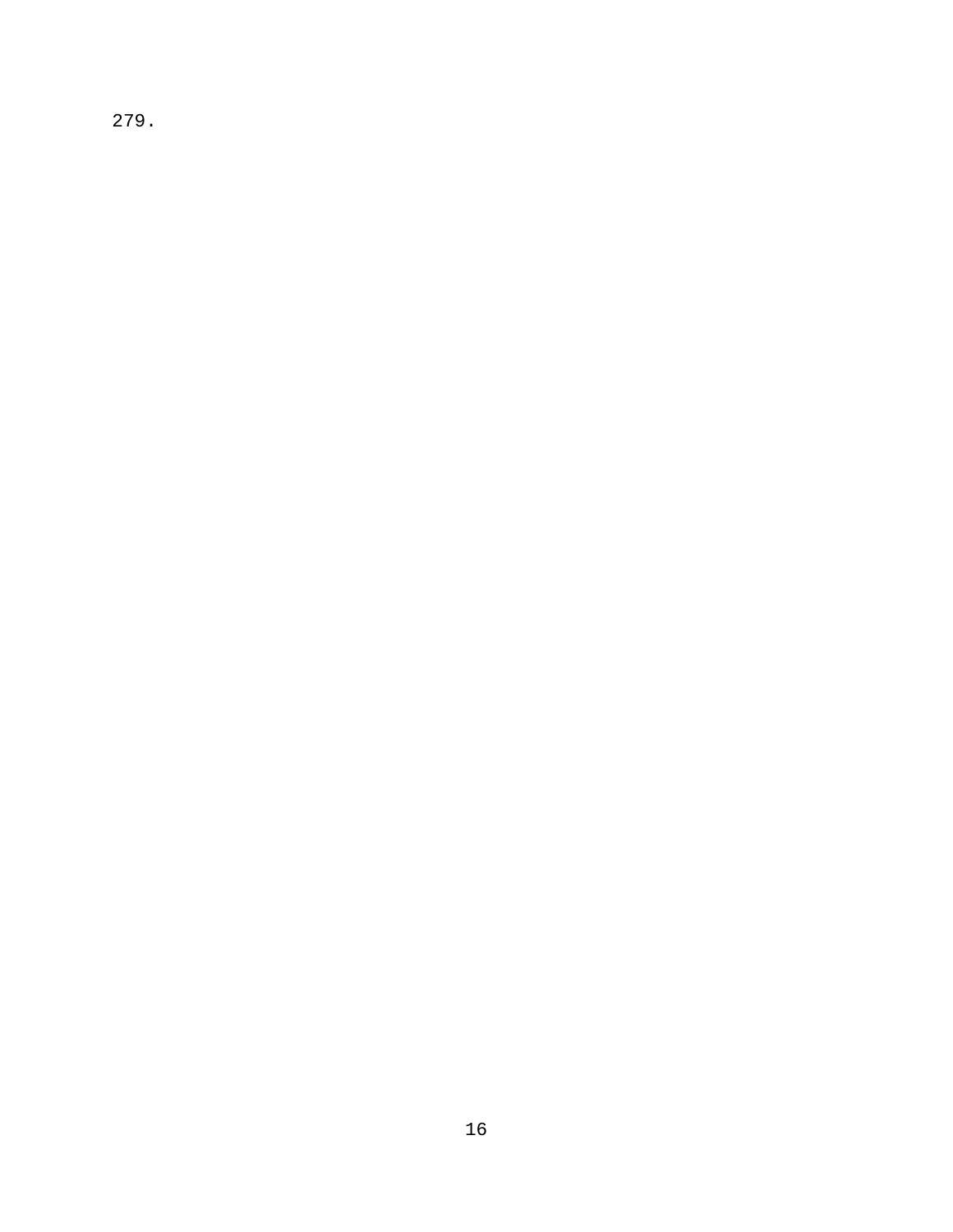279.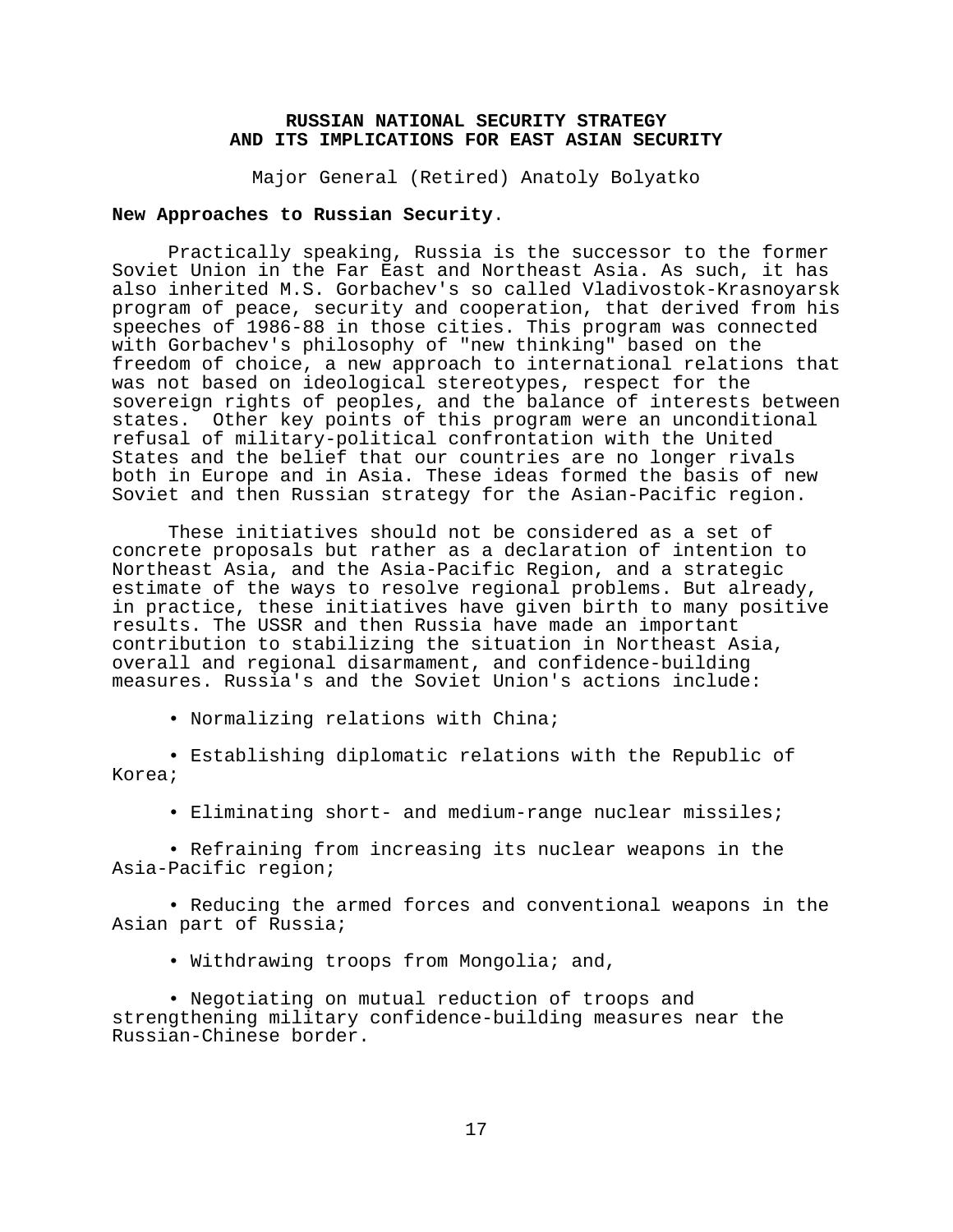## **RUSSIAN NATIONAL SECURITY STRATEGY AND ITS IMPLICATIONS FOR EAST ASIAN SECURITY**

Major General (Retired) Anatoly Bolyatko

## **New Approaches to Russian Security**.

Practically speaking, Russia is the successor to the former Soviet Union in the Far East and Northeast Asia. As such, it has also inherited M.S. Gorbachev's so called Vladivostok-Krasnoyarsk program of peace, security and cooperation, that derived from his speeches of 1986-88 in those cities. This program was connected with Gorbachev's philosophy of "new thinking" based on the freedom of choice, a new approach to international relations that was not based on ideological stereotypes, respect for the sovereign rights of peoples, and the balance of interests between states. Other key points of this program were an unconditional refusal of military-political confrontation with the United States and the belief that our countries are no longer rivals both in Europe and in Asia. These ideas formed the basis of new Soviet and then Russian strategy for the Asian-Pacific region.

These initiatives should not be considered as a set of concrete proposals but rather as a declaration of intention to Northeast Asia, and the Asia-Pacific Region, and a strategic estimate of the ways to resolve regional problems. But already, in practice, these initiatives have given birth to many positive results. The USSR and then Russia have made an important contribution to stabilizing the situation in Northeast Asia, overall and regional disarmament, and confidence-building measures. Russia's and the Soviet Union's actions include:

• Normalizing relations with China;

• Establishing diplomatic relations with the Republic of Korea;

• Eliminating short- and medium-range nuclear missiles;

• Refraining from increasing its nuclear weapons in the Asia-Pacific region;

• Reducing the armed forces and conventional weapons in the Asian part of Russia;

• Withdrawing troops from Mongolia; and,

• Negotiating on mutual reduction of troops and strengthening military confidence-building measures near the Russian-Chinese border.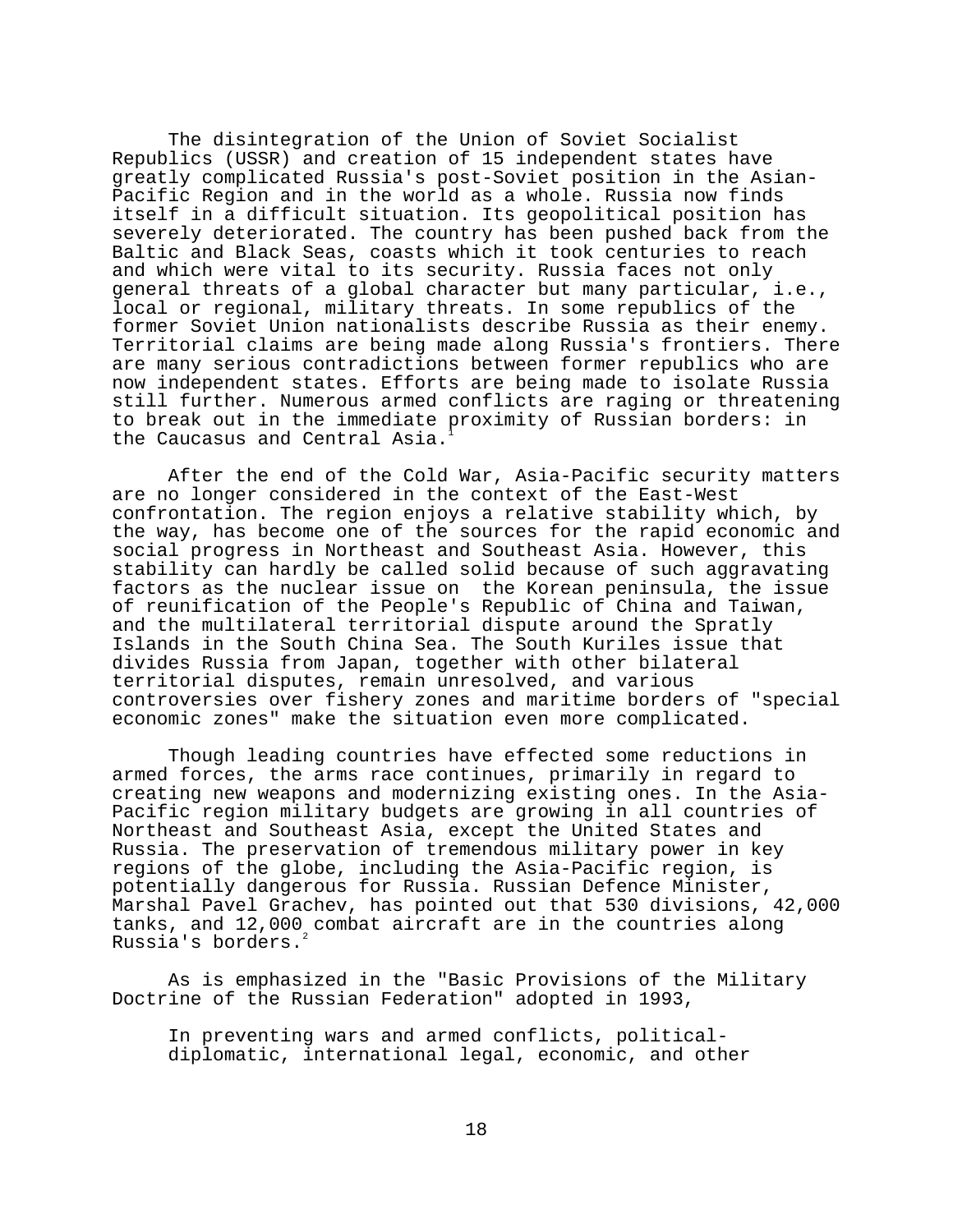The disintegration of the Union of Soviet Socialist Republics (USSR) and creation of 15 independent states have greatly complicated Russia's post-Soviet position in the Asian-Pacific Region and in the world as a whole. Russia now finds itself in a difficult situation. Its geopolitical position has severely deteriorated. The country has been pushed back from the Baltic and Black Seas, coasts which it took centuries to reach and which were vital to its security. Russia faces not only general threats of a global character but many particular, i.e., local or regional, military threats. In some republics of the former Soviet Union nationalists describe Russia as their enemy. Territorial claims are being made along Russia's frontiers. There are many serious contradictions between former republics who are now independent states. Efforts are being made to isolate Russia still further. Numerous armed conflicts are raging or threatening to break out in the immediate proximity of Russian borders: in the Caucasus and Central Asia.

After the end of the Cold War, Asia-Pacific security matters are no longer considered in the context of the East-West confrontation. The region enjoys a relative stability which, by the way, has become one of the sources for the rapid economic and social progress in Northeast and Southeast Asia. However, this stability can hardly be called solid because of such aggravating factors as the nuclear issue on the Korean peninsula, the issue of reunification of the People's Republic of China and Taiwan, and the multilateral territorial dispute around the Spratly Islands in the South China Sea. The South Kuriles issue that divides Russia from Japan, together with other bilateral territorial disputes, remain unresolved, and various controversies over fishery zones and maritime borders of "special economic zones" make the situation even more complicated.

Though leading countries have effected some reductions in armed forces, the arms race continues, primarily in regard to creating new weapons and modernizing existing ones. In the Asia-Pacific region military budgets are growing in all countries of Northeast and Southeast Asia, except the United States and Russia. The preservation of tremendous military power in key regions of the globe, including the Asia-Pacific region, is potentially dangerous for Russia. Russian Defence Minister, Marshal Pavel Grachev, has pointed out that 530 divisions, 42,000 tanks, and 12,000 combat aircraft are in the countries along Russia's borders.<sup>2</sup>

As is emphasized in the "Basic Provisions of the Military Doctrine of the Russian Federation" adopted in 1993,

In preventing wars and armed conflicts, politicaldiplomatic, international legal, economic, and other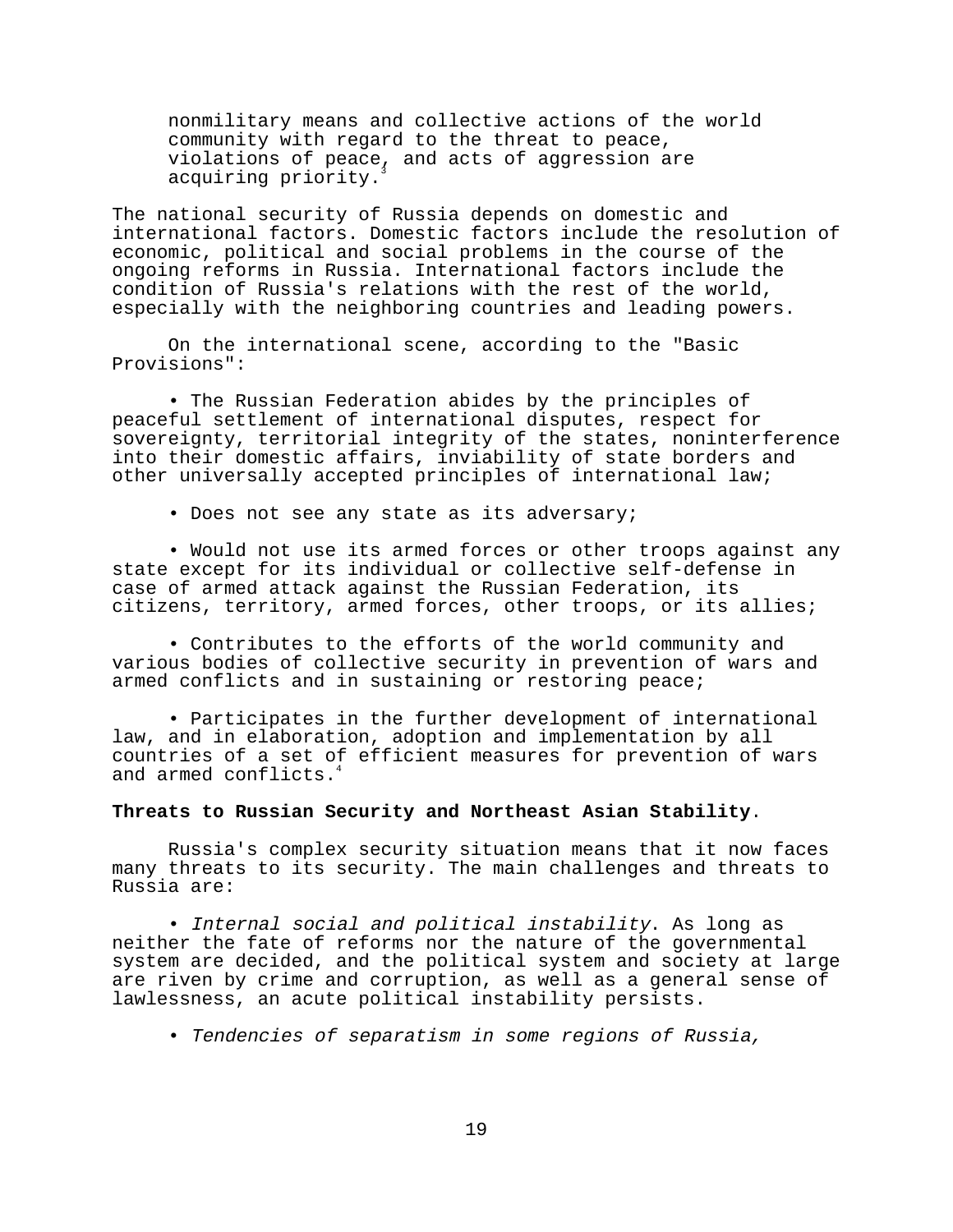nonmilitary means and collective actions of the world community with regard to the threat to peace, violations of peace, and acts of aggression are acquiring priority.

The national security of Russia depends on domestic and international factors. Domestic factors include the resolution of economic, political and social problems in the course of the ongoing reforms in Russia. International factors include the condition of Russia's relations with the rest of the world, especially with the neighboring countries and leading powers.

On the international scene, according to the "Basic Provisions":

• The Russian Federation abides by the principles of peaceful settlement of international disputes, respect for sovereignty, territorial integrity of the states, noninterference into their domestic affairs, inviability of state borders and other universally accepted principles of international law;

• Does not see any state as its adversary;

• Would not use its armed forces or other troops against any state except for its individual or collective self-defense in case of armed attack against the Russian Federation, its citizens, territory, armed forces, other troops, or its allies;

• Contributes to the efforts of the world community and various bodies of collective security in prevention of wars and armed conflicts and in sustaining or restoring peace;

• Participates in the further development of international law, and in elaboration, adoption and implementation by all countries of a set of efficient measures for prevention of wars and armed conflicts.<sup>4</sup>

## **Threats to Russian Security and Northeast Asian Stability**.

Russia's complex security situation means that it now faces many threats to its security. The main challenges and threats to Russia are:

• Internal social and political instability. As long as neither the fate of reforms nor the nature of the governmental system are decided, and the political system and society at large are riven by crime and corruption, as well as a general sense of lawlessness, an acute political instability persists.

• Tendencies of separatism in some regions of Russia,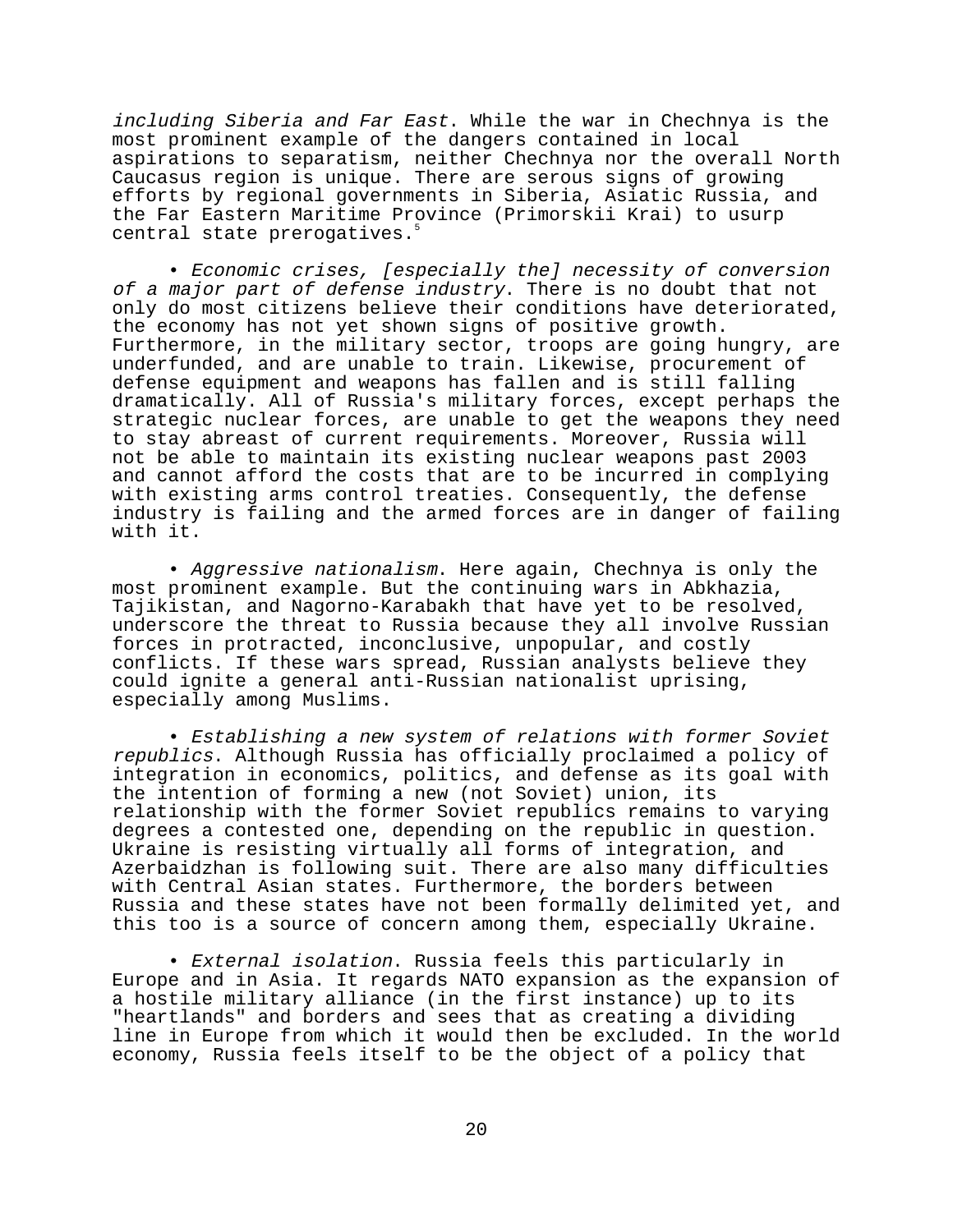including Siberia and Far East. While the war in Chechnya is the most prominent example of the dangers contained in local aspirations to separatism, neither Chechnya nor the overall North Caucasus region is unique. There are serous signs of growing efforts by regional governments in Siberia, Asiatic Russia, and the Far Eastern Maritime Province (Primorskii Krai) to usurp central state prerogatives.<sup>5</sup>

• Economic crises, [especially the] necessity of conversion of a major part of defense industry. There is no doubt that not only do most citizens believe their conditions have deteriorated, the economy has not yet shown signs of positive growth. Furthermore, in the military sector, troops are going hungry, are underfunded, and are unable to train. Likewise, procurement of defense equipment and weapons has fallen and is still falling dramatically. All of Russia's military forces, except perhaps the strategic nuclear forces, are unable to get the weapons they need to stay abreast of current requirements. Moreover, Russia will not be able to maintain its existing nuclear weapons past 2003 and cannot afford the costs that are to be incurred in complying with existing arms control treaties. Consequently, the defense industry is failing and the armed forces are in danger of failing with it.

• Aggressive nationalism. Here again, Chechnya is only the most prominent example. But the continuing wars in Abkhazia, Tajikistan, and Nagorno-Karabakh that have yet to be resolved, underscore the threat to Russia because they all involve Russian forces in protracted, inconclusive, unpopular, and costly conflicts. If these wars spread, Russian analysts believe they could ignite a general anti-Russian nationalist uprising, especially among Muslims.

• Establishing a new system of relations with former Soviet republics. Although Russia has officially proclaimed a policy of integration in economics, politics, and defense as its goal with the intention of forming a new (not Soviet) union, its relationship with the former Soviet republics remains to varying degrees a contested one, depending on the republic in question. Ukraine is resisting virtually all forms of integration, and Azerbaidzhan is following suit. There are also many difficulties with Central Asian states. Furthermore, the borders between Russia and these states have not been formally delimited yet, and this too is a source of concern among them, especially Ukraine.

• External isolation. Russia feels this particularly in Europe and in Asia. It regards NATO expansion as the expansion of a hostile military alliance (in the first instance) up to its "heartlands" and borders and sees that as creating a dividing line in Europe from which it would then be excluded. In the world economy, Russia feels itself to be the object of a policy that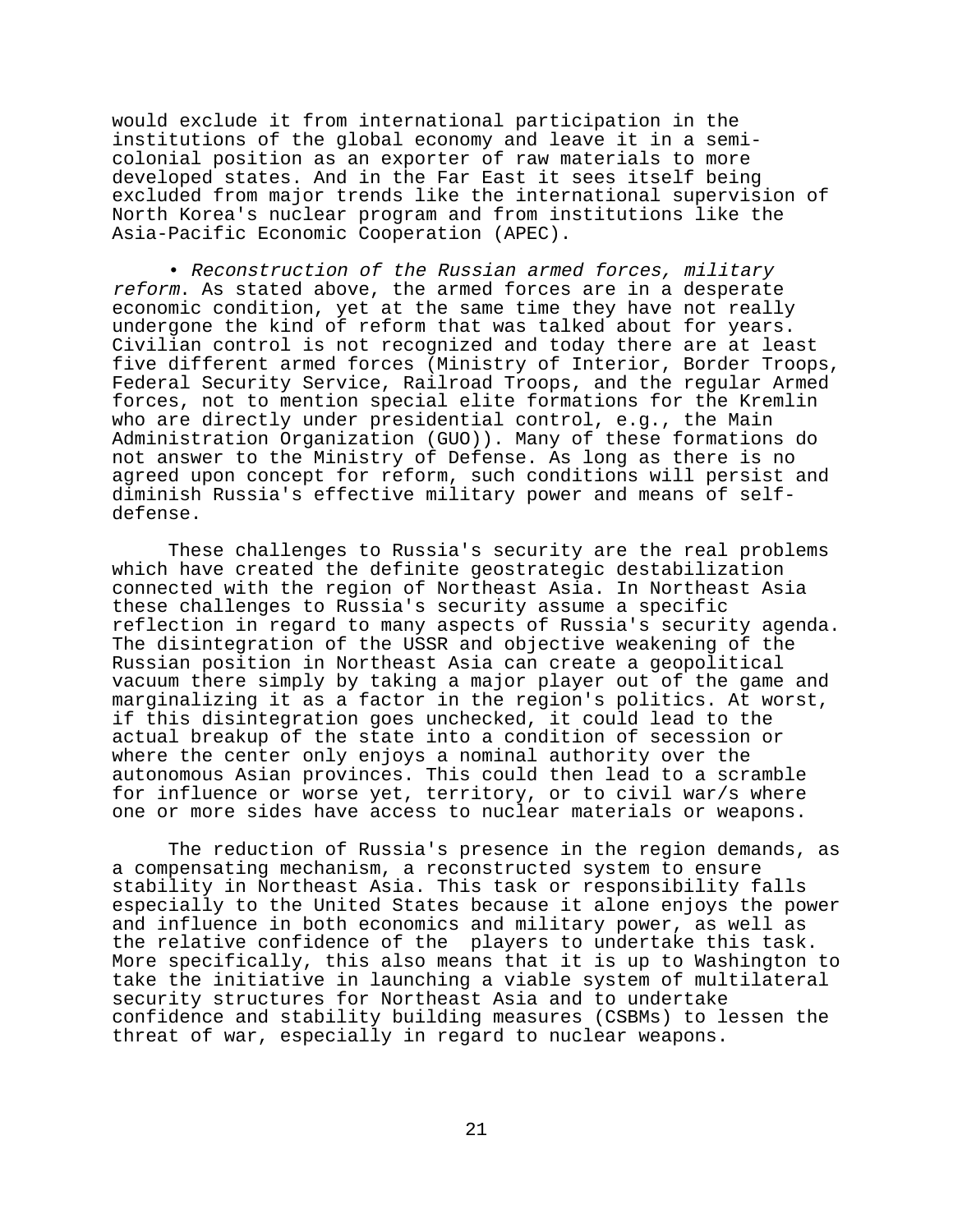would exclude it from international participation in the institutions of the global economy and leave it in a semicolonial position as an exporter of raw materials to more developed states. And in the Far East it sees itself being excluded from major trends like the international supervision of North Korea's nuclear program and from institutions like the Asia-Pacific Economic Cooperation (APEC).

• Reconstruction of the Russian armed forces, military reform. As stated above, the armed forces are in a desperate economic condition, yet at the same time they have not really undergone the kind of reform that was talked about for years. Civilian control is not recognized and today there are at least five different armed forces (Ministry of Interior, Border Troops, Federal Security Service, Railroad Troops, and the regular Armed forces, not to mention special elite formations for the Kremlin who are directly under presidential control, e.g., the Main Administration Organization (GUO)). Many of these formations do not answer to the Ministry of Defense. As long as there is no agreed upon concept for reform, such conditions will persist and diminish Russia's effective military power and means of selfdefense.

These challenges to Russia's security are the real problems which have created the definite geostrategic destabilization connected with the region of Northeast Asia. In Northeast Asia these challenges to Russia's security assume a specific reflection in regard to many aspects of Russia's security agenda. The disintegration of the USSR and objective weakening of the Russian position in Northeast Asia can create a geopolitical vacuum there simply by taking a major player out of the game and marginalizing it as a factor in the region's politics. At worst, if this disintegration goes unchecked, it could lead to the actual breakup of the state into a condition of secession or where the center only enjoys a nominal authority over the autonomous Asian provinces. This could then lead to a scramble for influence or worse yet, territory, or to civil war/s where one or more sides have access to nuclear materials or weapons.

The reduction of Russia's presence in the region demands, as a compensating mechanism, a reconstructed system to ensure stability in Northeast Asia. This task or responsibility falls especially to the United States because it alone enjoys the power and influence in both economics and military power, as well as the relative confidence of the players to undertake this task. More specifically, this also means that it is up to Washington to take the initiative in launching a viable system of multilateral security structures for Northeast Asia and to undertake confidence and stability building measures (CSBMs) to lessen the threat of war, especially in regard to nuclear weapons.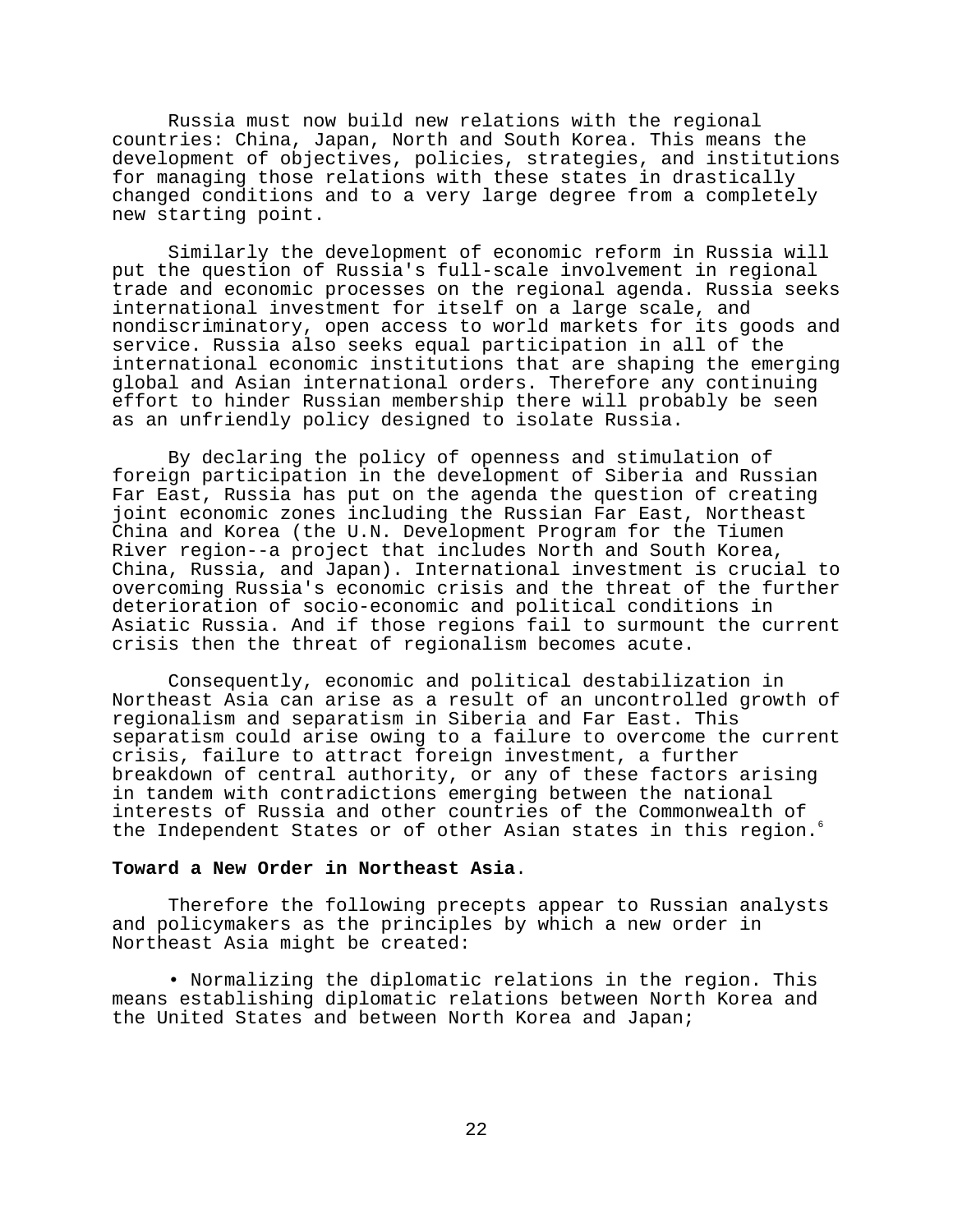Russia must now build new relations with the regional countries: China, Japan, North and South Korea. This means the development of objectives, policies, strategies, and institutions for managing those relations with these states in drastically changed conditions and to a very large degree from a completely new starting point.

Similarly the development of economic reform in Russia will put the question of Russia's full-scale involvement in regional trade and economic processes on the regional agenda. Russia seeks international investment for itself on a large scale, and nondiscriminatory, open access to world markets for its goods and service. Russia also seeks equal participation in all of the international economic institutions that are shaping the emerging global and Asian international orders. Therefore any continuing effort to hinder Russian membership there will probably be seen as an unfriendly policy designed to isolate Russia.

By declaring the policy of openness and stimulation of foreign participation in the development of Siberia and Russian Far East, Russia has put on the agenda the question of creating joint economic zones including the Russian Far East, Northeast China and Korea (the U.N. Development Program for the Tiumen River region--a project that includes North and South Korea, China, Russia, and Japan). International investment is crucial to overcoming Russia's economic crisis and the threat of the further deterioration of socio-economic and political conditions in Asiatic Russia. And if those regions fail to surmount the current crisis then the threat of regionalism becomes acute.

Consequently, economic and political destabilization in Northeast Asia can arise as a result of an uncontrolled growth of regionalism and separatism in Siberia and Far East. This separatism could arise owing to a failure to overcome the current crisis, failure to attract foreign investment, a further breakdown of central authority, or any of these factors arising in tandem with contradictions emerging between the national interests of Russia and other countries of the Commonwealth of the Independent States or of other Asian states in this region.<sup>6</sup>

## **Toward a New Order in Northeast Asia**.

Therefore the following precepts appear to Russian analysts and policymakers as the principles by which a new order in Northeast Asia might be created:

• Normalizing the diplomatic relations in the region. This means establishing diplomatic relations between North Korea and the United States and between North Korea and Japan;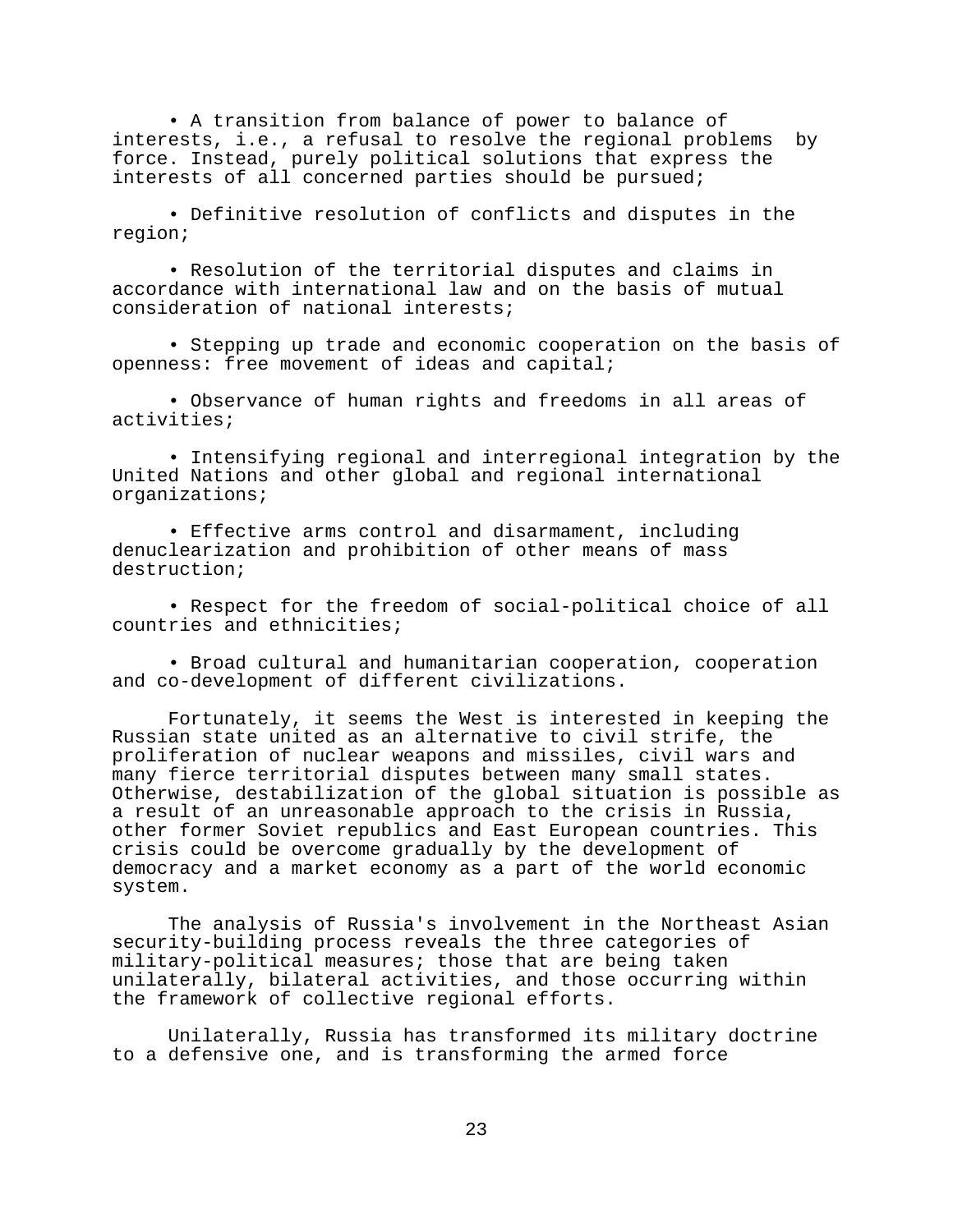• A transition from balance of power to balance of interests, i.e., a refusal to resolve the regional problems by force. Instead, purely political solutions that express the interests of all concerned parties should be pursued;

• Definitive resolution of conflicts and disputes in the region;

• Resolution of the territorial disputes and claims in accordance with international law and on the basis of mutual consideration of national interests;

• Stepping up trade and economic cooperation on the basis of openness: free movement of ideas and capital;

• Observance of human rights and freedoms in all areas of activities;

• Intensifying regional and interregional integration by the United Nations and other global and regional international organizations;

• Effective arms control and disarmament, including denuclearization and prohibition of other means of mass destruction;

• Respect for the freedom of social-political choice of all countries and ethnicities;

• Broad cultural and humanitarian cooperation, cooperation and co-development of different civilizations.

Fortunately, it seems the West is interested in keeping the Russian state united as an alternative to civil strife, the proliferation of nuclear weapons and missiles, civil wars and many fierce territorial disputes between many small states. Otherwise, destabilization of the global situation is possible as a result of an unreasonable approach to the crisis in Russia, other former Soviet republics and East European countries. This crisis could be overcome gradually by the development of democracy and a market economy as a part of the world economic system.

The analysis of Russia's involvement in the Northeast Asian security-building process reveals the three categories of military-political measures; those that are being taken unilaterally, bilateral activities, and those occurring within the framework of collective regional efforts.

Unilaterally, Russia has transformed its military doctrine to a defensive one, and is transforming the armed force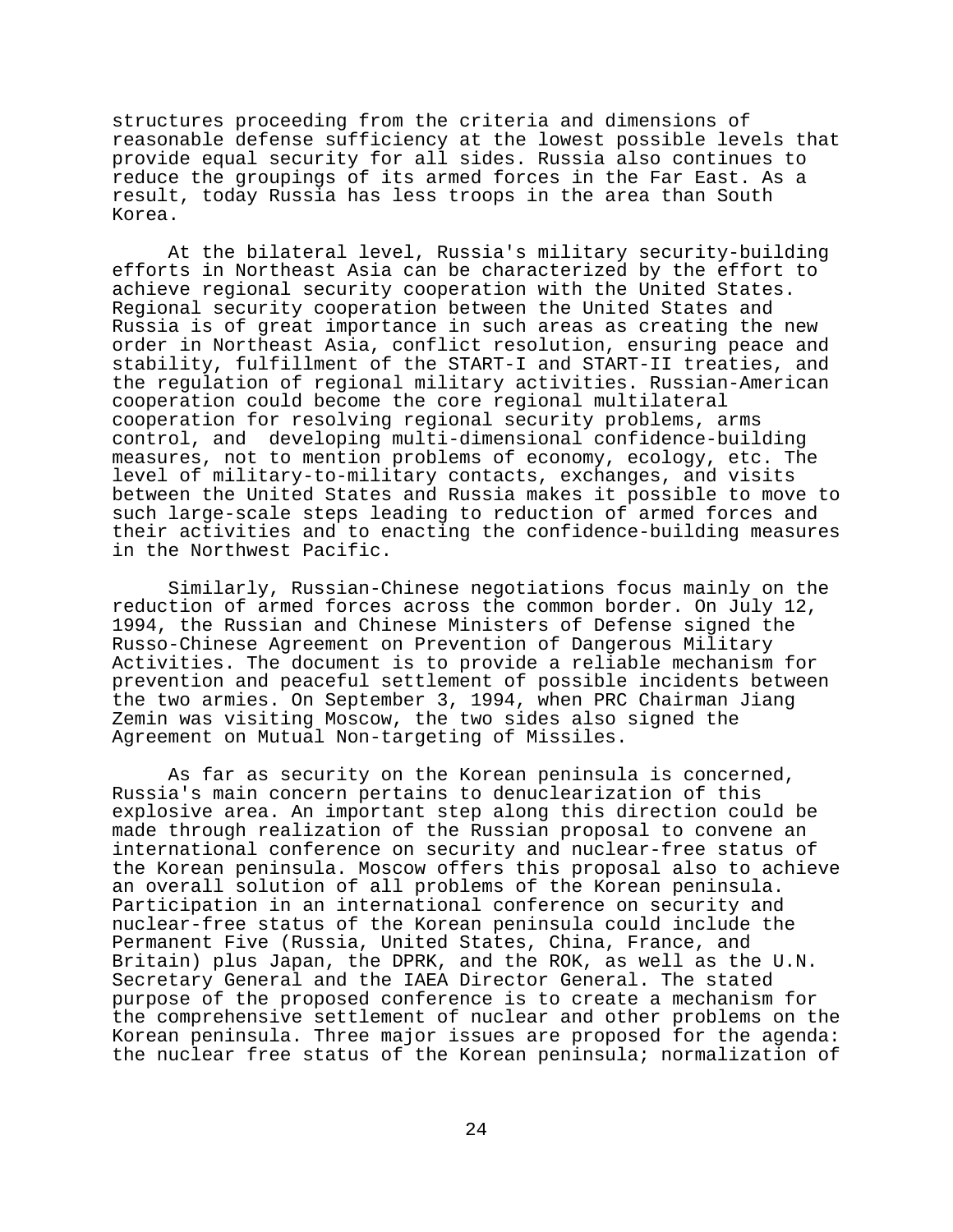structures proceeding from the criteria and dimensions of reasonable defense sufficiency at the lowest possible levels that provide equal security for all sides. Russia also continues to reduce the groupings of its armed forces in the Far East. As a result, today Russia has less troops in the area than South Korea.

At the bilateral level, Russia's military security-building efforts in Northeast Asia can be characterized by the effort to achieve regional security cooperation with the United States. Regional security cooperation between the United States and Russia is of great importance in such areas as creating the new order in Northeast Asia, conflict resolution, ensuring peace and stability, fulfillment of the START-I and START-II treaties, and the regulation of regional military activities. Russian-American cooperation could become the core regional multilateral cooperation for resolving regional security problems, arms control, and developing multi-dimensional confidence-building measures, not to mention problems of economy, ecology, etc. The level of military-to-military contacts, exchanges, and visits between the United States and Russia makes it possible to move to such large-scale steps leading to reduction of armed forces and their activities and to enacting the confidence-building measures in the Northwest Pacific.

Similarly, Russian-Chinese negotiations focus mainly on the reduction of armed forces across the common border. On July 12, 1994, the Russian and Chinese Ministers of Defense signed the Russo-Chinese Agreement on Prevention of Dangerous Military Activities. The document is to provide a reliable mechanism for prevention and peaceful settlement of possible incidents between the two armies. On September 3, 1994, when PRC Chairman Jiang Zemin was visiting Moscow, the two sides also signed the Agreement on Mutual Non-targeting of Missiles.

As far as security on the Korean peninsula is concerned, Russia's main concern pertains to denuclearization of this explosive area. An important step along this direction could be made through realization of the Russian proposal to convene an international conference on security and nuclear-free status of the Korean peninsula. Moscow offers this proposal also to achieve an overall solution of all problems of the Korean peninsula. Participation in an international conference on security and nuclear-free status of the Korean peninsula could include the Permanent Five (Russia, United States, China, France, and Britain) plus Japan, the DPRK, and the ROK, as well as the U.N. Secretary General and the IAEA Director General. The stated purpose of the proposed conference is to create a mechanism for the comprehensive settlement of nuclear and other problems on the Korean peninsula. Three major issues are proposed for the agenda: the nuclear free status of the Korean peninsula; normalization of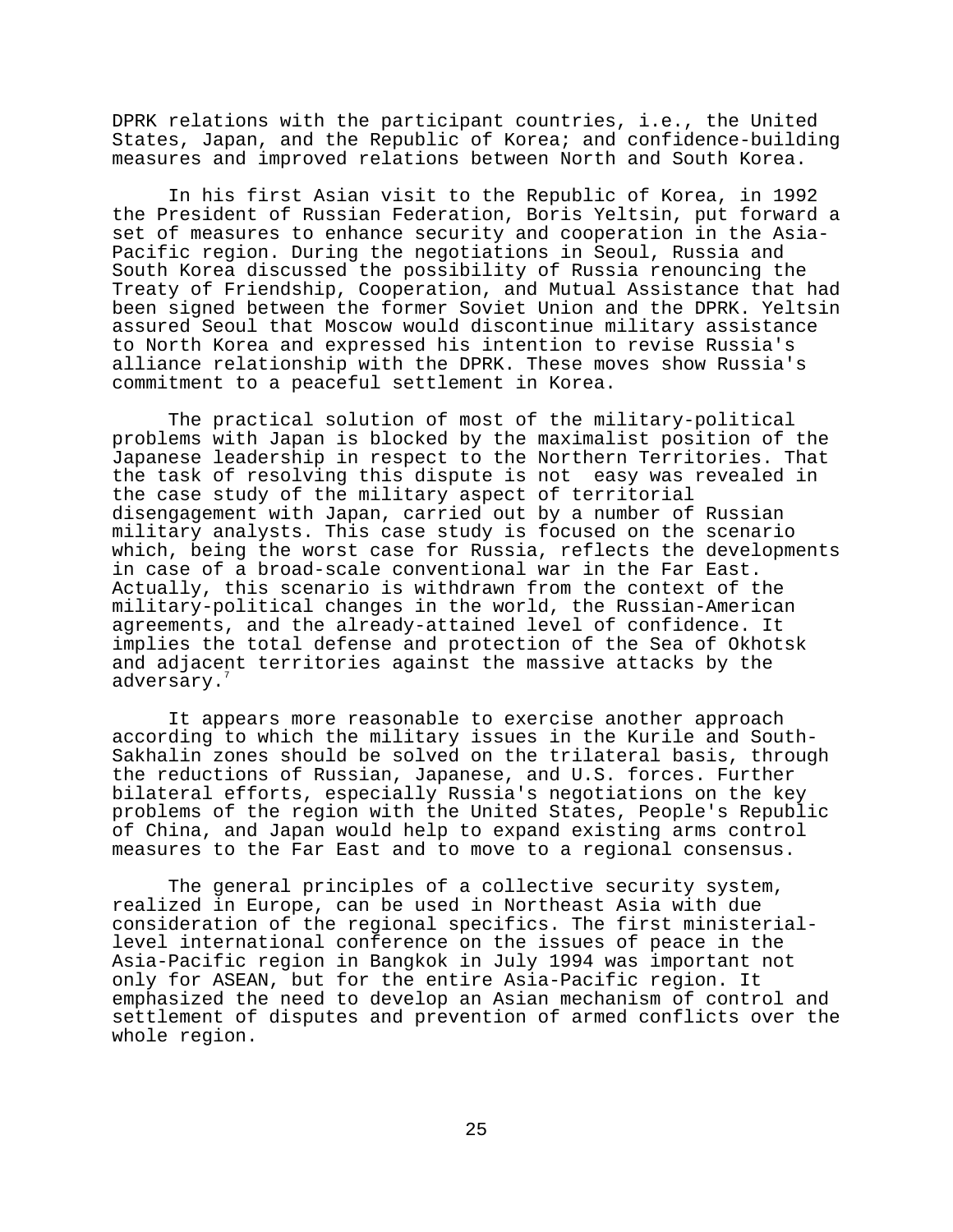DPRK relations with the participant countries, i.e., the United States, Japan, and the Republic of Korea; and confidence-building measures and improved relations between North and South Korea.

In his first Asian visit to the Republic of Korea, in 1992 the President of Russian Federation, Boris Yeltsin, put forward a set of measures to enhance security and cooperation in the Asia-Pacific region. During the negotiations in Seoul, Russia and South Korea discussed the possibility of Russia renouncing the Treaty of Friendship, Cooperation, and Mutual Assistance that had been signed between the former Soviet Union and the DPRK. Yeltsin assured Seoul that Moscow would discontinue military assistance to North Korea and expressed his intention to revise Russia's alliance relationship with the DPRK. These moves show Russia's commitment to a peaceful settlement in Korea.

The practical solution of most of the military-political problems with Japan is blocked by the maximalist position of the Japanese leadership in respect to the Northern Territories. That the task of resolving this dispute is not easy was revealed in the case study of the military aspect of territorial disengagement with Japan, carried out by a number of Russian military analysts. This case study is focused on the scenario which, being the worst case for Russia, reflects the developments in case of a broad-scale conventional war in the Far East. Actually, this scenario is withdrawn from the context of the military-political changes in the world, the Russian-American agreements, and the already-attained level of confidence. It implies the total defense and protection of the Sea of Okhotsk and adjacent territories against the massive attacks by the adversary.<sup>7</sup>

It appears more reasonable to exercise another approach according to which the military issues in the Kurile and South-Sakhalin zones should be solved on the trilateral basis, through the reductions of Russian, Japanese, and U.S. forces. Further bilateral efforts, especially Russia's negotiations on the key problems of the region with the United States, People's Republic of China, and Japan would help to expand existing arms control measures to the Far East and to move to a regional consensus.

The general principles of a collective security system, realized in Europe, can be used in Northeast Asia with due consideration of the regional specifics. The first ministeriallevel international conference on the issues of peace in the Asia-Pacific region in Bangkok in July 1994 was important not only for ASEAN, but for the entire Asia-Pacific region. It emphasized the need to develop an Asian mechanism of control and settlement of disputes and prevention of armed conflicts over the whole region.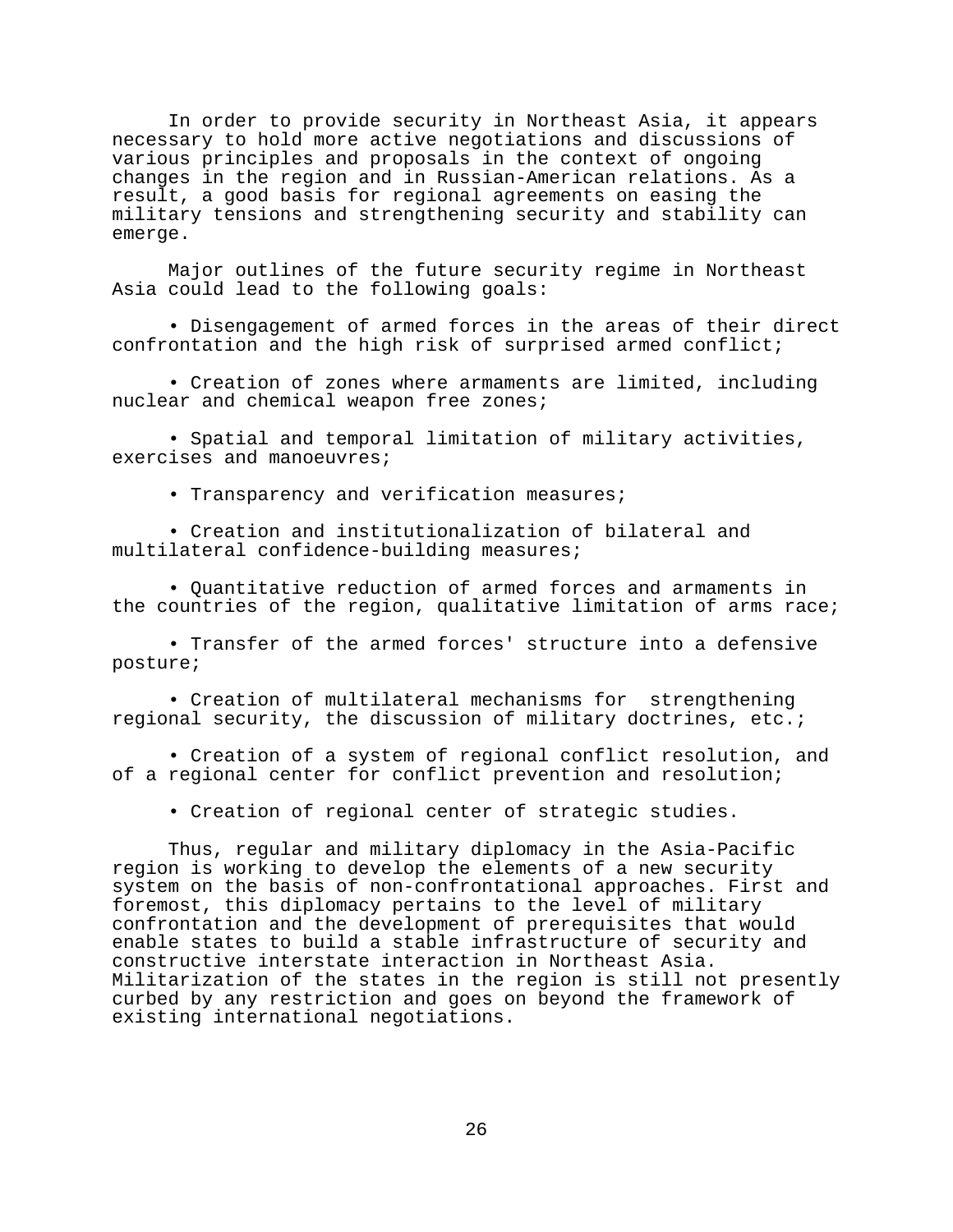In order to provide security in Northeast Asia, it appears necessary to hold more active negotiations and discussions of various principles and proposals in the context of ongoing changes in the region and in Russian-American relations. As a result, a good basis for regional agreements on easing the military tensions and strengthening security and stability can emerge.

Major outlines of the future security regime in Northeast Asia could lead to the following goals:

• Disengagement of armed forces in the areas of their direct confrontation and the high risk of surprised armed conflict;

• Creation of zones where armaments are limited, including nuclear and chemical weapon free zones;

• Spatial and temporal limitation of military activities, exercises and manoeuvres;

• Transparency and verification measures;

• Creation and institutionalization of bilateral and multilateral confidence-building measures;

• Quantitative reduction of armed forces and armaments in the countries of the region, qualitative limitation of arms race;

• Transfer of the armed forces' structure into a defensive posture;

• Creation of multilateral mechanisms for strengthening regional security, the discussion of military doctrines, etc.;

• Creation of a system of regional conflict resolution, and of a regional center for conflict prevention and resolution;

• Creation of regional center of strategic studies.

Thus, regular and military diplomacy in the Asia-Pacific region is working to develop the elements of a new security system on the basis of non-confrontational approaches. First and foremost, this diplomacy pertains to the level of military confrontation and the development of prerequisites that would enable states to build a stable infrastructure of security and constructive interstate interaction in Northeast Asia. Militarization of the states in the region is still not presently curbed by any restriction and goes on beyond the framework of existing international negotiations.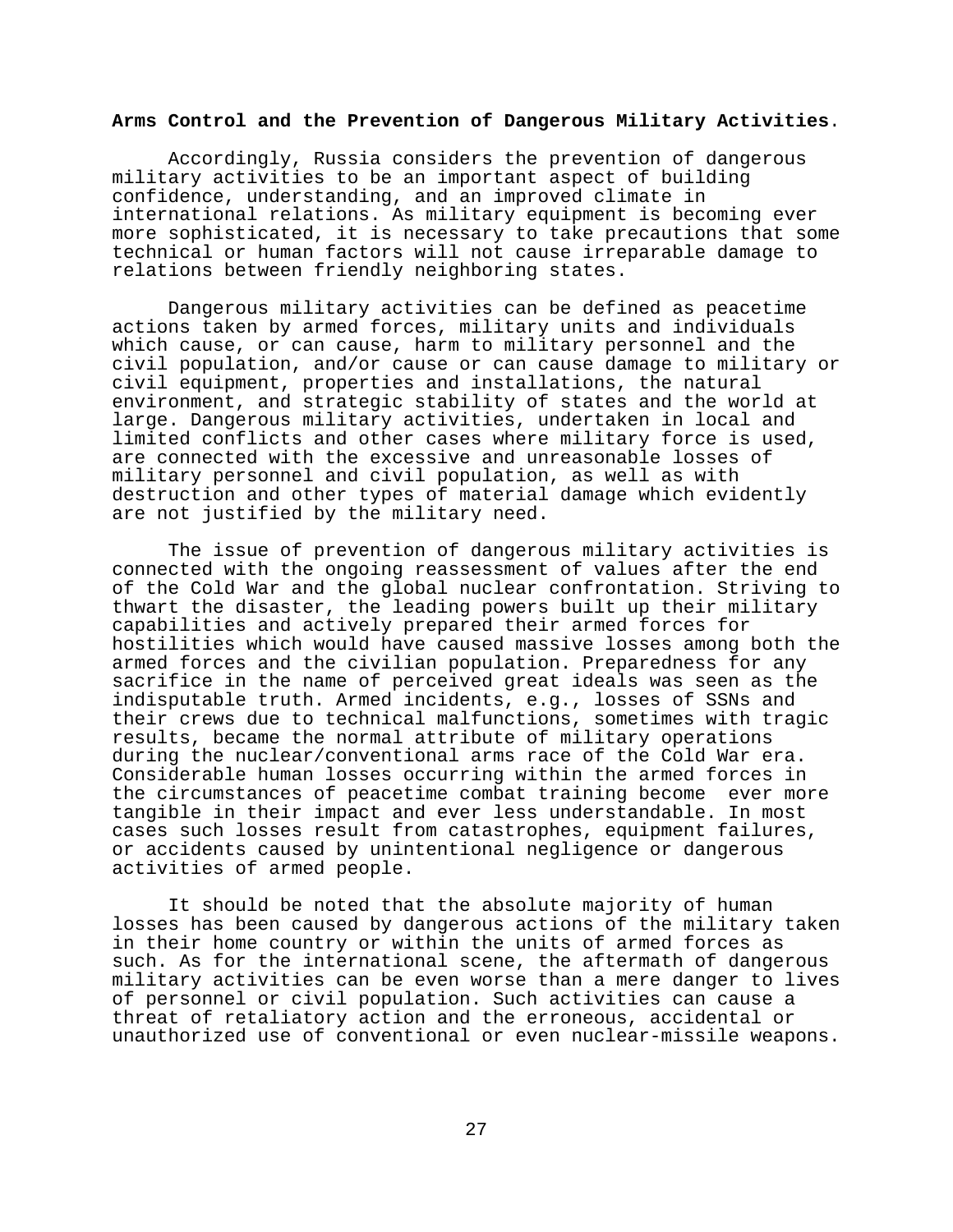## **Arms Control and the Prevention of Dangerous Military Activities**.

Accordingly, Russia considers the prevention of dangerous military activities to be an important aspect of building confidence, understanding, and an improved climate in international relations. As military equipment is becoming ever more sophisticated, it is necessary to take precautions that some technical or human factors will not cause irreparable damage to relations between friendly neighboring states.

Dangerous military activities can be defined as peacetime actions taken by armed forces, military units and individuals which cause, or can cause, harm to military personnel and the civil population, and/or cause or can cause damage to military or civil equipment, properties and installations, the natural environment, and strategic stability of states and the world at large. Dangerous military activities, undertaken in local and limited conflicts and other cases where military force is used, are connected with the excessive and unreasonable losses of military personnel and civil population, as well as with destruction and other types of material damage which evidently are not justified by the military need.

The issue of prevention of dangerous military activities is connected with the ongoing reassessment of values after the end of the Cold War and the global nuclear confrontation. Striving to thwart the disaster, the leading powers built up their military capabilities and actively prepared their armed forces for hostilities which would have caused massive losses among both the armed forces and the civilian population. Preparedness for any sacrifice in the name of perceived great ideals was seen as the indisputable truth. Armed incidents, e.g., losses of SSNs and their crews due to technical malfunctions, sometimes with tragic results, became the normal attribute of military operations during the nuclear/conventional arms race of the Cold War era. Considerable human losses occurring within the armed forces in the circumstances of peacetime combat training become ever more tangible in their impact and ever less understandable. In most cases such losses result from catastrophes, equipment failures, or accidents caused by unintentional negligence or dangerous activities of armed people.

It should be noted that the absolute majority of human losses has been caused by dangerous actions of the military taken in their home country or within the units of armed forces as such. As for the international scene, the aftermath of dangerous military activities can be even worse than a mere danger to lives of personnel or civil population. Such activities can cause a threat of retaliatory action and the erroneous, accidental or unauthorized use of conventional or even nuclear-missile weapons.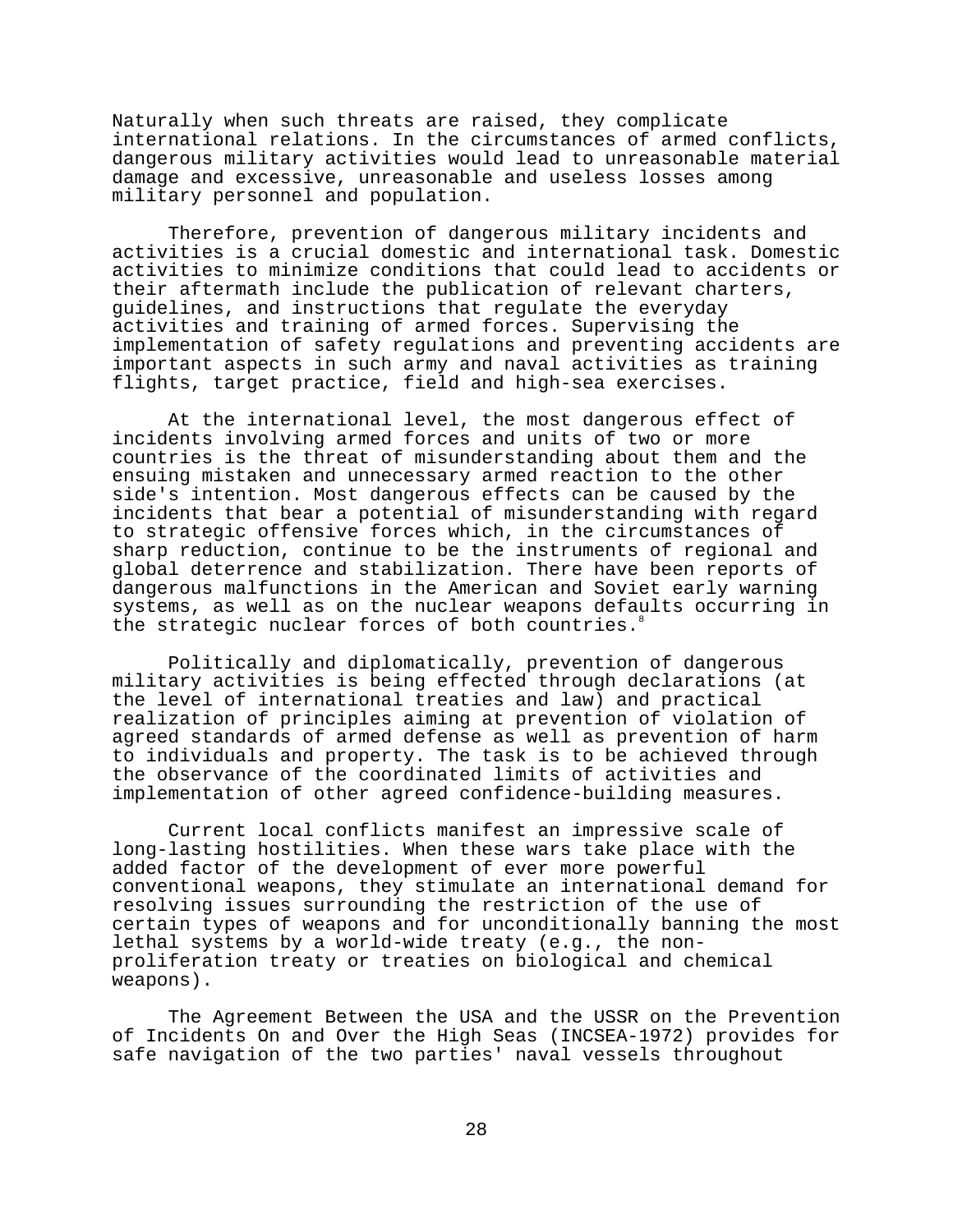Naturally when such threats are raised, they complicate international relations. In the circumstances of armed conflicts, dangerous military activities would lead to unreasonable material damage and excessive, unreasonable and useless losses among military personnel and population.

Therefore, prevention of dangerous military incidents and activities is a crucial domestic and international task. Domestic activities to minimize conditions that could lead to accidents or their aftermath include the publication of relevant charters, guidelines, and instructions that regulate the everyday activities and training of armed forces. Supervising the implementation of safety regulations and preventing accidents are important aspects in such army and naval activities as training flights, target practice, field and high-sea exercises.

At the international level, the most dangerous effect of incidents involving armed forces and units of two or more countries is the threat of misunderstanding about them and the ensuing mistaken and unnecessary armed reaction to the other side's intention. Most dangerous effects can be caused by the incidents that bear a potential of misunderstanding with regard to strategic offensive forces which, in the circumstances of sharp reduction, continue to be the instruments of regional and global deterrence and stabilization. There have been reports of dangerous malfunctions in the American and Soviet early warning systems, as well as on the nuclear weapons defaults occurring in the strategic nuclear forces of both countries.<sup>8</sup>

Politically and diplomatically, prevention of dangerous military activities is being effected through declarations (at the level of international treaties and law) and practical realization of principles aiming at prevention of violation of agreed standards of armed defense as well as prevention of harm to individuals and property. The task is to be achieved through the observance of the coordinated limits of activities and implementation of other agreed confidence-building measures.

Current local conflicts manifest an impressive scale of long-lasting hostilities. When these wars take place with the added factor of the development of ever more powerful conventional weapons, they stimulate an international demand for resolving issues surrounding the restriction of the use of certain types of weapons and for unconditionally banning the most lethal systems by a world-wide treaty (e.g., the nonproliferation treaty or treaties on biological and chemical weapons).

The Agreement Between the USA and the USSR on the Prevention of Incidents On and Over the High Seas (INCSEA-1972) provides for safe navigation of the two parties' naval vessels throughout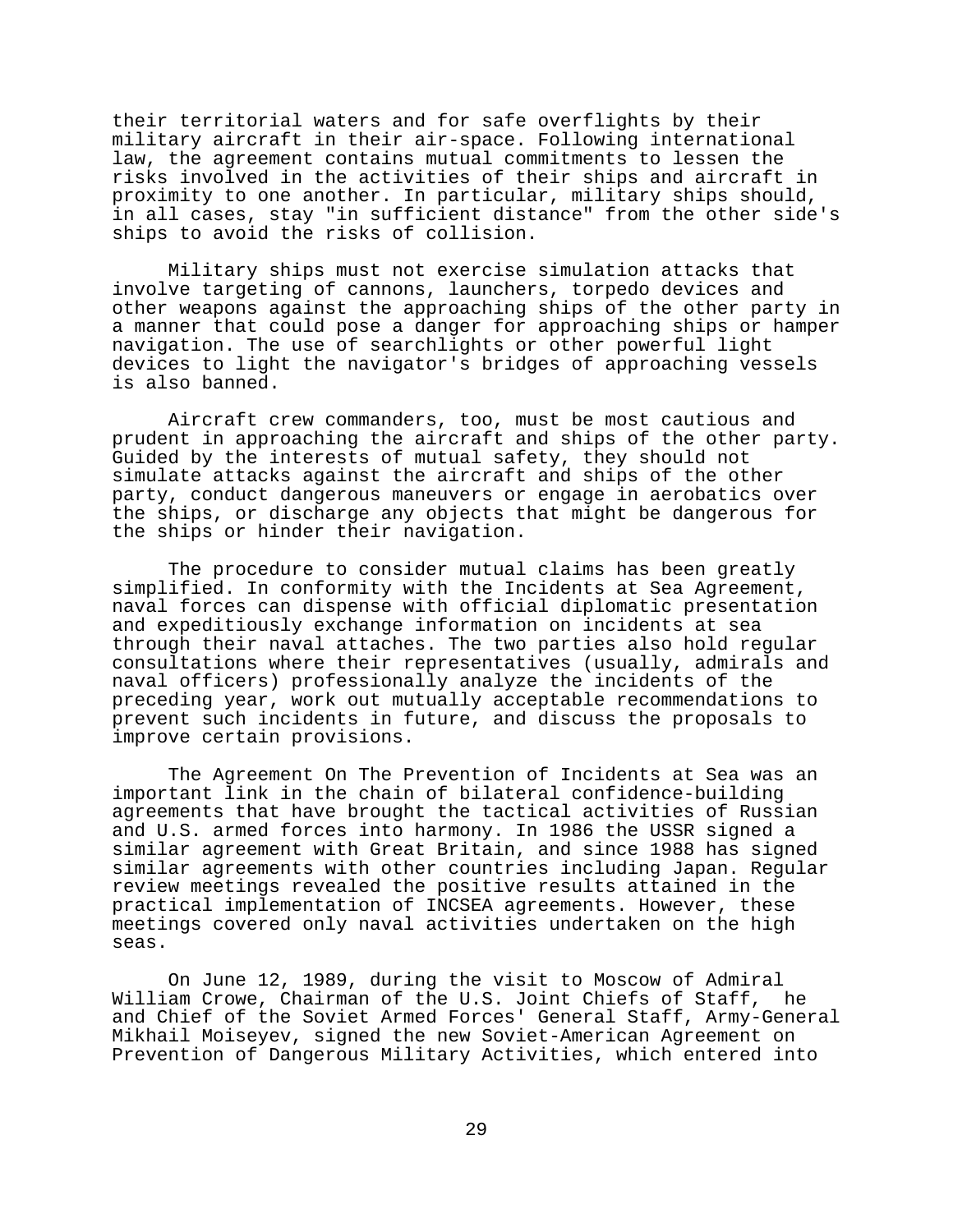their territorial waters and for safe overflights by their military aircraft in their air-space. Following international law, the agreement contains mutual commitments to lessen the risks involved in the activities of their ships and aircraft in proximity to one another. In particular, military ships should, in all cases, stay "in sufficient distance" from the other side's ships to avoid the risks of collision.

Military ships must not exercise simulation attacks that involve targeting of cannons, launchers, torpedo devices and other weapons against the approaching ships of the other party in a manner that could pose a danger for approaching ships or hamper navigation. The use of searchlights or other powerful light devices to light the navigator's bridges of approaching vessels is also banned.

Aircraft crew commanders, too, must be most cautious and prudent in approaching the aircraft and ships of the other party. Guided by the interests of mutual safety, they should not simulate attacks against the aircraft and ships of the other party, conduct dangerous maneuvers or engage in aerobatics over the ships, or discharge any objects that might be dangerous for the ships or hinder their navigation.

The procedure to consider mutual claims has been greatly simplified. In conformity with the Incidents at Sea Agreement, naval forces can dispense with official diplomatic presentation and expeditiously exchange information on incidents at sea through their naval attaches. The two parties also hold regular consultations where their representatives (usually, admirals and naval officers) professionally analyze the incidents of the preceding year, work out mutually acceptable recommendations to prevent such incidents in future, and discuss the proposals to improve certain provisions.

The Agreement On The Prevention of Incidents at Sea was an important link in the chain of bilateral confidence-building agreements that have brought the tactical activities of Russian and U.S. armed forces into harmony. In 1986 the USSR signed a similar agreement with Great Britain, and since 1988 has signed similar agreements with other countries including Japan. Regular review meetings revealed the positive results attained in the practical implementation of INCSEA agreements. However, these meetings covered only naval activities undertaken on the high seas.

On June 12, 1989, during the visit to Moscow of Admiral William Crowe, Chairman of the U.S. Joint Chiefs of Staff, he and Chief of the Soviet Armed Forces' General Staff, Army-General Mikhail Moiseyev, signed the new Soviet-American Agreement on Prevention of Dangerous Military Activities, which entered into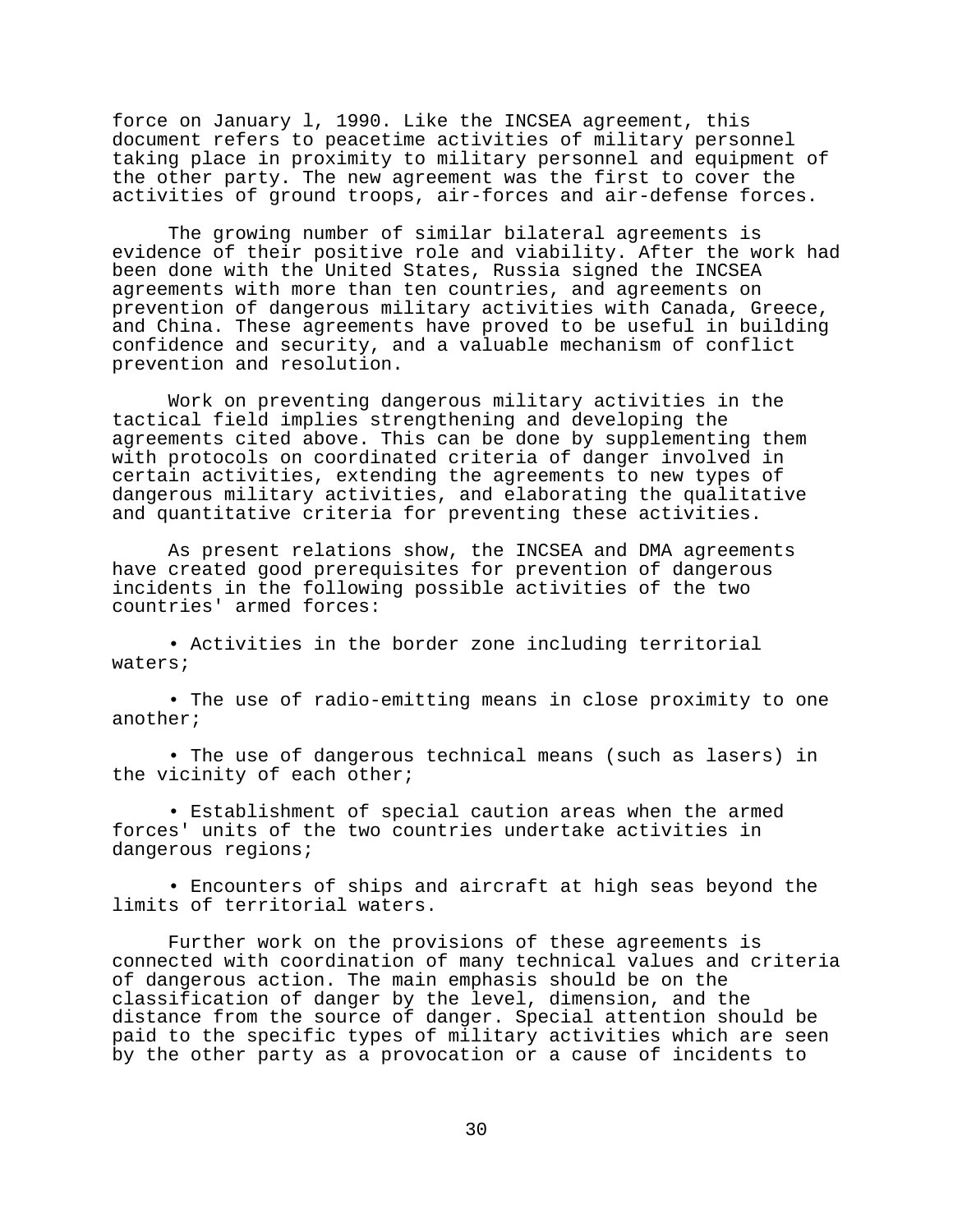force on January l, 1990. Like the INCSEA agreement, this document refers to peacetime activities of military personnel taking place in proximity to military personnel and equipment of the other party. The new agreement was the first to cover the activities of ground troops, air-forces and air-defense forces.

The growing number of similar bilateral agreements is evidence of their positive role and viability. After the work had been done with the United States, Russia signed the INCSEA agreements with more than ten countries, and agreements on prevention of dangerous military activities with Canada, Greece, and China. These agreements have proved to be useful in building confidence and security, and a valuable mechanism of conflict prevention and resolution.

Work on preventing dangerous military activities in the tactical field implies strengthening and developing the agreements cited above. This can be done by supplementing them with protocols on coordinated criteria of danger involved in certain activities, extending the agreements to new types of dangerous military activities, and elaborating the qualitative and quantitative criteria for preventing these activities.

As present relations show, the INCSEA and DMA agreements have created good prerequisites for prevention of dangerous incidents in the following possible activities of the two countries' armed forces:

• Activities in the border zone including territorial waters;

• The use of radio-emitting means in close proximity to one another;

• The use of dangerous technical means (such as lasers) in the vicinity of each other;

• Establishment of special caution areas when the armed forces' units of the two countries undertake activities in dangerous regions;

• Encounters of ships and aircraft at high seas beyond the limits of territorial waters.

Further work on the provisions of these agreements is connected with coordination of many technical values and criteria of dangerous action. The main emphasis should be on the classification of danger by the level, dimension, and the distance from the source of danger. Special attention should be paid to the specific types of military activities which are seen by the other party as a provocation or a cause of incidents to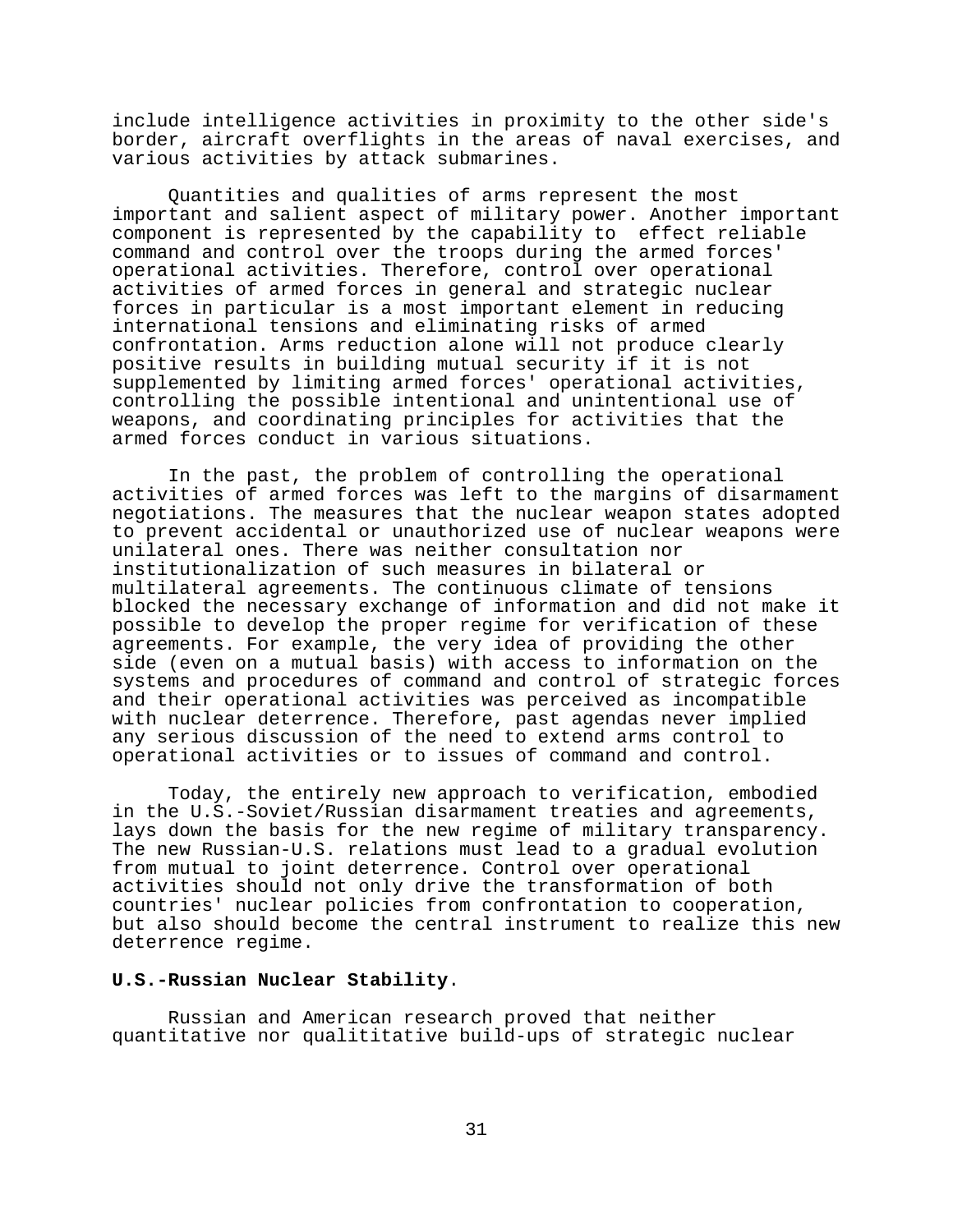include intelligence activities in proximity to the other side's border, aircraft overflights in the areas of naval exercises, and various activities by attack submarines.

Quantities and qualities of arms represent the most important and salient aspect of military power. Another important component is represented by the capability to effect reliable command and control over the troops during the armed forces' operational activities. Therefore, control over operational activities of armed forces in general and strategic nuclear forces in particular is a most important element in reducing international tensions and eliminating risks of armed confrontation. Arms reduction alone will not produce clearly positive results in building mutual security if it is not supplemented by limiting armed forces' operational activities, controlling the possible intentional and unintentional use of weapons, and coordinating principles for activities that the armed forces conduct in various situations.

In the past, the problem of controlling the operational activities of armed forces was left to the margins of disarmament negotiations. The measures that the nuclear weapon states adopted to prevent accidental or unauthorized use of nuclear weapons were unilateral ones. There was neither consultation nor institutionalization of such measures in bilateral or multilateral agreements. The continuous climate of tensions blocked the necessary exchange of information and did not make it possible to develop the proper regime for verification of these agreements. For example, the very idea of providing the other side (even on a mutual basis) with access to information on the systems and procedures of command and control of strategic forces and their operational activities was perceived as incompatible with nuclear deterrence. Therefore, past agendas never implied any serious discussion of the need to extend arms control to operational activities or to issues of command and control.

Today, the entirely new approach to verification, embodied in the U.S.-Soviet/Russian disarmament treaties and agreements, lays down the basis for the new regime of military transparency. The new Russian-U.S. relations must lead to a gradual evolution from mutual to joint deterrence. Control over operational activities should not only drive the transformation of both countries' nuclear policies from confrontation to cooperation, but also should become the central instrument to realize this new deterrence regime.

### **U.S.-Russian Nuclear Stability**.

Russian and American research proved that neither quantitative nor qualititative build-ups of strategic nuclear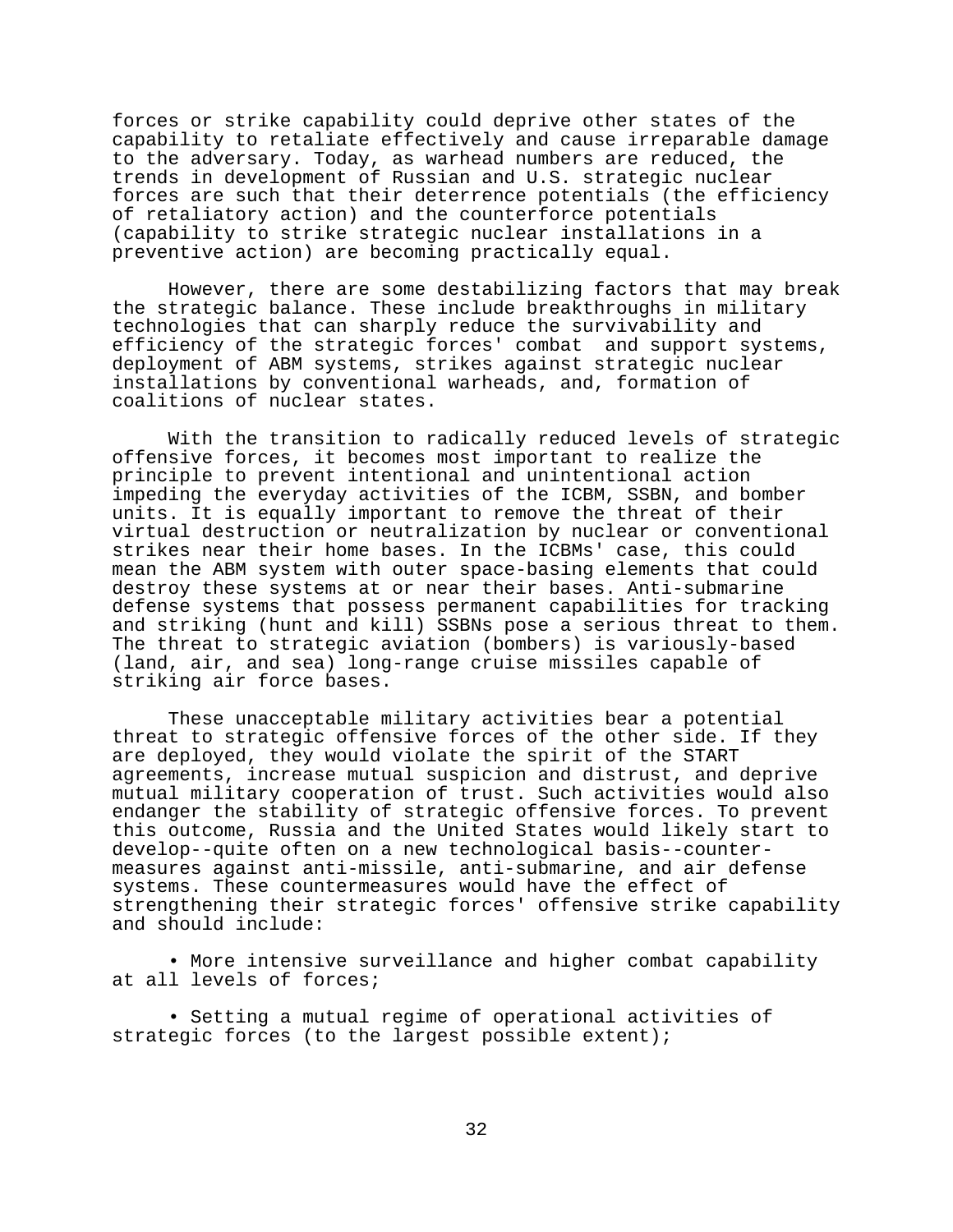forces or strike capability could deprive other states of the capability to retaliate effectively and cause irreparable damage to the adversary. Today, as warhead numbers are reduced, the trends in development of Russian and U.S. strategic nuclear forces are such that their deterrence potentials (the efficiency of retaliatory action) and the counterforce potentials (capability to strike strategic nuclear installations in a preventive action) are becoming practically equal.

However, there are some destabilizing factors that may break the strategic balance. These include breakthroughs in military technologies that can sharply reduce the survivability and efficiency of the strategic forces' combat and support systems, deployment of ABM systems, strikes against strategic nuclear installations by conventional warheads, and, formation of coalitions of nuclear states.

With the transition to radically reduced levels of strategic offensive forces, it becomes most important to realize the principle to prevent intentional and unintentional action impeding the everyday activities of the ICBM, SSBN, and bomber units. It is equally important to remove the threat of their virtual destruction or neutralization by nuclear or conventional strikes near their home bases. In the ICBMs' case, this could mean the ABM system with outer space-basing elements that could destroy these systems at or near their bases. Anti-submarine defense systems that possess permanent capabilities for tracking and striking (hunt and kill) SSBNs pose a serious threat to them. The threat to strategic aviation (bombers) is variously-based (land, air, and sea) long-range cruise missiles capable of striking air force bases.

These unacceptable military activities bear a potential threat to strategic offensive forces of the other side. If they are deployed, they would violate the spirit of the START agreements, increase mutual suspicion and distrust, and deprive mutual military cooperation of trust. Such activities would also endanger the stability of strategic offensive forces. To prevent this outcome, Russia and the United States would likely start to develop--quite often on a new technological basis--countermeasures against anti-missile, anti-submarine, and air defense systems. These countermeasures would have the effect of strengthening their strategic forces' offensive strike capability and should include:

• More intensive surveillance and higher combat capability at all levels of forces;

• Setting a mutual regime of operational activities of strategic forces (to the largest possible extent);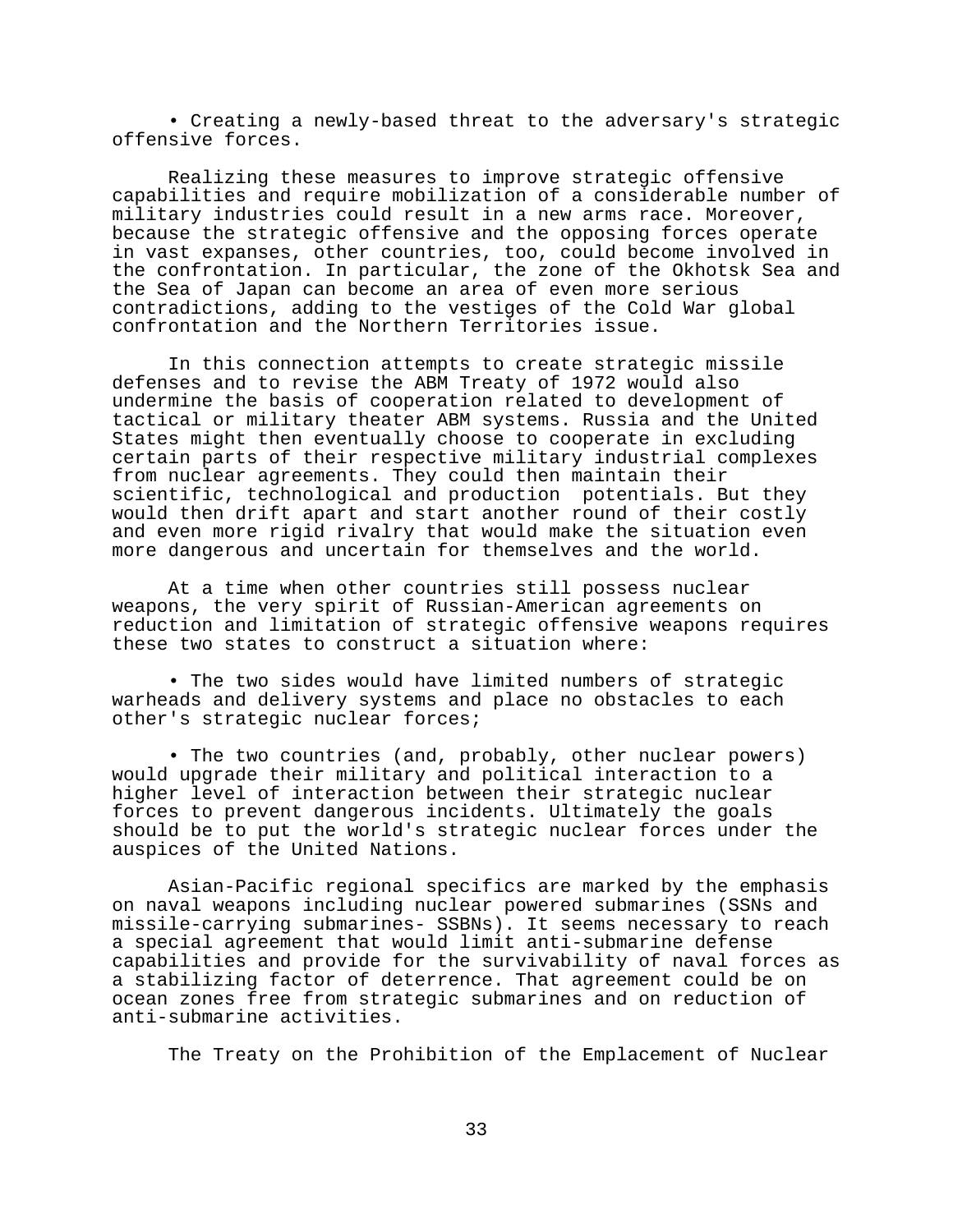• Creating a newly-based threat to the adversary's strategic offensive forces.

Realizing these measures to improve strategic offensive capabilities and require mobilization of a considerable number of military industries could result in a new arms race. Moreover, because the strategic offensive and the opposing forces operate in vast expanses, other countries, too, could become involved in the confrontation. In particular, the zone of the Okhotsk Sea and the Sea of Japan can become an area of even more serious contradictions, adding to the vestiges of the Cold War global confrontation and the Northern Territories issue.

In this connection attempts to create strategic missile defenses and to revise the ABM Treaty of 1972 would also undermine the basis of cooperation related to development of tactical or military theater ABM systems. Russia and the United States might then eventually choose to cooperate in excluding certain parts of their respective military industrial complexes from nuclear agreements. They could then maintain their scientific, technological and production potentials. But they would then drift apart and start another round of their costly and even more rigid rivalry that would make the situation even more dangerous and uncertain for themselves and the world.

At a time when other countries still possess nuclear weapons, the very spirit of Russian-American agreements on reduction and limitation of strategic offensive weapons requires these two states to construct a situation where:

• The two sides would have limited numbers of strategic warheads and delivery systems and place no obstacles to each other's strategic nuclear forces;

• The two countries (and, probably, other nuclear powers) would upgrade their military and political interaction to a higher level of interaction between their strategic nuclear forces to prevent dangerous incidents. Ultimately the goals should be to put the world's strategic nuclear forces under the auspices of the United Nations.

Asian-Pacific regional specifics are marked by the emphasis on naval weapons including nuclear powered submarines (SSNs and missile-carrying submarines- SSBNs). It seems necessary to reach a special agreement that would limit anti-submarine defense capabilities and provide for the survivability of naval forces as a stabilizing factor of deterrence. That agreement could be on ocean zones free from strategic submarines and on reduction of anti-submarine activities.

The Treaty on the Prohibition of the Emplacement of Nuclear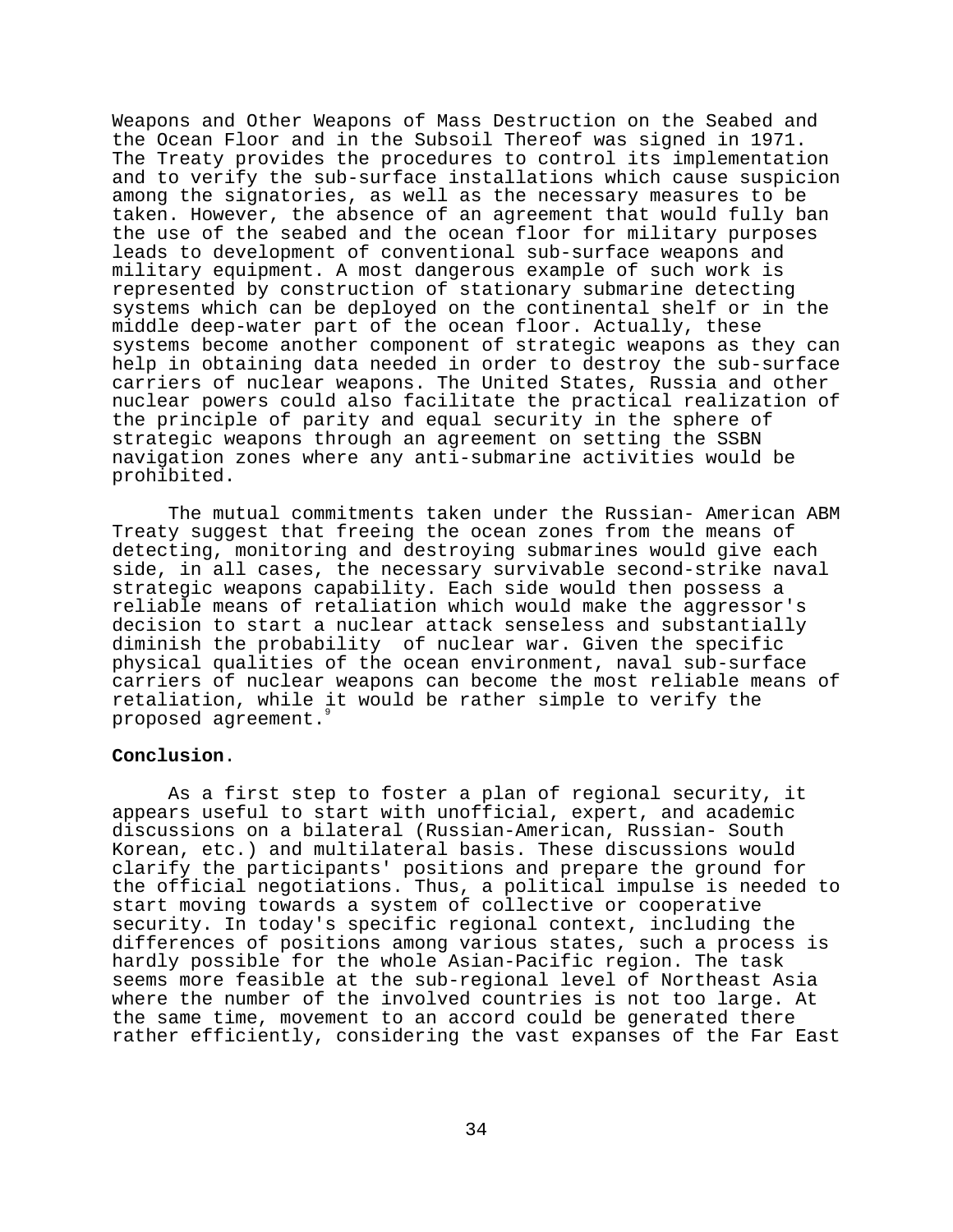Weapons and Other Weapons of Mass Destruction on the Seabed and the Ocean Floor and in the Subsoil Thereof was signed in 1971. The Treaty provides the procedures to control its implementation and to verify the sub-surface installations which cause suspicion among the signatories, as well as the necessary measures to be taken. However, the absence of an agreement that would fully ban the use of the seabed and the ocean floor for military purposes leads to development of conventional sub-surface weapons and military equipment. A most dangerous example of such work is represented by construction of stationary submarine detecting systems which can be deployed on the continental shelf or in the middle deep-water part of the ocean floor. Actually, these systems become another component of strategic weapons as they can help in obtaining data needed in order to destroy the sub-surface carriers of nuclear weapons. The United States, Russia and other nuclear powers could also facilitate the practical realization of the principle of parity and equal security in the sphere of strategic weapons through an agreement on setting the SSBN navigation zones where any anti-submarine activities would be prohibited.

The mutual commitments taken under the Russian- American ABM Treaty suggest that freeing the ocean zones from the means of detecting, monitoring and destroying submarines would give each side, in all cases, the necessary survivable second-strike naval strategic weapons capability. Each side would then possess a reliable means of retaliation which would make the aggressor's decision to start a nuclear attack senseless and substantially diminish the probability of nuclear war. Given the specific physical qualities of the ocean environment, naval sub-surface carriers of nuclear weapons can become the most reliable means of retaliation, while it would be rather simple to verify the proposed agreement.

### **Conclusion**.

As a first step to foster a plan of regional security, it appears useful to start with unofficial, expert, and academic discussions on a bilateral (Russian-American, Russian- South Korean, etc.) and multilateral basis. These discussions would clarify the participants' positions and prepare the ground for the official negotiations. Thus, a political impulse is needed to start moving towards a system of collective or cooperative security. In today's specific regional context, including the differences of positions among various states, such a process is hardly possible for the whole Asian-Pacific region. The task seems more feasible at the sub-regional level of Northeast Asia where the number of the involved countries is not too large. At the same time, movement to an accord could be generated there rather efficiently, considering the vast expanses of the Far East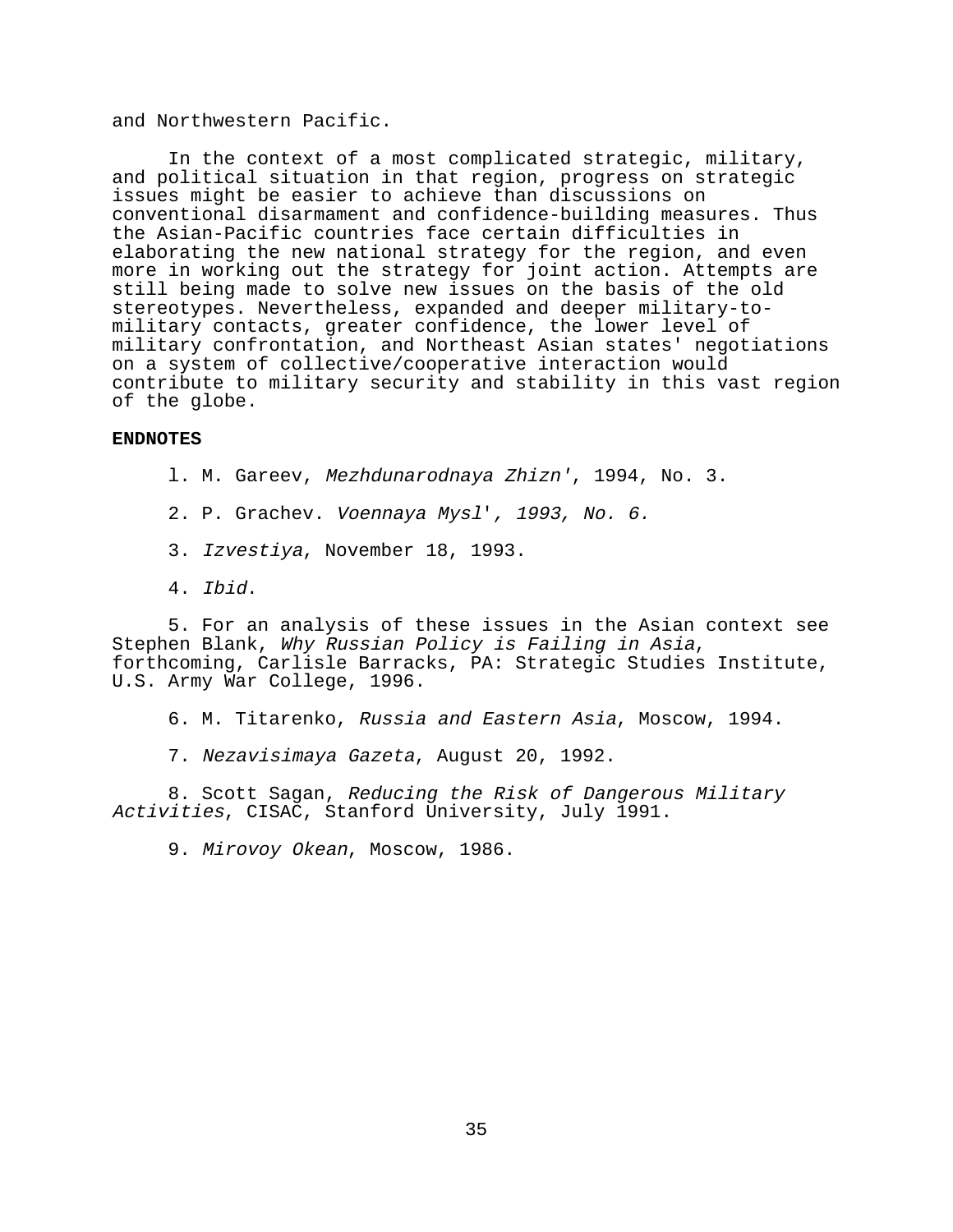### and Northwestern Pacific.

In the context of a most complicated strategic, military, and political situation in that region, progress on strategic issues might be easier to achieve than discussions on conventional disarmament and confidence-building measures. Thus the Asian-Pacific countries face certain difficulties in elaborating the new national strategy for the region, and even more in working out the strategy for joint action. Attempts are still being made to solve new issues on the basis of the old stereotypes. Nevertheless, expanded and deeper military-tomilitary contacts, greater confidence, the lower level of military confrontation, and Northeast Asian states' negotiations on a system of collective/cooperative interaction would contribute to military security and stability in this vast region of the globe.

#### **ENDNOTES**

- l. M. Gareev, Mezhdunarodnaya Zhizn', 1994, No. 3.
- 2. P. Grachev. Voennaya Mysl', 1993, No. 6.
- 3. Izvestiya, November 18, 1993.
- 4. Ibid.

5. For an analysis of these issues in the Asian context see Stephen Blank, Why Russian Policy is Failing in Asia, forthcoming, Carlisle Barracks, PA: Strategic Studies Institute, U.S. Army War College, 1996.

- 6. M. Titarenko, Russia and Eastern Asia, Moscow, 1994.
- 7. Nezavisimaya Gazeta, August 20, 1992.

8. Scott Sagan, Reducing the Risk of Dangerous Military Activities, CISAC, Stanford University, July 1991.

9. Mirovoy Okean, Moscow, 1986.